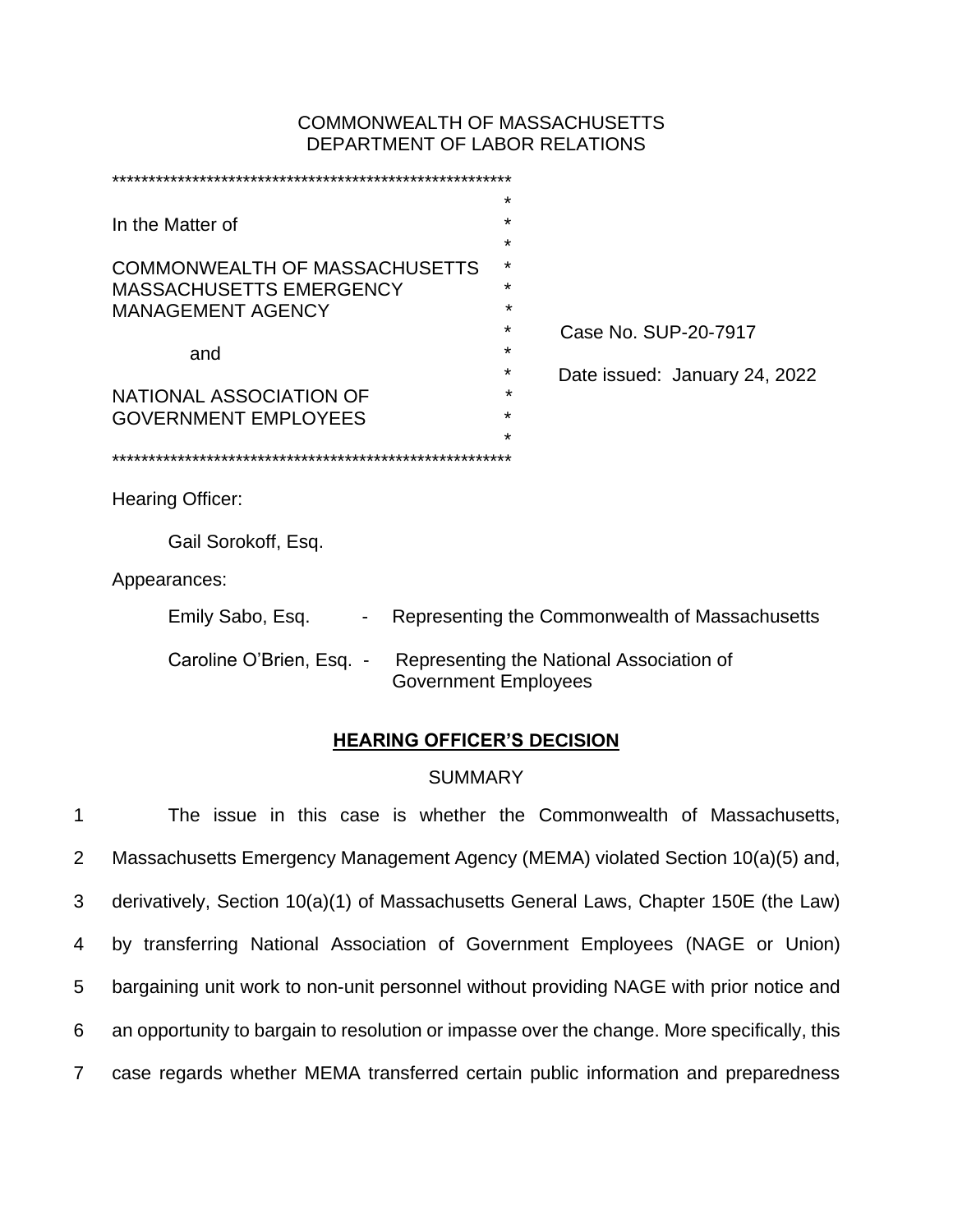## COMMONWEALTH OF MASSACHUSETTS DEPARTMENT OF LABOR RELATIONS

|                                      | $\star$                     |                                                |
|--------------------------------------|-----------------------------|------------------------------------------------|
| In the Matter of                     | $\star$                     |                                                |
|                                      | $\star$                     |                                                |
| <b>COMMONWEALTH OF MASSACHUSETTS</b> | $\star$                     |                                                |
| <b>MASSACHUSETTS EMERGENCY</b>       | $\star$                     |                                                |
| <b>MANAGEMENT AGENCY</b>             |                             |                                                |
|                                      | ÷                           | Case No. SUP-20-7917                           |
| and                                  | *                           |                                                |
|                                      | ÷                           | Date issued: January 24, 2022                  |
| NATIONAL ASSOCIATION OF              | *                           |                                                |
| <b>GOVERNMENT EMPLOYEES</b>          | $\star$                     |                                                |
|                                      | $\star$                     |                                                |
|                                      |                             |                                                |
| Hearing Officer:                     |                             |                                                |
|                                      |                             |                                                |
| Gail Sorokoff, Esq.                  |                             |                                                |
| Appearances:                         |                             |                                                |
| Emily Sabo, Esq.                     |                             | Representing the Commonwealth of Massachusetts |
| Caroline O'Brien, Esq. -             | <b>Government Employees</b> | Representing the National Association of       |

# **HEARING OFFICER'S DECISION**

## **SUMMARY**

 The issue in this case is whether the Commonwealth of Massachusetts, Massachusetts Emergency Management Agency (MEMA) violated Section 10(a)(5) and, derivatively, Section 10(a)(1) of Massachusetts General Laws, Chapter 150E (the Law) by transferring National Association of Government Employees (NAGE or Union) bargaining unit work to non-unit personnel without providing NAGE with prior notice and an opportunity to bargain to resolution or impasse over the change. More specifically, this case regards whether MEMA transferred certain public information and preparedness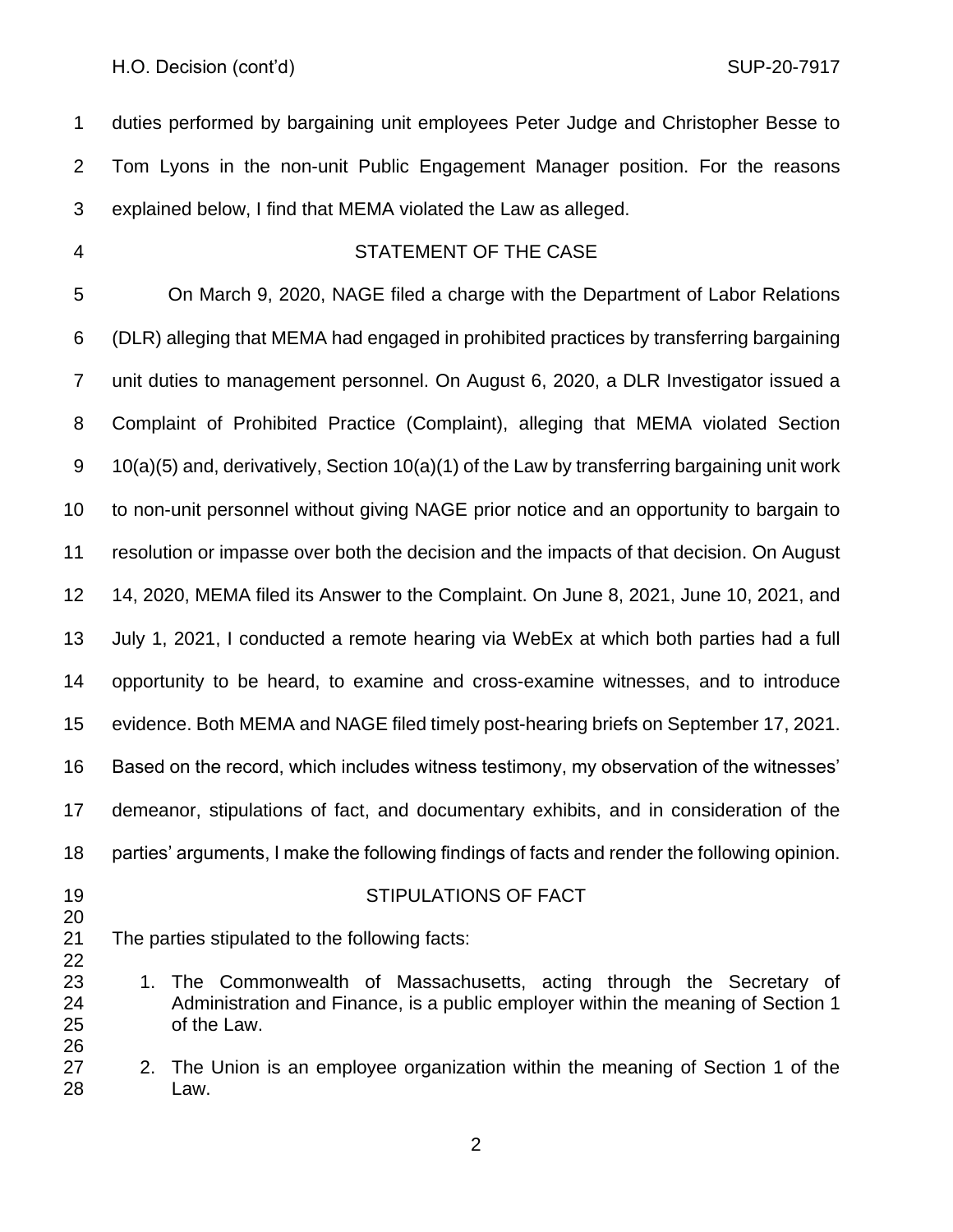duties performed by bargaining unit employees Peter Judge and Christopher Besse to Tom Lyons in the non-unit Public Engagement Manager position. For the reasons explained below, I find that MEMA violated the Law as alleged.

#### STATEMENT OF THE CASE

 On March 9, 2020, NAGE filed a charge with the Department of Labor Relations (DLR) alleging that MEMA had engaged in prohibited practices by transferring bargaining unit duties to management personnel. On August 6, 2020, a DLR Investigator issued a Complaint of Prohibited Practice (Complaint), alleging that MEMA violated Section 10(a)(5) and, derivatively, Section 10(a)(1) of the Law by transferring bargaining unit work to non-unit personnel without giving NAGE prior notice and an opportunity to bargain to resolution or impasse over both the decision and the impacts of that decision. On August 14, 2020, MEMA filed its Answer to the Complaint. On June 8, 2021, June 10, 2021, and July 1, 2021, I conducted a remote hearing via WebEx at which both parties had a full opportunity to be heard, to examine and cross-examine witnesses, and to introduce evidence. Both MEMA and NAGE filed timely post-hearing briefs on September 17, 2021. Based on the record, which includes witness testimony, my observation of the witnesses' demeanor, stipulations of fact, and documentary exhibits, and in consideration of the parties' arguments, I make the following findings of facts and render the following opinion.

## STIPULATIONS OF FACT

- The parties stipulated to the following facts:
- 1. The Commonwealth of Massachusetts, acting through the Secretary of Administration and Finance, is a public employer within the meaning of Section 1 of the Law.
- 2. The Union is an employee organization within the meaning of Section 1 of the Law.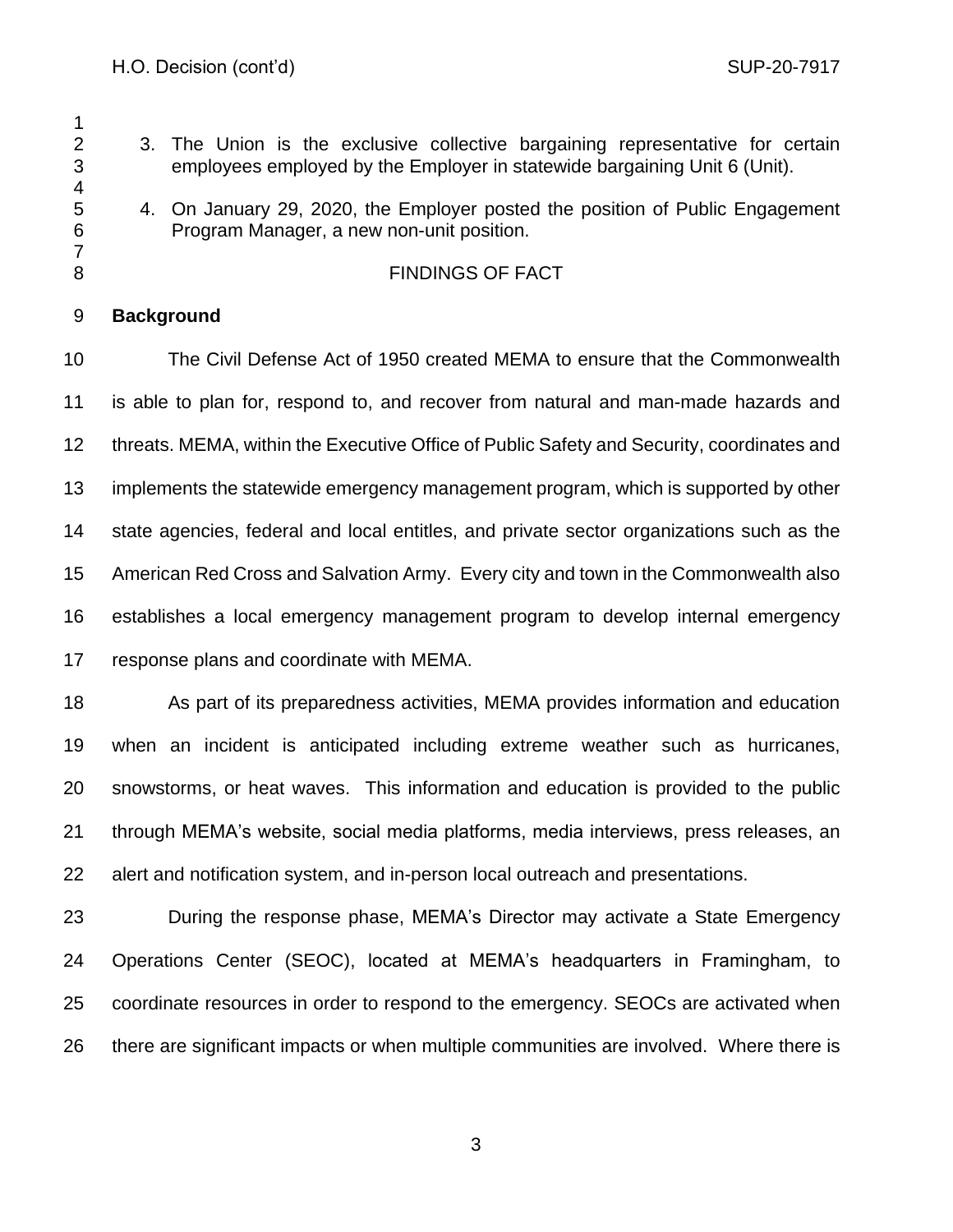- 2 3. The Union is the exclusive collective bargaining representative for certain employees employed by the Employer in statewide bargaining Unit 6 (Unit).
- 4. On January 29, 2020, the Employer posted the position of Public Engagement Program Manager, a new non-unit position.

## 8 FINDINGS OF FACT

## **Background**

 The Civil Defense Act of 1950 created MEMA to ensure that the Commonwealth is able to plan for, respond to, and recover from natural and man-made hazards and threats. MEMA, within the Executive Office of Public Safety and Security, coordinates and implements the statewide emergency management program, which is supported by other state agencies, federal and local entitles, and private sector organizations such as the American Red Cross and Salvation Army. Every city and town in the Commonwealth also establishes a local emergency management program to develop internal emergency response plans and coordinate with MEMA.

 As part of its preparedness activities, MEMA provides information and education when an incident is anticipated including extreme weather such as hurricanes, snowstorms, or heat waves. This information and education is provided to the public through MEMA's website, social media platforms, media interviews, press releases, an alert and notification system, and in-person local outreach and presentations.

 During the response phase, MEMA's Director may activate a State Emergency Operations Center (SEOC), located at MEMA's headquarters in Framingham, to coordinate resources in order to respond to the emergency. SEOCs are activated when there are significant impacts or when multiple communities are involved. Where there is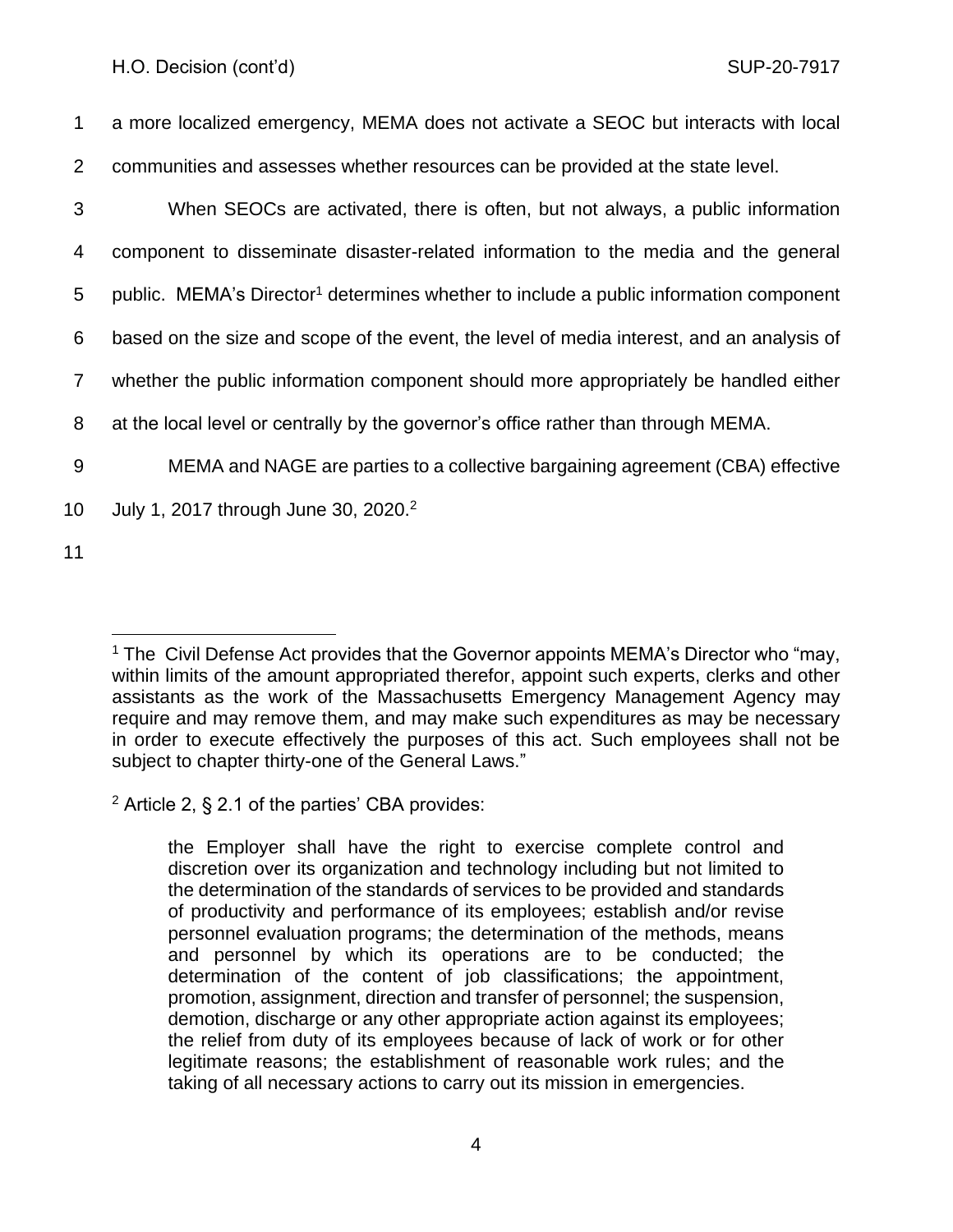a more localized emergency, MEMA does not activate a SEOC but interacts with local communities and assesses whether resources can be provided at the state level. When SEOCs are activated, there is often, but not always, a public information component to disseminate disaster-related information to the media and the general 5 public. MEMA's Director<sup>1</sup> determines whether to include a public information component based on the size and scope of the event, the level of media interest, and an analysis of whether the public information component should more appropriately be handled either at the local level or centrally by the governor's office rather than through MEMA. MEMA and NAGE are parties to a collective bargaining agreement (CBA) effective 10 July 1, 2017 through June 30, 2020.<sup>2</sup>

11

 $2$  Article 2, § 2.1 of the parties' CBA provides:

<sup>1</sup> The Civil Defense Act provides that the Governor appoints MEMA's Director who "may, within limits of the amount appropriated therefor, appoint such experts, clerks and other assistants as the work of the Massachusetts Emergency Management Agency may require and may remove them, and may make such expenditures as may be necessary in order to execute effectively the purposes of this act. Such employees shall not be subject to chapter thirty-one of the General Laws."

the Employer shall have the right to exercise complete control and discretion over its organization and technology including but not limited to the determination of the standards of services to be provided and standards of productivity and performance of its employees; establish and/or revise personnel evaluation programs; the determination of the methods, means and personnel by which its operations are to be conducted; the determination of the content of job classifications; the appointment, promotion, assignment, direction and transfer of personnel; the suspension, demotion, discharge or any other appropriate action against its employees; the relief from duty of its employees because of lack of work or for other legitimate reasons; the establishment of reasonable work rules; and the taking of all necessary actions to carry out its mission in emergencies.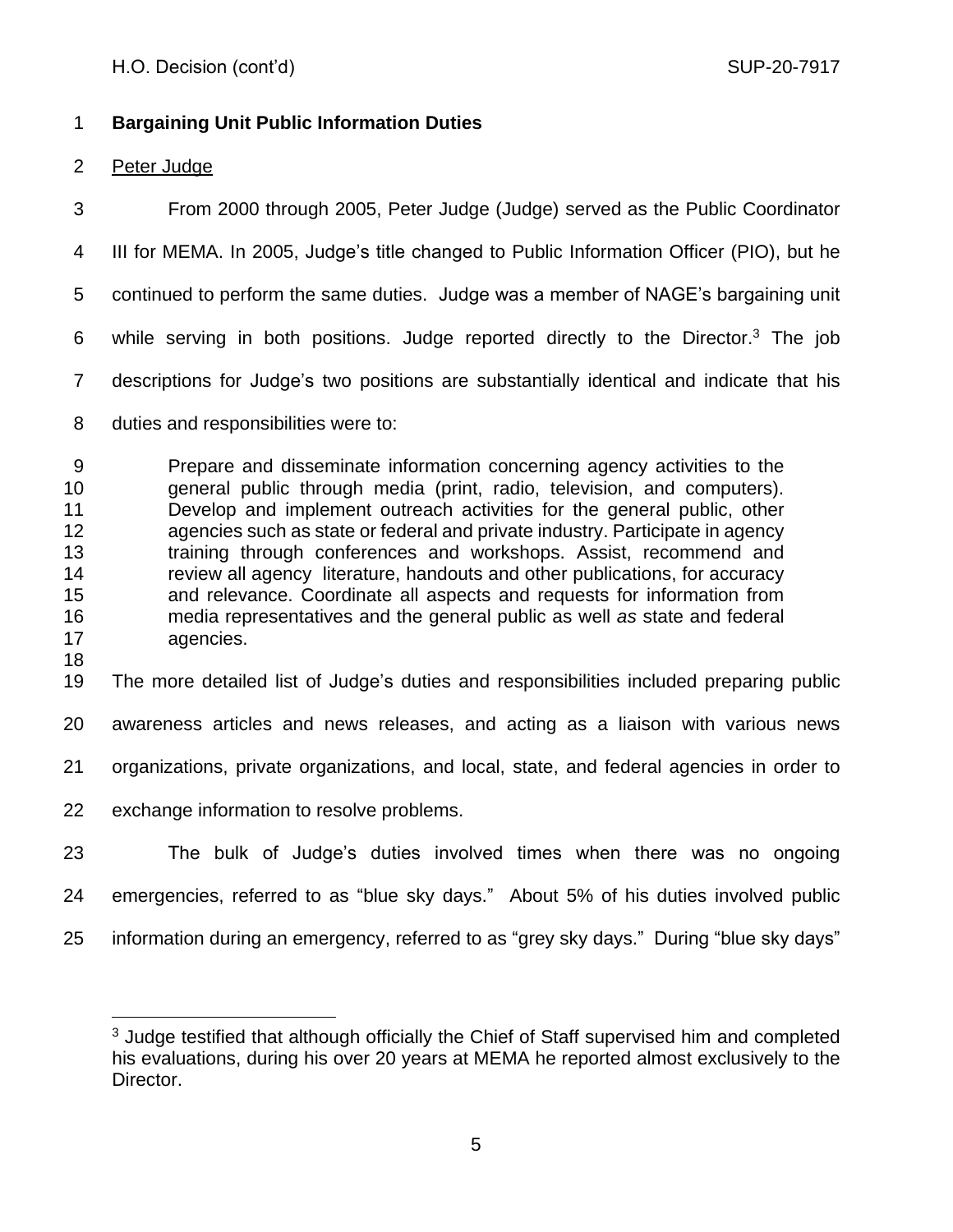# **Bargaining Unit Public Information Duties**

# Peter Judge

 From 2000 through 2005, Peter Judge (Judge) served as the Public Coordinator III for MEMA. In 2005, Judge's title changed to Public Information Officer (PIO), but he continued to perform the same duties. Judge was a member of NAGE's bargaining unit 6 while serving in both positions. Judge reported directly to the Director.<sup>3</sup> The job descriptions for Judge's two positions are substantially identical and indicate that his duties and responsibilities were to:

 Prepare and disseminate information concerning agency activities to the general public through media (print, radio, television, and computers). Develop and implement outreach activities for the general public, other agencies such as state or federal and private industry. Participate in agency training through conferences and workshops. Assist, recommend and review all agency literature, handouts and other publications, for accuracy and relevance. Coordinate all aspects and requests for information from media representatives and the general public as well *as* state and federal agencies. 

The more detailed list of Judge's duties and responsibilities included preparing public

awareness articles and news releases, and acting as a liaison with various news

organizations, private organizations, and local, state, and federal agencies in order to

- exchange information to resolve problems.
- The bulk of Judge's duties involved times when there was no ongoing emergencies, referred to as "blue sky days." About 5% of his duties involved public information during an emergency, referred to as "grey sky days." During "blue sky days"

<sup>&</sup>lt;sup>3</sup> Judge testified that although officially the Chief of Staff supervised him and completed his evaluations, during his over 20 years at MEMA he reported almost exclusively to the Director.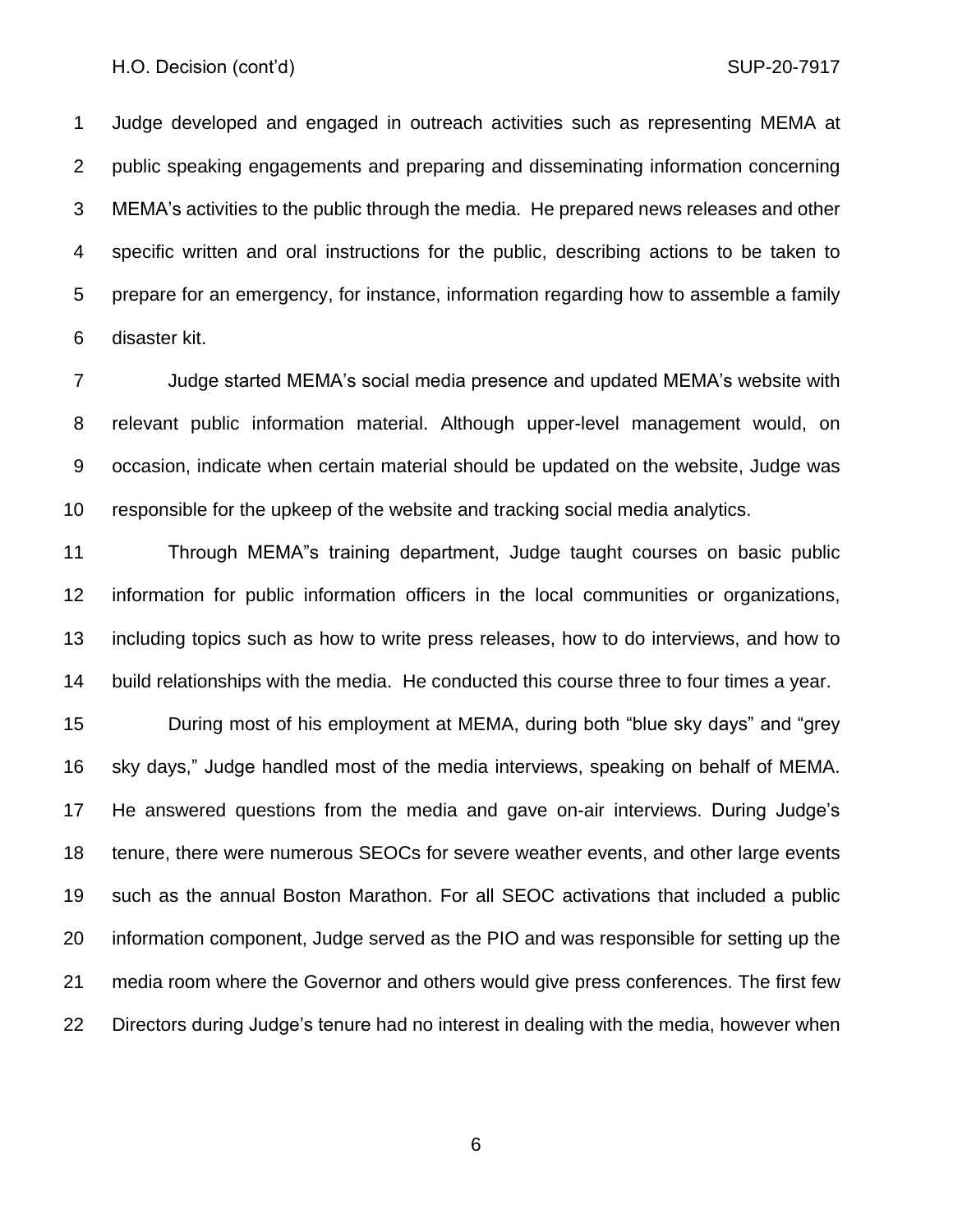Judge developed and engaged in outreach activities such as representing MEMA at public speaking engagements and preparing and disseminating information concerning MEMA's activities to the public through the media. He prepared news releases and other specific written and oral instructions for the public, describing actions to be taken to prepare for an emergency, for instance, information regarding how to assemble a family disaster kit.

 Judge started MEMA's social media presence and updated MEMA's website with relevant public information material. Although upper-level management would, on occasion, indicate when certain material should be updated on the website, Judge was responsible for the upkeep of the website and tracking social media analytics.

 Through MEMA"s training department, Judge taught courses on basic public information for public information officers in the local communities or organizations, including topics such as how to write press releases, how to do interviews, and how to build relationships with the media. He conducted this course three to four times a year.

 During most of his employment at MEMA, during both "blue sky days" and "grey sky days," Judge handled most of the media interviews, speaking on behalf of MEMA. He answered questions from the media and gave on-air interviews. During Judge's tenure, there were numerous SEOCs for severe weather events, and other large events such as the annual Boston Marathon. For all SEOC activations that included a public information component, Judge served as the PIO and was responsible for setting up the media room where the Governor and others would give press conferences. The first few Directors during Judge's tenure had no interest in dealing with the media, however when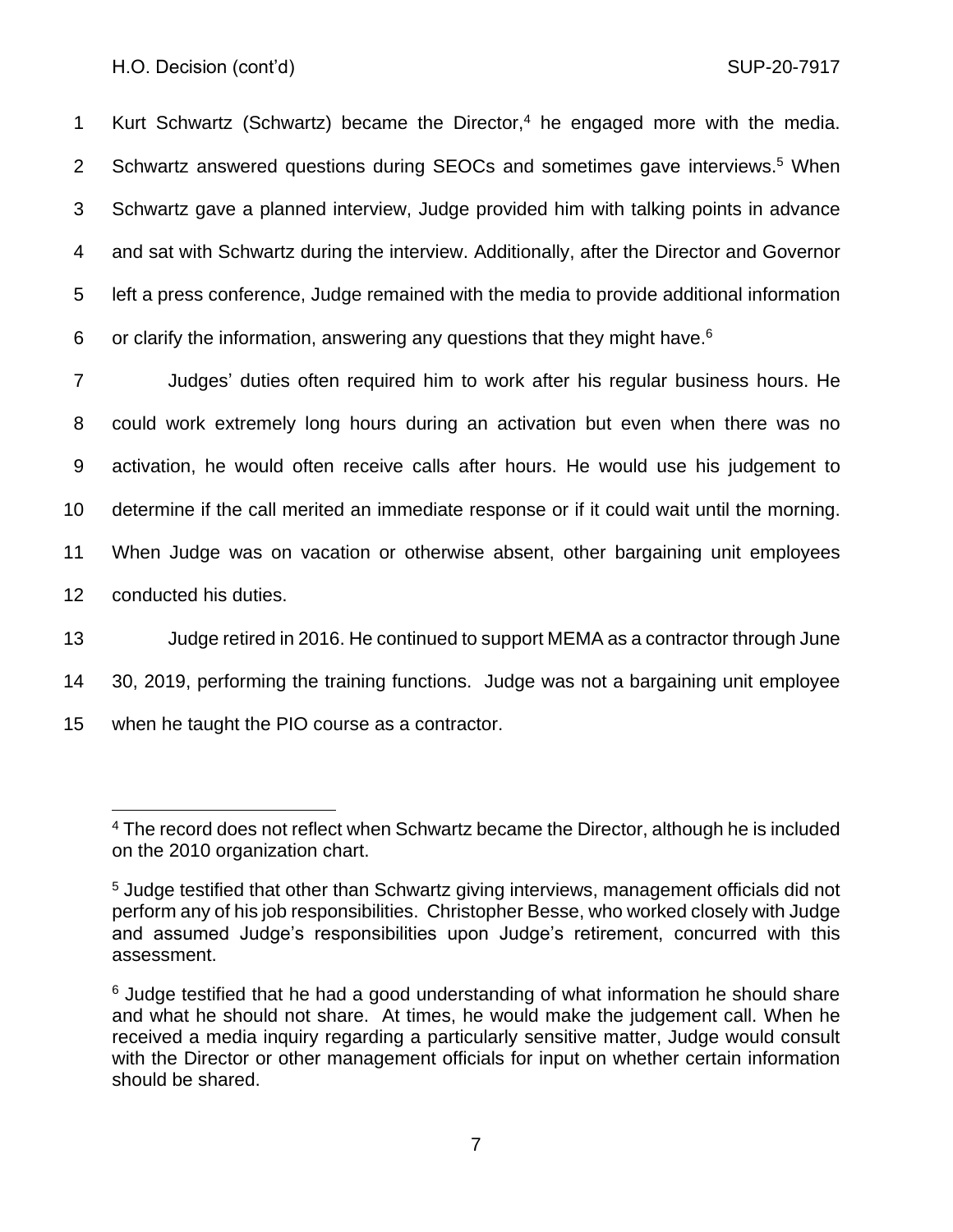1 Kurt Schwartz (Schwartz) became the Director,<sup>4</sup> he engaged more with the media. 2 Schwartz answered questions during SEOCs and sometimes gave interviews.<sup>5</sup> When 3 Schwartz gave a planned interview, Judge provided him with talking points in advance 4 and sat with Schwartz during the interview. Additionally, after the Director and Governor 5 left a press conference, Judge remained with the media to provide additional information 6 or clarify the information, answering any questions that they might have.<sup>6</sup>

 Judges' duties often required him to work after his regular business hours. He could work extremely long hours during an activation but even when there was no activation, he would often receive calls after hours. He would use his judgement to determine if the call merited an immediate response or if it could wait until the morning. When Judge was on vacation or otherwise absent, other bargaining unit employees conducted his duties.

13 Judge retired in 2016. He continued to support MEMA as a contractor through June 14 30, 2019, performing the training functions. Judge was not a bargaining unit employee 15 when he taught the PIO course as a contractor.

<sup>&</sup>lt;sup>4</sup> The record does not reflect when Schwartz became the Director, although he is included on the 2010 organization chart.

<sup>5</sup> Judge testified that other than Schwartz giving interviews, management officials did not perform any of his job responsibilities. Christopher Besse, who worked closely with Judge and assumed Judge's responsibilities upon Judge's retirement, concurred with this assessment.

<sup>&</sup>lt;sup>6</sup> Judge testified that he had a good understanding of what information he should share and what he should not share. At times, he would make the judgement call. When he received a media inquiry regarding a particularly sensitive matter, Judge would consult with the Director or other management officials for input on whether certain information should be shared.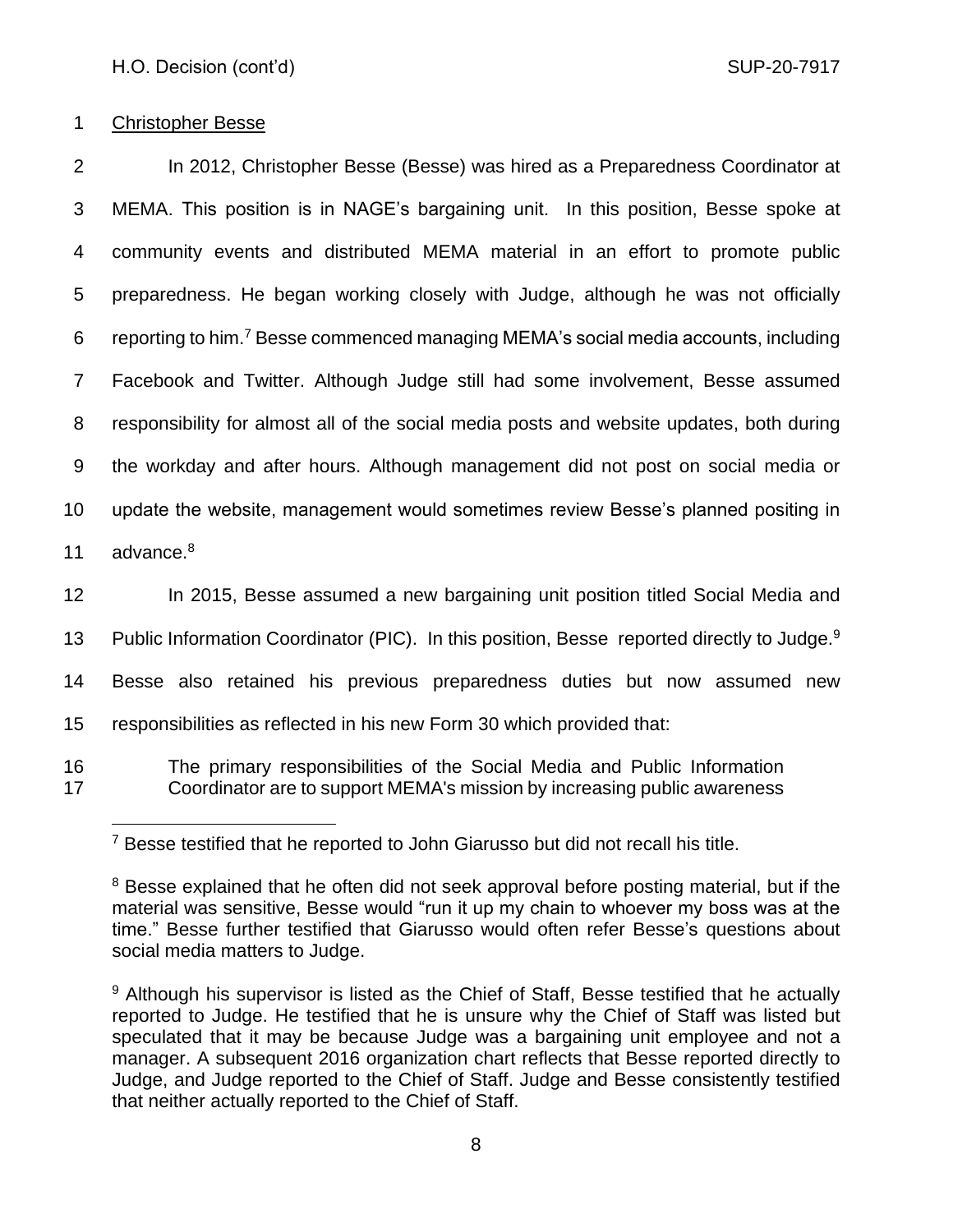## 1 Christopher Besse

 In 2012, Christopher Besse (Besse) was hired as a Preparedness Coordinator at MEMA. This position is in NAGE's bargaining unit. In this position, Besse spoke at community events and distributed MEMA material in an effort to promote public preparedness. He began working closely with Judge, although he was not officially 6 reporting to him.<sup>7</sup> Besse commenced managing MEMA's social media accounts, including Facebook and Twitter. Although Judge still had some involvement, Besse assumed responsibility for almost all of the social media posts and website updates, both during the workday and after hours. Although management did not post on social media or update the website, management would sometimes review Besse's planned positing in 11 advance.<sup>8</sup> 12 In 2015, Besse assumed a new bargaining unit position titled Social Media and

13 Public Information Coordinator (PIC). In this position, Besse reported directly to Judge.<sup>9</sup> Besse also retained his previous preparedness duties but now assumed new responsibilities as reflected in his new Form 30 which provided that: The primary responsibilities of the Social Media and Public Information Coordinator are to support MEMA's mission by increasing public awareness

<sup>&</sup>lt;sup>7</sup> Besse testified that he reported to John Giarusso but did not recall his title.

<sup>&</sup>lt;sup>8</sup> Besse explained that he often did not seek approval before posting material, but if the material was sensitive, Besse would "run it up my chain to whoever my boss was at the time." Besse further testified that Giarusso would often refer Besse's questions about social media matters to Judge.

<sup>&</sup>lt;sup>9</sup> Although his supervisor is listed as the Chief of Staff, Besse testified that he actually reported to Judge. He testified that he is unsure why the Chief of Staff was listed but speculated that it may be because Judge was a bargaining unit employee and not a manager. A subsequent 2016 organization chart reflects that Besse reported directly to Judge, and Judge reported to the Chief of Staff. Judge and Besse consistently testified that neither actually reported to the Chief of Staff.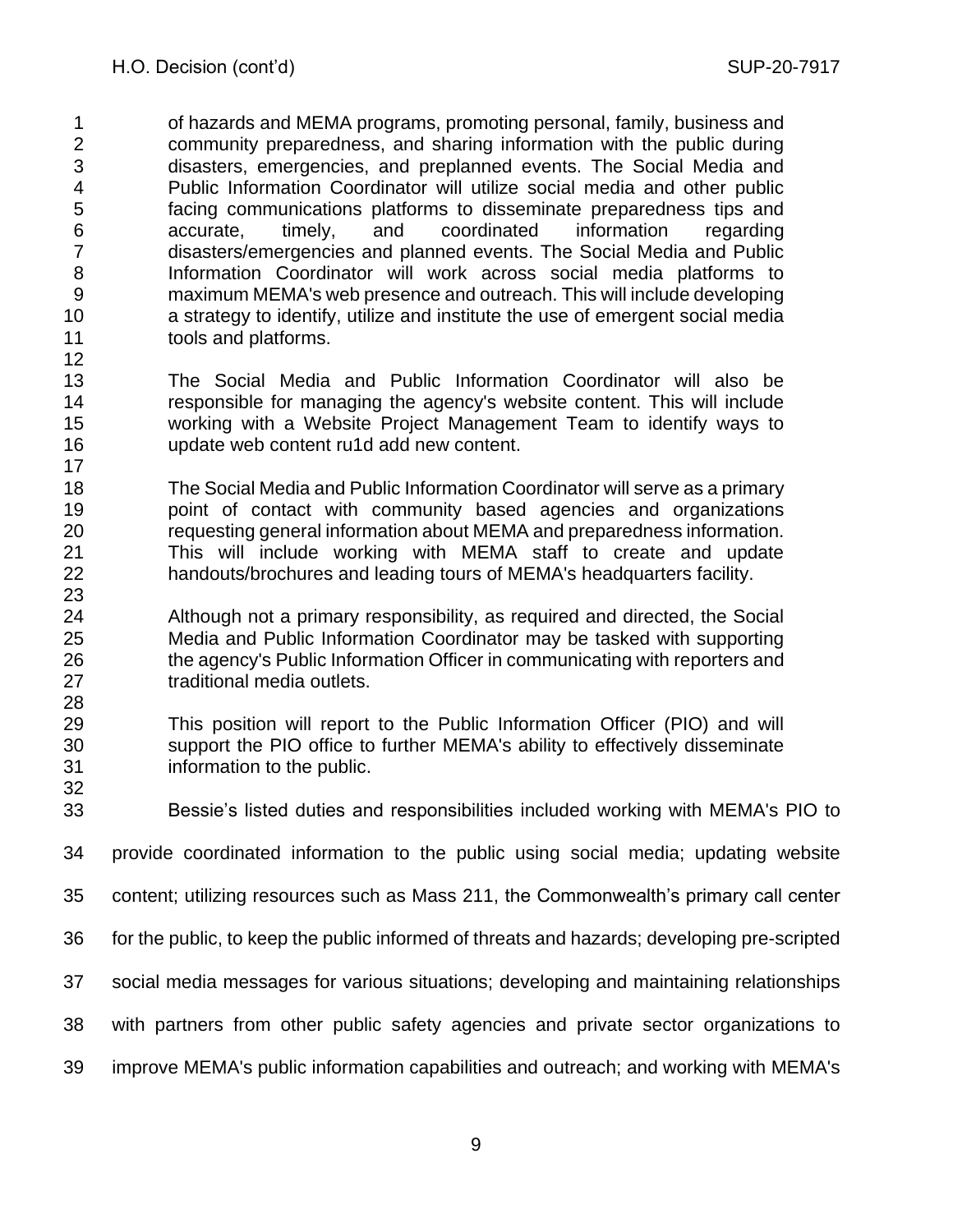of hazards and MEMA programs, promoting personal, family, business and community preparedness, and sharing information with the public during disasters, emergencies, and preplanned events. The Social Media and Public Information Coordinator will utilize social media and other public facing communications platforms to disseminate preparedness tips and accurate, timely, and coordinated information regarding disasters/emergencies and planned events. The Social Media and Public Information Coordinator will work across social media platforms to maximum MEMA's web presence and outreach. This will include developing a strategy to identify, utilize and institute the use of emergent social media tools and platforms. 

- The Social Media and Public Information Coordinator will also be responsible for managing the agency's website content. This will include working with a Website Project Management Team to identify ways to update web content ru1d add new content.
- The Social Media and Public Information Coordinator will serve as a primary point of contact with community based agencies and organizations requesting general information about MEMA and preparedness information. This will include working with MEMA staff to create and update handouts/brochures and leading tours of MEMA's headquarters facility.
- Although not a primary responsibility, as required and directed, the Social Media and Public Information Coordinator may be tasked with supporting the agency's Public Information Officer in communicating with reporters and traditional media outlets.
- This position will report to the Public Information Officer (PIO) and will support the PIO office to further MEMA's ability to effectively disseminate information to the public.
- Bessie's listed duties and responsibilities included working with MEMA's PIO to
- provide coordinated information to the public using social media; updating website
- content; utilizing resources such as Mass 211, the Commonwealth's primary call center
- for the public, to keep the public informed of threats and hazards; developing pre-scripted
- social media messages for various situations; developing and maintaining relationships
- with partners from other public safety agencies and private sector organizations to
- improve MEMA's public information capabilities and outreach; and working with MEMA's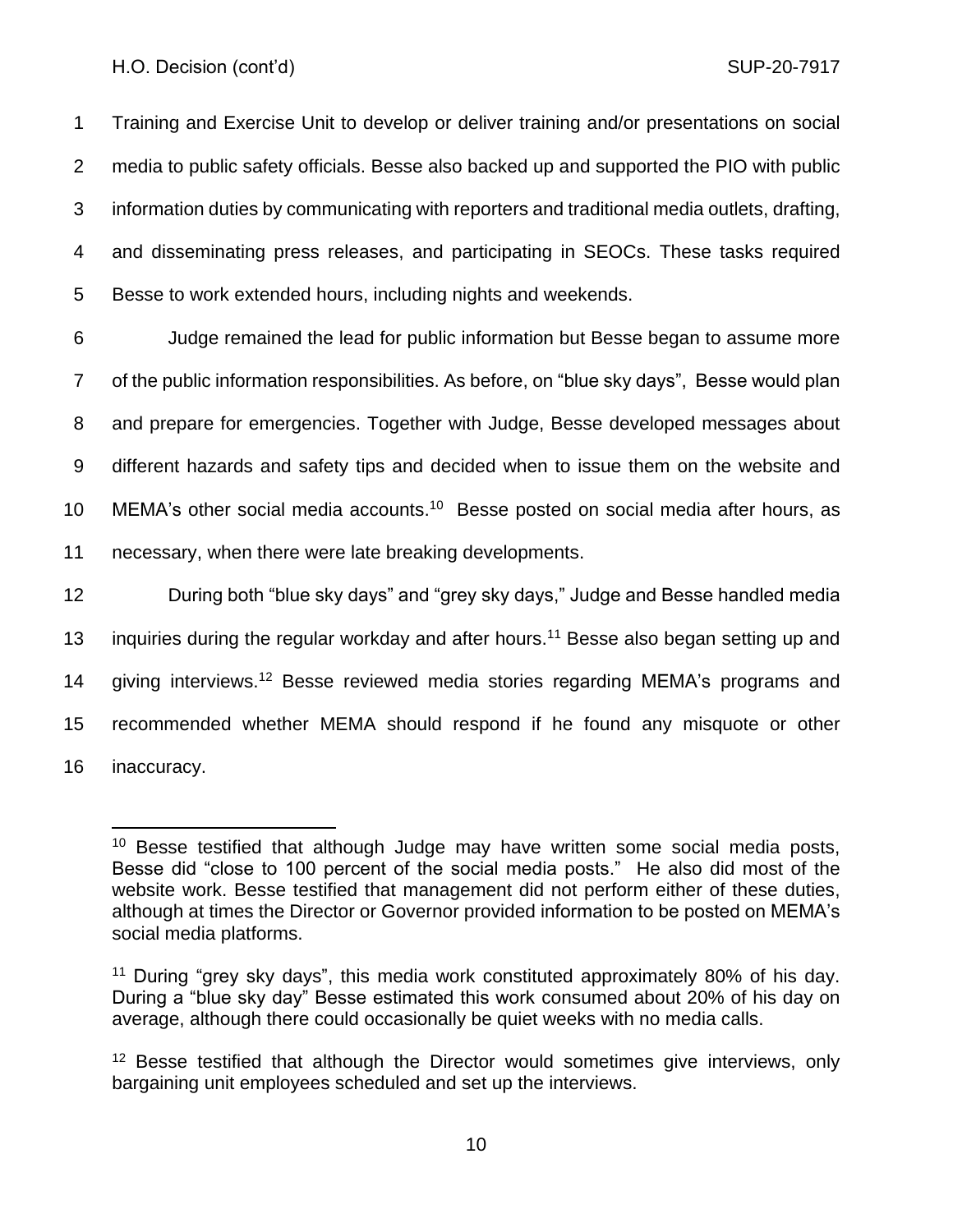Training and Exercise Unit to develop or deliver training and/or presentations on social media to public safety officials. Besse also backed up and supported the PIO with public information duties by communicating with reporters and traditional media outlets, drafting, and disseminating press releases, and participating in SEOCs. These tasks required Besse to work extended hours, including nights and weekends.

 Judge remained the lead for public information but Besse began to assume more of the public information responsibilities. As before, on "blue sky days", Besse would plan and prepare for emergencies. Together with Judge, Besse developed messages about different hazards and safety tips and decided when to issue them on the website and 10 MEMA's other social media accounts.<sup>10</sup> Besse posted on social media after hours, as necessary, when there were late breaking developments. During both "blue sky days" and "grey sky days," Judge and Besse handled media 13 inquiries during the regular workday and after hours.<sup>11</sup> Besse also began setting up and 14 giving interviews.<sup>12</sup> Besse reviewed media stories regarding MEMA's programs and

15 recommended whether MEMA should respond if he found any misquote or other 16 inaccuracy.

<sup>&</sup>lt;sup>10</sup> Besse testified that although Judge may have written some social media posts, Besse did "close to 100 percent of the social media posts." He also did most of the website work. Besse testified that management did not perform either of these duties, although at times the Director or Governor provided information to be posted on MEMA's social media platforms.

<sup>11</sup> During "grey sky days", this media work constituted approximately 80% of his day. During a "blue sky day" Besse estimated this work consumed about 20% of his day on average, although there could occasionally be quiet weeks with no media calls.

<sup>&</sup>lt;sup>12</sup> Besse testified that although the Director would sometimes give interviews, only bargaining unit employees scheduled and set up the interviews.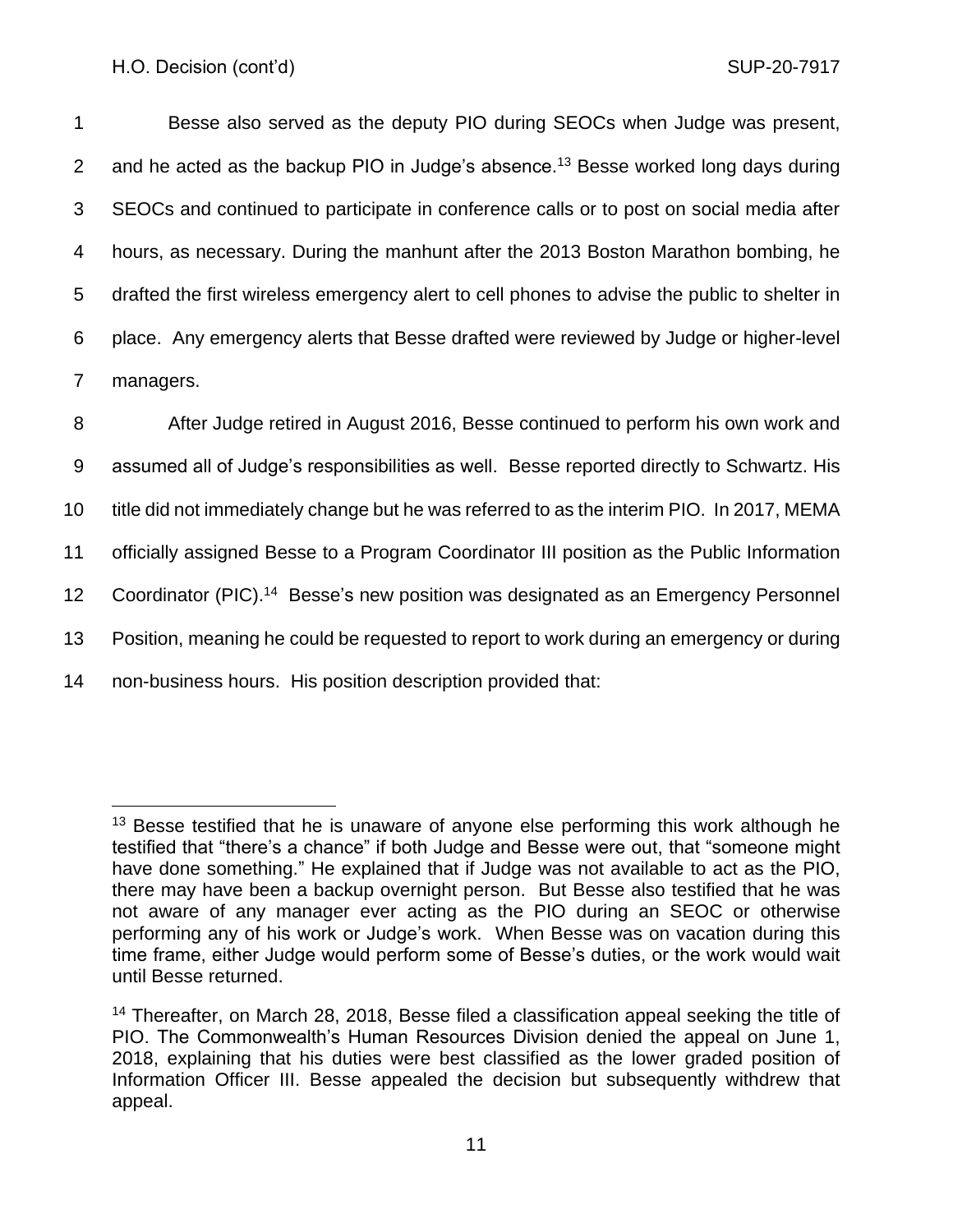Besse also served as the deputy PIO during SEOCs when Judge was present, 2 and he acted as the backup PIO in Judge's absence.<sup>13</sup> Besse worked long days during SEOCs and continued to participate in conference calls or to post on social media after hours, as necessary. During the manhunt after the 2013 Boston Marathon bombing, he drafted the first wireless emergency alert to cell phones to advise the public to shelter in place. Any emergency alerts that Besse drafted were reviewed by Judge or higher-level managers.

 After Judge retired in August 2016, Besse continued to perform his own work and assumed all of Judge's responsibilities as well. Besse reported directly to Schwartz. His title did not immediately change but he was referred to as the interim PIO. In 2017, MEMA officially assigned Besse to a Program Coordinator III position as the Public Information 12 Coordinator (PIC).<sup>14</sup> Besse's new position was designated as an Emergency Personnel Position, meaning he could be requested to report to work during an emergency or during non-business hours. His position description provided that:

 $13$  Besse testified that he is unaware of anyone else performing this work although he testified that "there's a chance" if both Judge and Besse were out, that "someone might have done something." He explained that if Judge was not available to act as the PIO, there may have been a backup overnight person. But Besse also testified that he was not aware of any manager ever acting as the PIO during an SEOC or otherwise performing any of his work or Judge's work. When Besse was on vacation during this time frame, either Judge would perform some of Besse's duties, or the work would wait until Besse returned.

<sup>&</sup>lt;sup>14</sup> Thereafter, on March 28, 2018, Besse filed a classification appeal seeking the title of PIO. The Commonwealth's Human Resources Division denied the appeal on June 1, 2018, explaining that his duties were best classified as the lower graded position of Information Officer III. Besse appealed the decision but subsequently withdrew that appeal.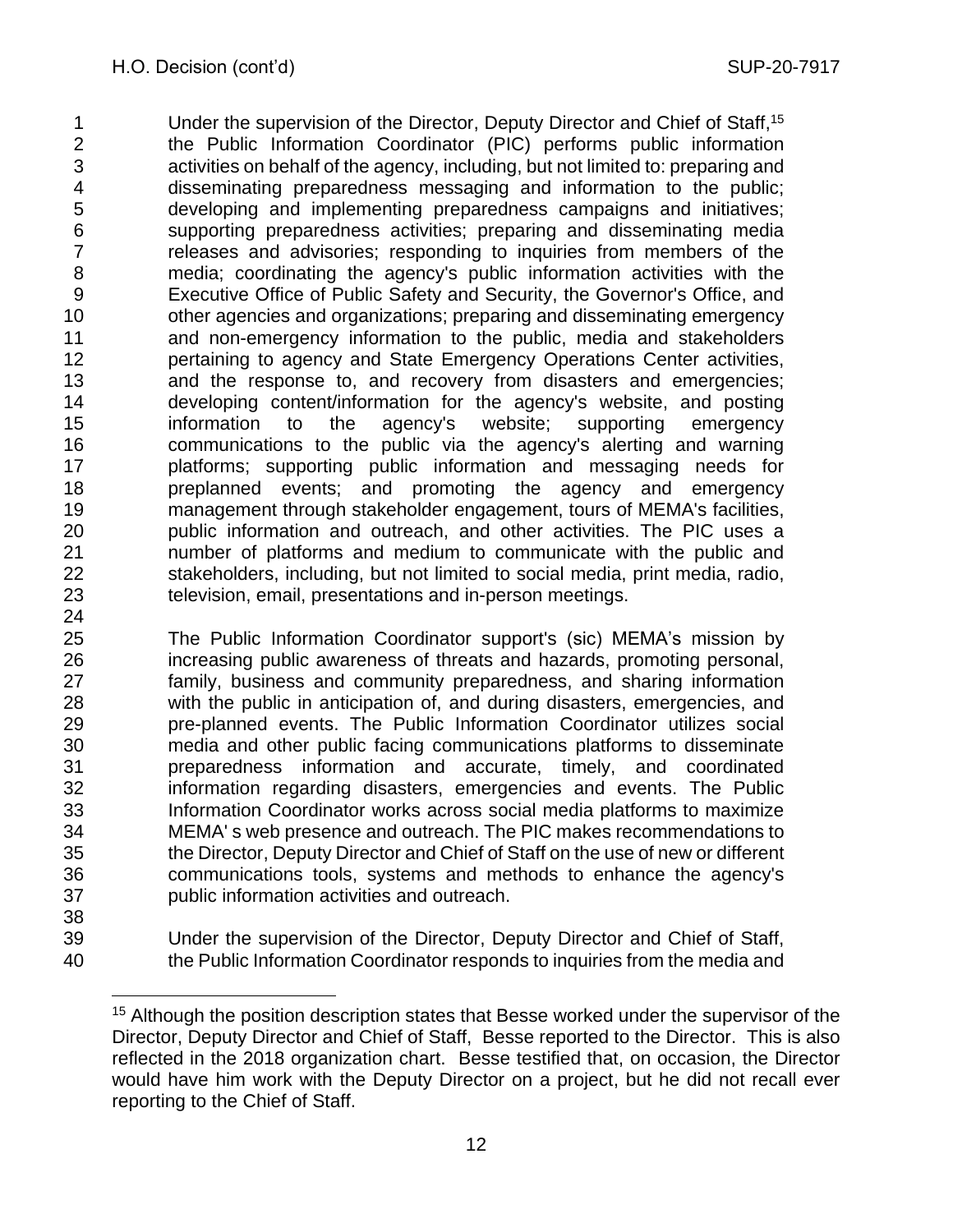1 Under the supervision of the Director, Deputy Director and Chief of Staff, <sup>15</sup> the Public Information Coordinator (PIC) performs public information activities on behalf of the agency, including, but not limited to: preparing and disseminating preparedness messaging and information to the public; developing and implementing preparedness campaigns and initiatives; supporting preparedness activities; preparing and disseminating media releases and advisories; responding to inquiries from members of the media; coordinating the agency's public information activities with the Executive Office of Public Safety and Security, the Governor's Office, and other agencies and organizations; preparing and disseminating emergency and non-emergency information to the public, media and stakeholders **pertaining to agency and State Emergency Operations Center activities,**  and the response to, and recovery from disasters and emergencies; developing content/information for the agency's website, and posting information to the agency's website; supporting emergency communications to the public via the agency's alerting and warning platforms; supporting public information and messaging needs for preplanned events; and promoting the agency and emergency management through stakeholder engagement, tours of MEMA's facilities, public information and outreach, and other activities. The PIC uses a number of platforms and medium to communicate with the public and stakeholders, including, but not limited to social media, print media, radio, television, email, presentations and in-person meetings.

 The Public Information Coordinator support's (sic) MEMA's mission by increasing public awareness of threats and hazards, promoting personal, family, business and community preparedness, and sharing information with the public in anticipation of, and during disasters, emergencies, and pre-planned events. The Public Information Coordinator utilizes social media and other public facing communications platforms to disseminate preparedness information and accurate, timely, and coordinated information regarding disasters, emergencies and events. The Public Information Coordinator works across social media platforms to maximize MEMA' s web presence and outreach. The PIC makes recommendations to the Director, Deputy Director and Chief of Staff on the use of new or different communications tools, systems and methods to enhance the agency's public information activities and outreach. 

 Under the supervision of the Director, Deputy Director and Chief of Staff, the Public Information Coordinator responds to inquiries from the media and

<sup>&</sup>lt;sup>15</sup> Although the position description states that Besse worked under the supervisor of the Director, Deputy Director and Chief of Staff, Besse reported to the Director. This is also reflected in the 2018 organization chart. Besse testified that, on occasion, the Director would have him work with the Deputy Director on a project, but he did not recall ever reporting to the Chief of Staff.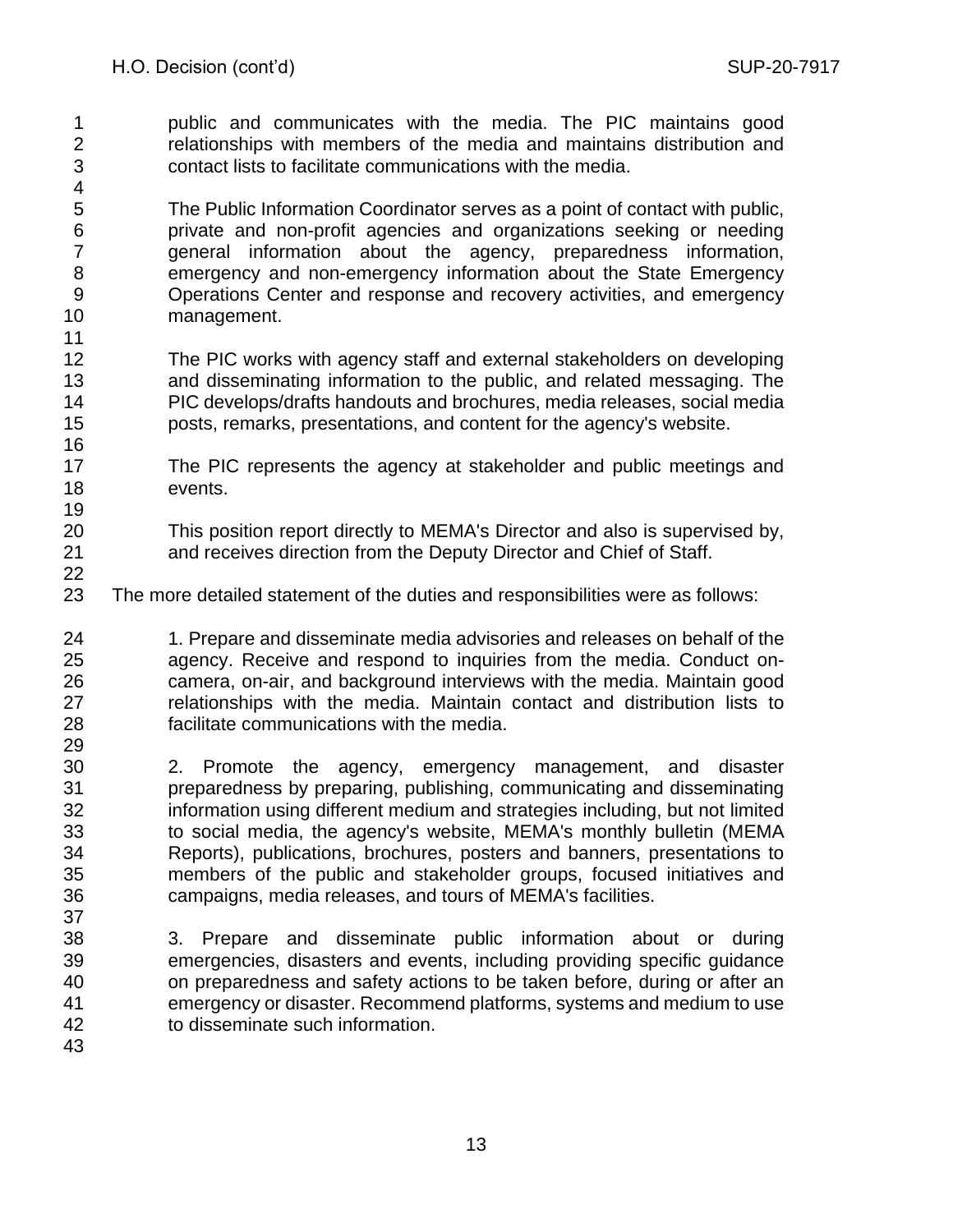public and communicates with the media. The PIC maintains good relationships with members of the media and maintains distribution and contact lists to facilitate communications with the media.

 The Public Information Coordinator serves as a point of contact with public, private and non-profit agencies and organizations seeking or needing general information about the agency, preparedness information, emergency and non-emergency information about the State Emergency Operations Center and response and recovery activities, and emergency management. 

- The PIC works with agency staff and external stakeholders on developing and disseminating information to the public, and related messaging. The PIC develops/drafts handouts and brochures, media releases, social media posts, remarks, presentations, and content for the agency's website.
- The PIC represents the agency at stakeholder and public meetings and events.
- This position report directly to MEMA's Director and also is supervised by, and receives direction from the Deputy Director and Chief of Staff.
- The more detailed statement of the duties and responsibilities were as follows:

 1. Prepare and disseminate media advisories and releases on behalf of the agency. Receive and respond to inquiries from the media. Conduct on- camera, on-air, and background interviews with the media. Maintain good relationships with the media. Maintain contact and distribution lists to facilitate communications with the media.

- 2. Promote the agency, emergency management, and disaster preparedness by preparing, publishing, communicating and disseminating information using different medium and strategies including, but not limited to social media, the agency's website, MEMA's monthly bulletin (MEMA Reports), publications, brochures, posters and banners, presentations to members of the public and stakeholder groups, focused initiatives and campaigns, media releases, and tours of MEMA's facilities.
- 3. Prepare and disseminate public information about or during emergencies, disasters and events, including providing specific guidance on preparedness and safety actions to be taken before, during or after an emergency or disaster. Recommend platforms, systems and medium to use to disseminate such information.
	-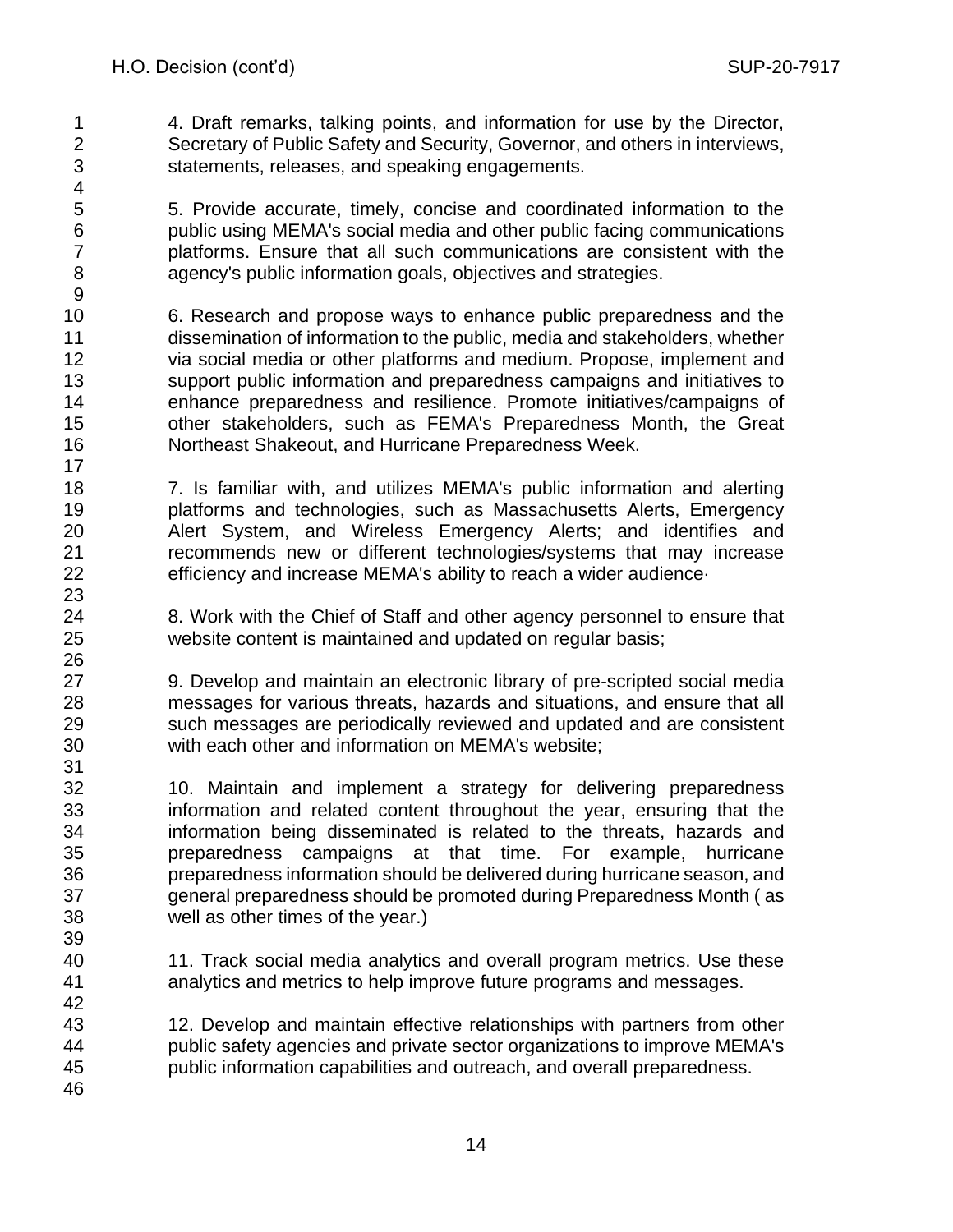4. Draft remarks, talking points, and information for use by the Director, Secretary of Public Safety and Security, Governor, and others in interviews, statements, releases, and speaking engagements.

 5. Provide accurate, timely, concise and coordinated information to the public using MEMA's social media and other public facing communications platforms. Ensure that all such communications are consistent with the agency's public information goals, objectives and strategies.

 6. Research and propose ways to enhance public preparedness and the dissemination of information to the public, media and stakeholders, whether via social media or other platforms and medium. Propose, implement and support public information and preparedness campaigns and initiatives to enhance preparedness and resilience. Promote initiatives/campaigns of other stakeholders, such as FEMA's Preparedness Month, the Great Northeast Shakeout, and Hurricane Preparedness Week.

 7. Is familiar with, and utilizes MEMA's public information and alerting platforms and technologies, such as Massachusetts Alerts, Emergency Alert System, and Wireless Emergency Alerts; and identifies and recommends new or different technologies/systems that may increase efficiency and increase MEMA's ability to reach a wider audience·

 8. Work with the Chief of Staff and other agency personnel to ensure that website content is maintained and updated on regular basis;

 9. Develop and maintain an electronic library of pre-scripted social media messages for various threats, hazards and situations, and ensure that all such messages are periodically reviewed and updated and are consistent with each other and information on MEMA's website;

- 10. Maintain and implement a strategy for delivering preparedness information and related content throughout the year, ensuring that the information being disseminated is related to the threats, hazards and preparedness campaigns at that time. For example, hurricane preparedness information should be delivered during hurricane season, and general preparedness should be promoted during Preparedness Month ( as well as other times of the year.)
- 11. Track social media analytics and overall program metrics. Use these analytics and metrics to help improve future programs and messages.
- 12. Develop and maintain effective relationships with partners from other public safety agencies and private sector organizations to improve MEMA's public information capabilities and outreach, and overall preparedness.
-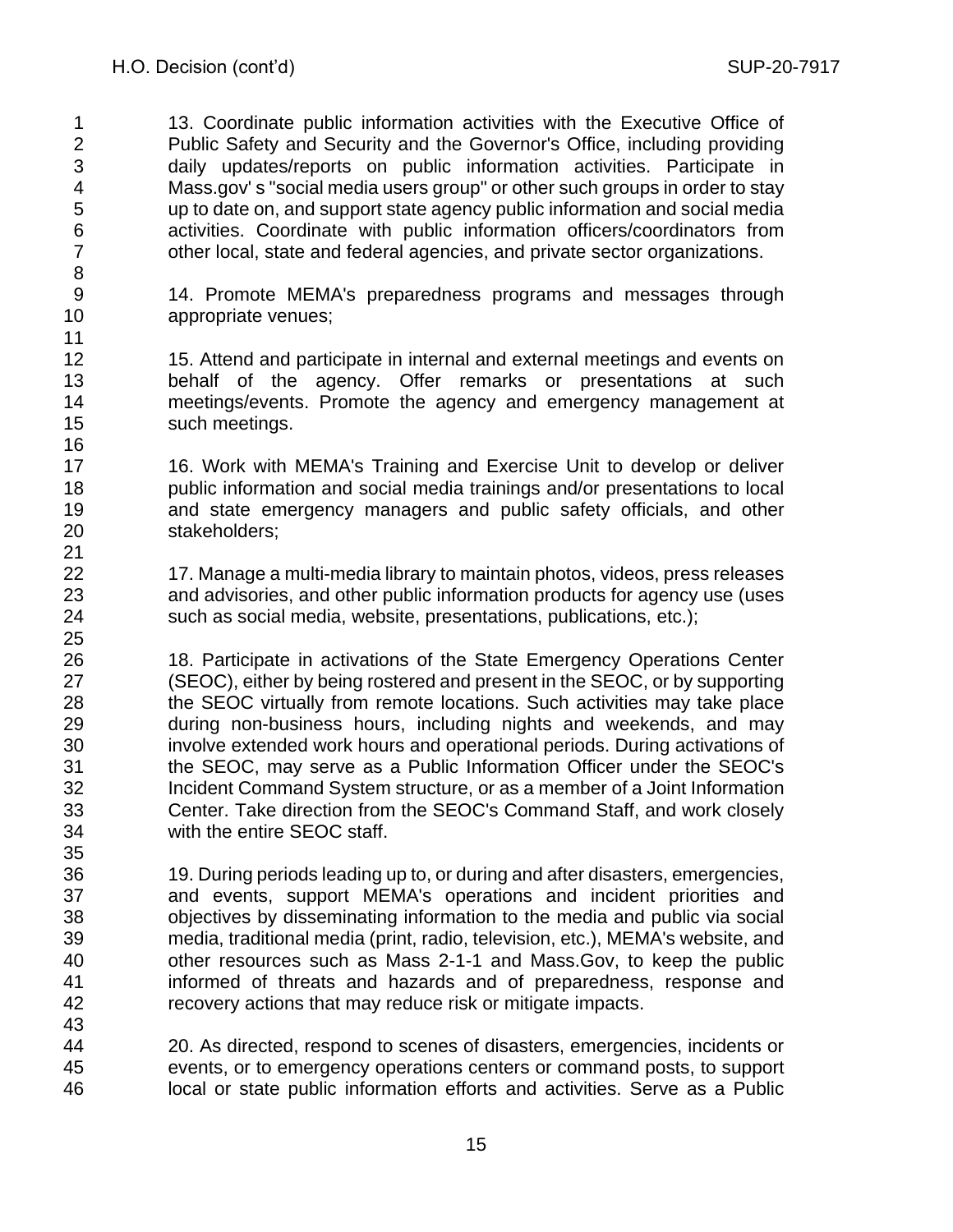13. Coordinate public information activities with the Executive Office of Public Safety and Security and the Governor's Office, including providing daily updates/reports on public information activities. Participate in Mass.gov' s "social media users group" or other such groups in order to stay up to date on, and support state agency public information and social media activities. Coordinate with public information officers/coordinators from other local, state and federal agencies, and private sector organizations.

 14. Promote MEMA's preparedness programs and messages through appropriate venues;

 15. Attend and participate in internal and external meetings and events on behalf of the agency. Offer remarks or presentations at such meetings/events. Promote the agency and emergency management at such meetings.

17 16. Work with MEMA's Training and Exercise Unit to develop or deliver public information and social media trainings and/or presentations to local and state emergency managers and public safety officials, and other stakeholders;

 17. Manage a multi-media library to maintain photos, videos, press releases and advisories, and other public information products for agency use (uses such as social media, website, presentations, publications, etc.);

26 18. Participate in activations of the State Emergency Operations Center (SEOC), either by being rostered and present in the SEOC, or by supporting the SEOC virtually from remote locations. Such activities may take place during non-business hours, including nights and weekends, and may involve extended work hours and operational periods. During activations of the SEOC, may serve as a Public Information Officer under the SEOC's Incident Command System structure, or as a member of a Joint Information Center. Take direction from the SEOC's Command Staff, and work closely with the entire SEOC staff.

 19. During periods leading up to, or during and after disasters, emergencies, and events, support MEMA's operations and incident priorities and objectives by disseminating information to the media and public via social media, traditional media (print, radio, television, etc.), MEMA's website, and other resources such as Mass 2-1-1 and Mass.Gov, to keep the public informed of threats and hazards and of preparedness, response and recovery actions that may reduce risk or mitigate impacts.

 20. As directed, respond to scenes of disasters, emergencies, incidents or events, or to emergency operations centers or command posts, to support local or state public information efforts and activities. Serve as a Public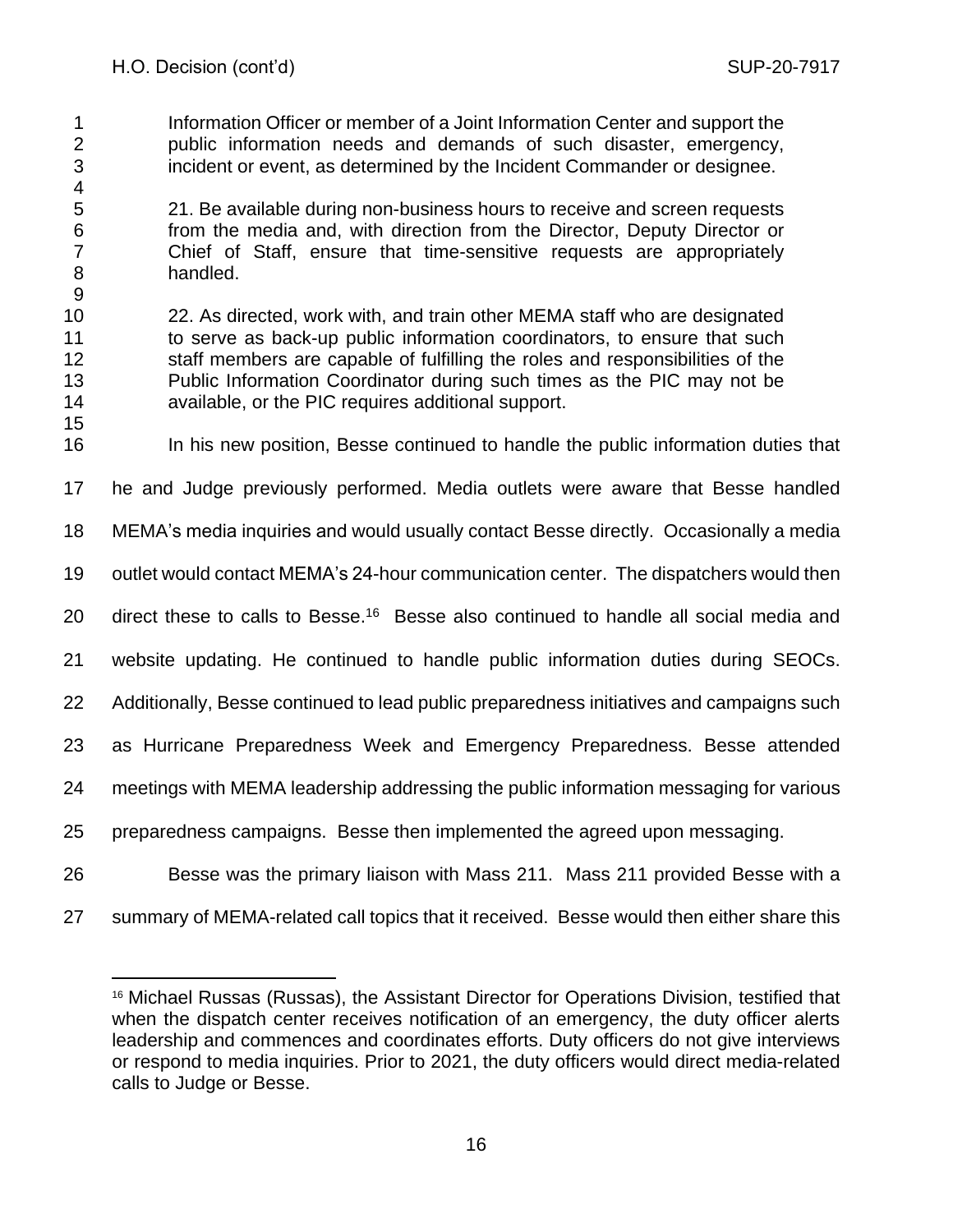- Information Officer or member of a Joint Information Center and support the public information needs and demands of such disaster, emergency, incident or event, as determined by the Incident Commander or designee.
- 21. Be available during non-business hours to receive and screen requests from the media and, with direction from the Director, Deputy Director or Chief of Staff, ensure that time-sensitive requests are appropriately handled.
- 22. As directed, work with, and train other MEMA staff who are designated to serve as back-up public information coordinators, to ensure that such staff members are capable of fulfilling the roles and responsibilities of the Public Information Coordinator during such times as the PIC may not be available, or the PIC requires additional support.
- In his new position, Besse continued to handle the public information duties that
- he and Judge previously performed. Media outlets were aware that Besse handled
- MEMA's media inquiries and would usually contact Besse directly. Occasionally a media
- outlet would contact MEMA's 24-hour communication center. The dispatchers would then
- 20 direct these to calls to Besse.<sup>16</sup> Besse also continued to handle all social media and
- website updating. He continued to handle public information duties during SEOCs.
- Additionally, Besse continued to lead public preparedness initiatives and campaigns such
- as Hurricane Preparedness Week and Emergency Preparedness. Besse attended
- meetings with MEMA leadership addressing the public information messaging for various
- preparedness campaigns. Besse then implemented the agreed upon messaging.
- Besse was the primary liaison with Mass 211. Mass 211 provided Besse with a
- summary of MEMA-related call topics that it received. Besse would then either share this

 Michael Russas (Russas), the Assistant Director for Operations Division, testified that when the dispatch center receives notification of an emergency, the duty officer alerts leadership and commences and coordinates efforts. Duty officers do not give interviews or respond to media inquiries. Prior to 2021, the duty officers would direct media-related calls to Judge or Besse.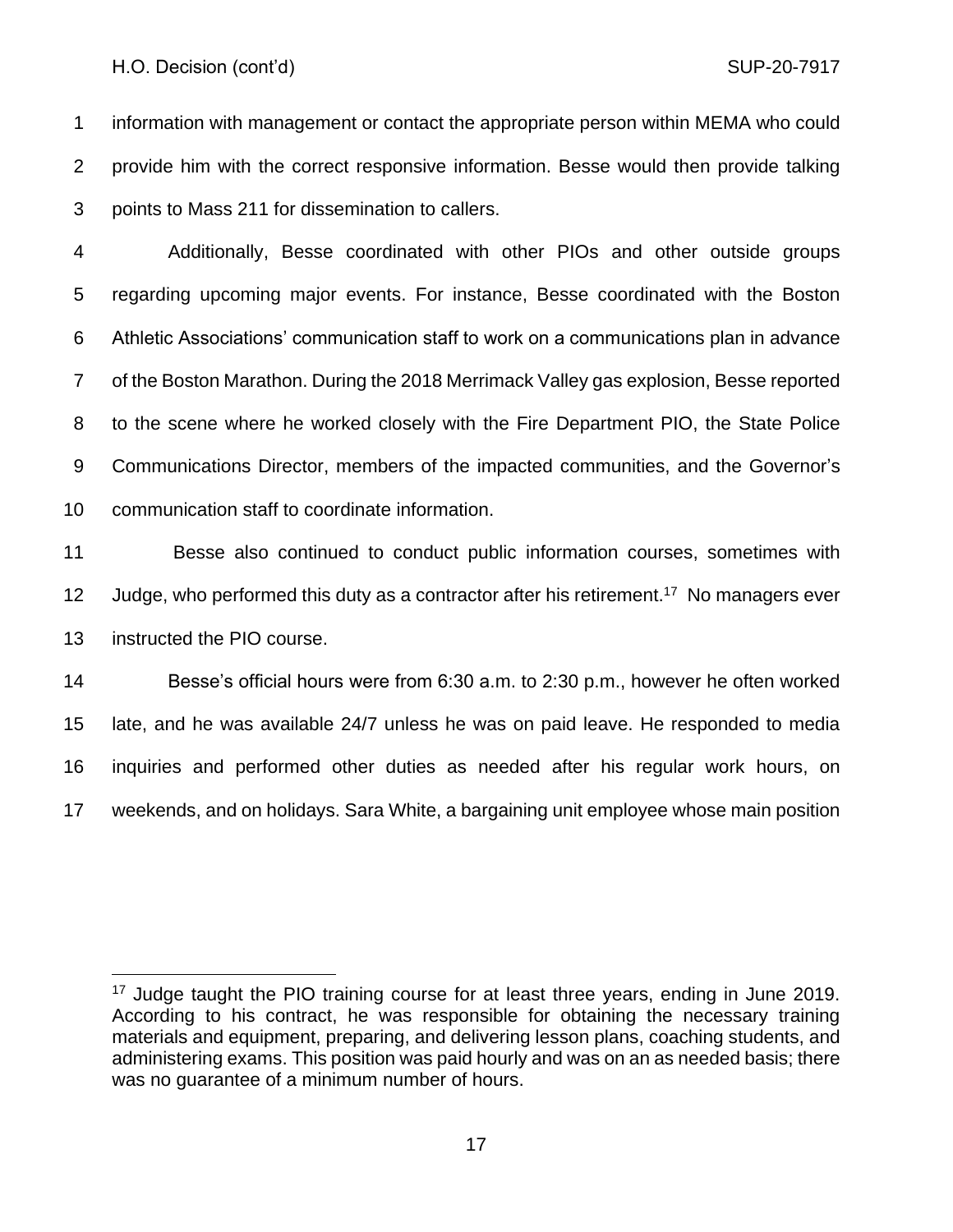information with management or contact the appropriate person within MEMA who could provide him with the correct responsive information. Besse would then provide talking points to Mass 211 for dissemination to callers.

 Additionally, Besse coordinated with other PIOs and other outside groups regarding upcoming major events. For instance, Besse coordinated with the Boston Athletic Associations' communication staff to work on a communications plan in advance of the Boston Marathon. During the 2018 Merrimack Valley gas explosion, Besse reported to the scene where he worked closely with the Fire Department PIO, the State Police Communications Director, members of the impacted communities, and the Governor's communication staff to coordinate information.

 Besse also continued to conduct public information courses, sometimes with 12 Judge, who performed this duty as a contractor after his retirement.<sup>17</sup> No managers ever instructed the PIO course.

 Besse's official hours were from 6:30 a.m. to 2:30 p.m., however he often worked late, and he was available 24/7 unless he was on paid leave. He responded to media inquiries and performed other duties as needed after his regular work hours, on weekends, and on holidays. Sara White, a bargaining unit employee whose main position

<sup>&</sup>lt;sup>17</sup> Judge taught the PIO training course for at least three years, ending in June 2019. According to his contract, he was responsible for obtaining the necessary training materials and equipment, preparing, and delivering lesson plans, coaching students, and administering exams. This position was paid hourly and was on an as needed basis; there was no guarantee of a minimum number of hours.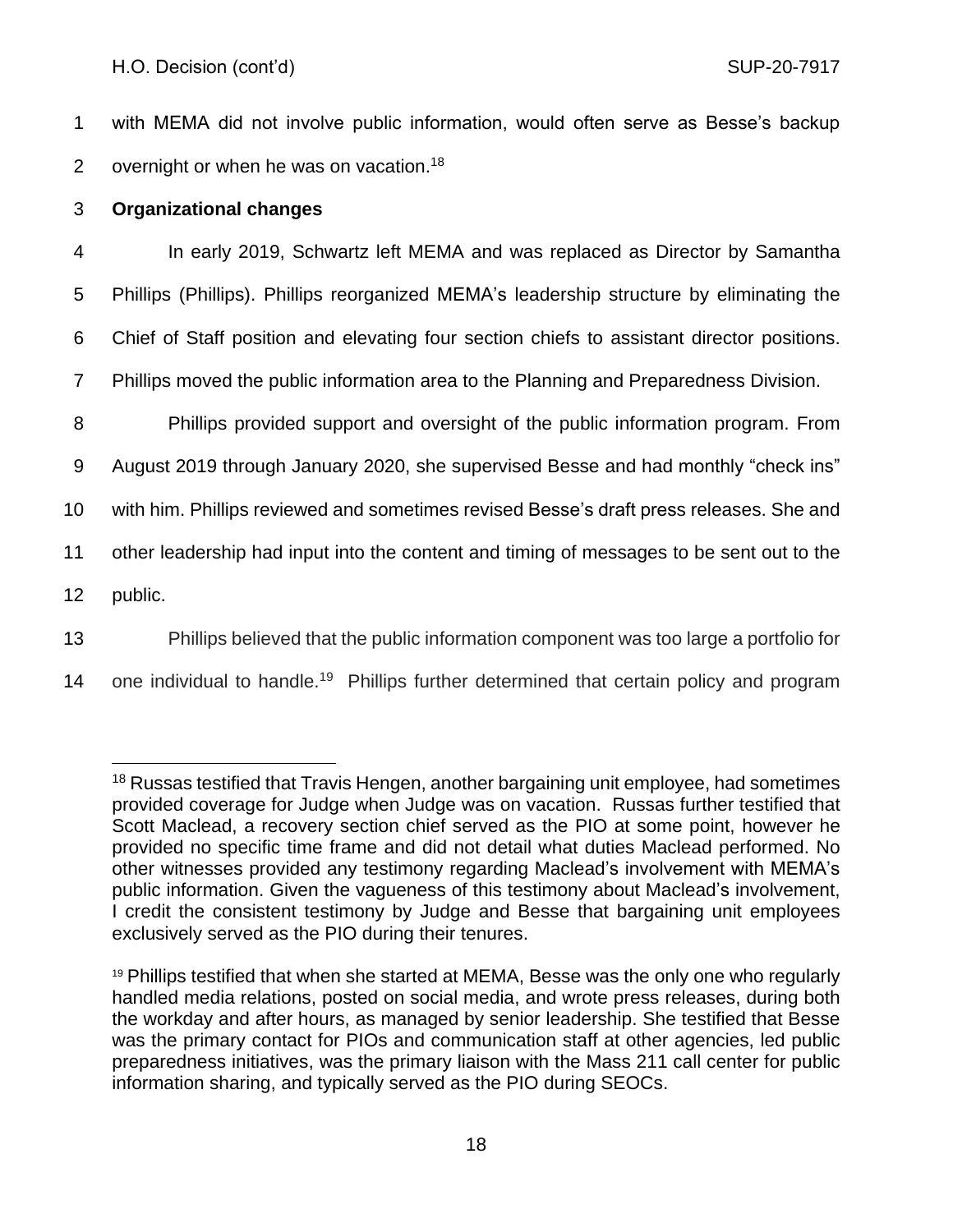1 with MEMA did not involve public information, would often serve as Besse's backup 2 overnight or when he was on vacation.<sup>18</sup>

# 3 **Organizational changes**

 In early 2019, Schwartz left MEMA and was replaced as Director by Samantha Phillips (Phillips). Phillips reorganized MEMA's leadership structure by eliminating the Chief of Staff position and elevating four section chiefs to assistant director positions. Phillips moved the public information area to the Planning and Preparedness Division. Phillips provided support and oversight of the public information program. From

9 August 2019 through January 2020, she supervised Besse and had monthly "check ins"

10 with him. Phillips reviewed and sometimes revised Besse's draft press releases. She and

11 other leadership had input into the content and timing of messages to be sent out to the

12 public.

13 Phillips believed that the public information component was too large a portfolio for

14 one individual to handle.<sup>19</sup> Phillips further determined that certain policy and program

<sup>&</sup>lt;sup>18</sup> Russas testified that Travis Hengen, another bargaining unit employee, had sometimes provided coverage for Judge when Judge was on vacation. Russas further testified that Scott Maclead, a recovery section chief served as the PIO at some point, however he provided no specific time frame and did not detail what duties Maclead performed. No other witnesses provided any testimony regarding Maclead's involvement with MEMA's public information. Given the vagueness of this testimony about Maclead's involvement, I credit the consistent testimony by Judge and Besse that bargaining unit employees exclusively served as the PIO during their tenures.

<sup>19</sup> Phillips testified that when she started at MEMA, Besse was the only one who regularly handled media relations, posted on social media, and wrote press releases, during both the workday and after hours, as managed by senior leadership. She testified that Besse was the primary contact for PIOs and communication staff at other agencies, led public preparedness initiatives, was the primary liaison with the Mass 211 call center for public information sharing, and typically served as the PIO during SEOCs.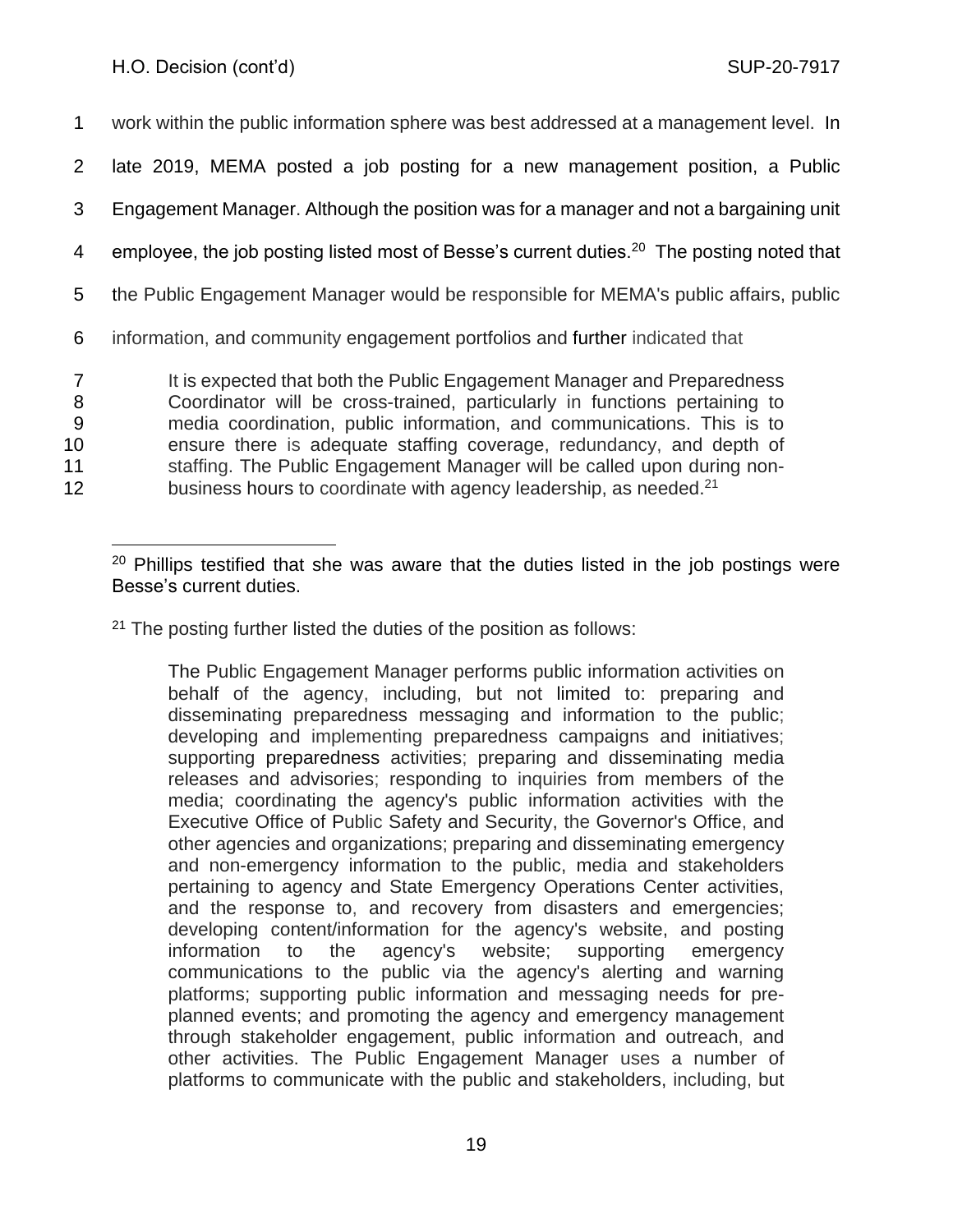work within the public information sphere was best addressed at a management level. In late 2019, MEMA posted a job posting for a new management position, a Public Engagement Manager. Although the position was for a manager and not a bargaining unit 4 employee, the job posting listed most of Besse's current duties.<sup>20</sup> The posting noted that the Public Engagement Manager would be responsible for MEMA's public affairs, public information, and community engagement portfolios and further indicated that 7 It is expected that both the Public Engagement Manager and Preparedness Coordinator will be cross-trained, particularly in functions pertaining to media coordination, public information, and communications. This is to ensure there is adequate staffing coverage, redundancy, and depth of 11 staffing. The Public Engagement Manager will be called upon during non-12 business hours to coordinate with agency leadership, as needed.<sup>21</sup>

The Public Engagement Manager performs public information activities on behalf of the agency, including, but not limited to: preparing and disseminating preparedness messaging and information to the public; developing and implementing preparedness campaigns and initiatives; supporting preparedness activities; preparing and disseminating media releases and advisories; responding to inquiries from members of the media; coordinating the agency's public information activities with the Executive Office of Public Safety and Security, the Governor's Office, and other agencies and organizations; preparing and disseminating emergency and non-emergency information to the public, media and stakeholders pertaining to agency and State Emergency Operations Center activities, and the response to, and recovery from disasters and emergencies; developing content/information for the agency's website, and posting information to the agency's website; supporting emergency communications to the public via the agency's alerting and warning platforms; supporting public information and messaging needs for preplanned events; and promoting the agency and emergency management through stakeholder engagement, public information and outreach, and other activities. The Public Engagement Manager uses a number of platforms to communicate with the public and stakeholders, including, but

 $20$  Phillips testified that she was aware that the duties listed in the job postings were Besse's current duties.

<sup>&</sup>lt;sup>21</sup> The posting further listed the duties of the position as follows: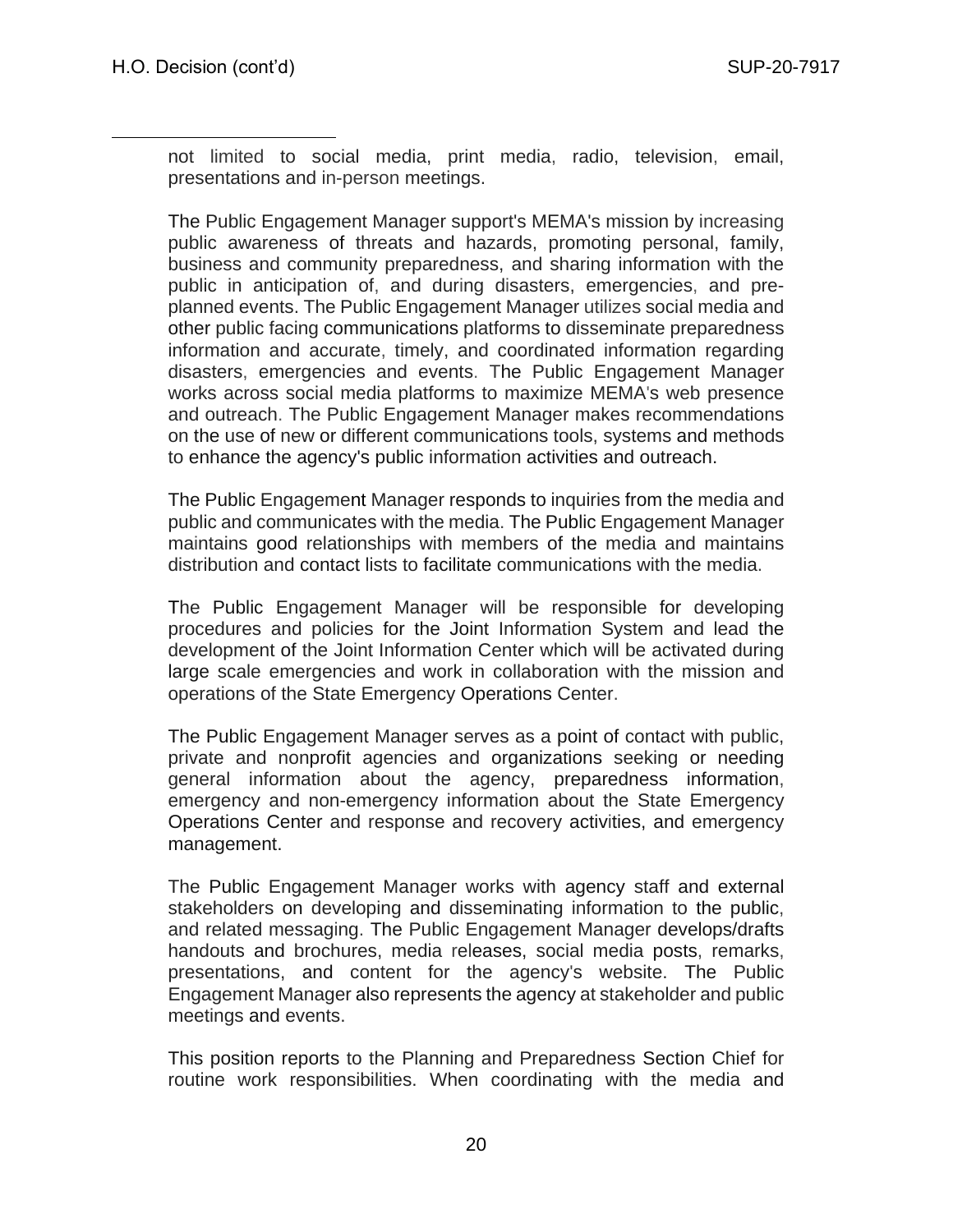not limited to social media, print media, radio, television, email, presentations and in-person meetings.

The Public Engagement Manager support's MEMA's mission by increasing public awareness of threats and hazards, promoting personal, family, business and community preparedness, and sharing information with the public in anticipation of, and during disasters, emergencies, and preplanned events. The Public Engagement Manager utilizes social media and other public facing communications platforms to disseminate preparedness information and accurate, timely, and coordinated information regarding disasters, emergencies and events. The Public Engagement Manager works across social media platforms to maximize MEMA's web presence and outreach. The Public Engagement Manager makes recommendations on the use of new or different communications tools, systems and methods to enhance the agency's public information activities and outreach.

The Public Engagement Manager responds to inquiries from the media and public and communicates with the media. The Public Engagement Manager maintains good relationships with members of the media and maintains distribution and contact lists to facilitate communications with the media.

The Public Engagement Manager will be responsible for developing procedures and policies for the Joint Information System and lead the development of the Joint Information Center which will be activated during large scale emergencies and work in collaboration with the mission and operations of the State Emergency Operations Center.

The Public Engagement Manager serves as a point of contact with public, private and nonprofit agencies and organizations seeking or needing general information about the agency, preparedness information, emergency and non-emergency information about the State Emergency Operations Center and response and recovery activities, and emergency management.

The Public Engagement Manager works with agency staff and external stakeholders on developing and disseminating information to the public, and related messaging. The Public Engagement Manager develops/drafts handouts and brochures, media releases, social media posts, remarks, presentations, and content for the agency's website. The Public Engagement Manager also represents the agency at stakeholder and public meetings and events.

This position reports to the Planning and Preparedness Section Chief for routine work responsibilities. When coordinating with the media and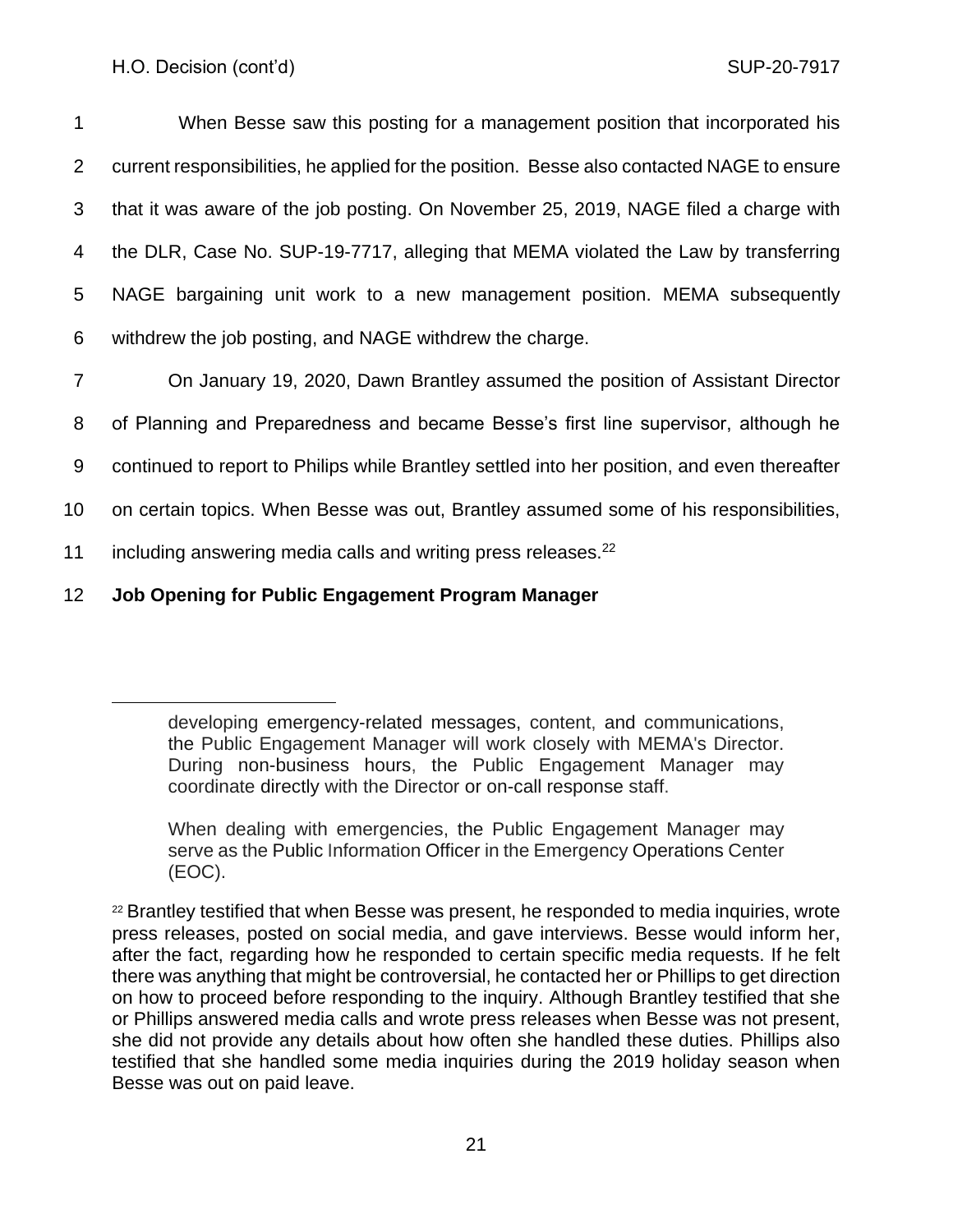1 When Besse saw this posting for a management position that incorporated his current responsibilities, he applied for the position. Besse also contacted NAGE to ensure that it was aware of the job posting. On November 25, 2019, NAGE filed a charge with the DLR, Case No. SUP-19-7717, alleging that MEMA violated the Law by transferring NAGE bargaining unit work to a new management position. MEMA subsequently withdrew the job posting, and NAGE withdrew the charge.

- 7 On January 19, 2020, Dawn Brantley assumed the position of Assistant Director 8 of Planning and Preparedness and became Besse's first line supervisor, although he 9 continued to report to Philips while Brantley settled into her position, and even thereafter 10 on certain topics. When Besse was out, Brantley assumed some of his responsibilities, 11 including answering media calls and writing press releases. $^{22}$
- 
- 12 **Job Opening for Public Engagement Program Manager**

developing emergency-related messages, content, and communications, the Public Engagement Manager will work closely with MEMA's Director. During non-business hours, the Public Engagement Manager may coordinate directly with the Director or on-call response staff.

When dealing with emergencies, the Public Engagement Manager may serve as the Public Information Officer in the Emergency Operations Center (EOC).

 $22$  Brantley testified that when Besse was present, he responded to media inquiries, wrote press releases, posted on social media, and gave interviews. Besse would inform her, after the fact, regarding how he responded to certain specific media requests. If he felt there was anything that might be controversial, he contacted her or Phillips to get direction on how to proceed before responding to the inquiry. Although Brantley testified that she or Phillips answered media calls and wrote press releases when Besse was not present, she did not provide any details about how often she handled these duties. Phillips also testified that she handled some media inquiries during the 2019 holiday season when Besse was out on paid leave.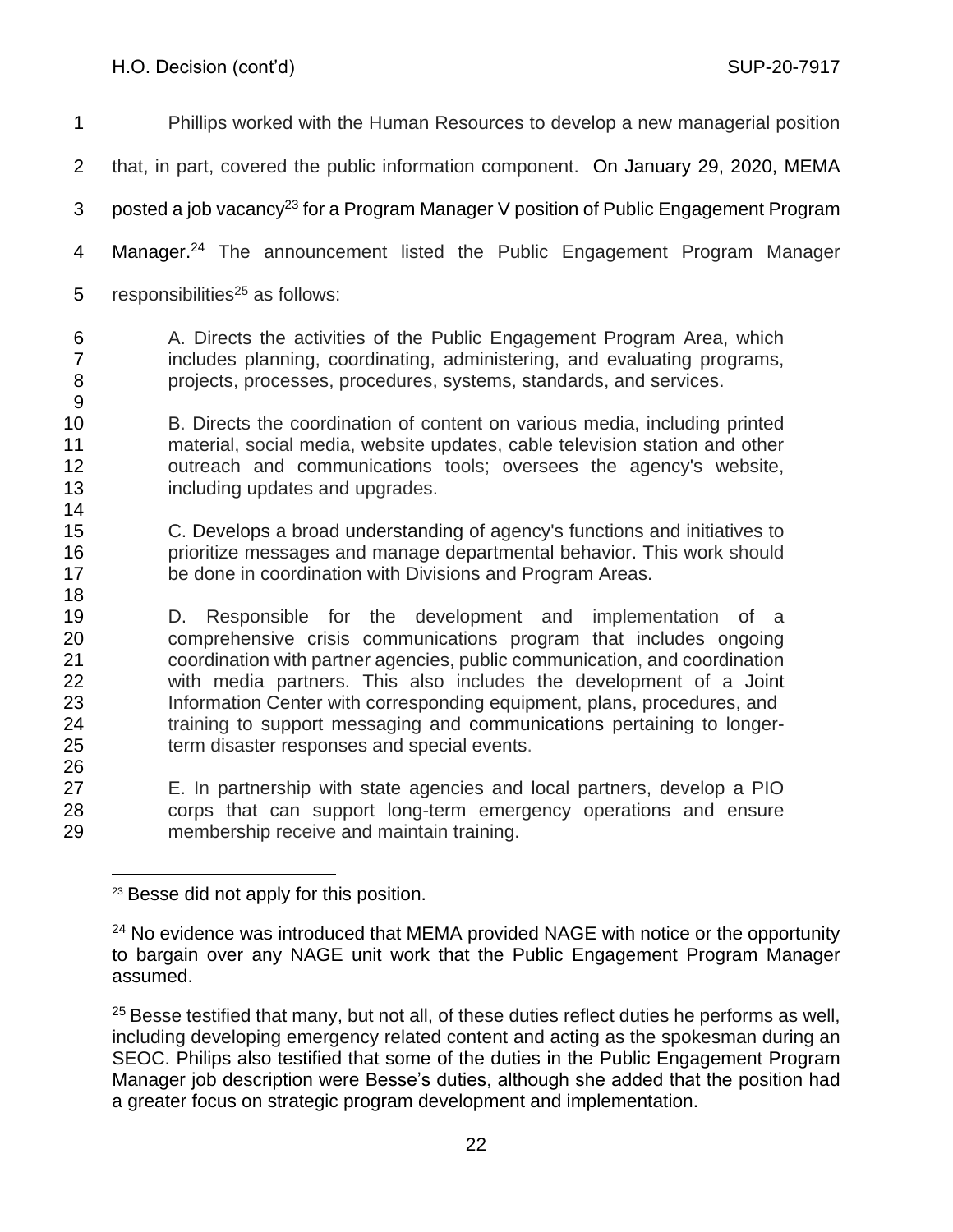| $\mathbf 1$                            | Phillips worked with the Human Resources to develop a new managerial position                                                                                                                                                                                                                                                                                                                                                                                                              |
|----------------------------------------|--------------------------------------------------------------------------------------------------------------------------------------------------------------------------------------------------------------------------------------------------------------------------------------------------------------------------------------------------------------------------------------------------------------------------------------------------------------------------------------------|
| $\overline{2}$                         | that, in part, covered the public information component. On January 29, 2020, MEMA                                                                                                                                                                                                                                                                                                                                                                                                         |
| 3                                      | posted a job vacancy <sup>23</sup> for a Program Manager V position of Public Engagement Program                                                                                                                                                                                                                                                                                                                                                                                           |
| 4                                      | Manager. <sup>24</sup> The announcement listed the Public Engagement Program Manager                                                                                                                                                                                                                                                                                                                                                                                                       |
| 5                                      | responsibilities <sup>25</sup> as follows:                                                                                                                                                                                                                                                                                                                                                                                                                                                 |
| 6<br>$\overline{7}$<br>8<br>9          | A. Directs the activities of the Public Engagement Program Area, which<br>includes planning, coordinating, administering, and evaluating programs,<br>projects, processes, procedures, systems, standards, and services.                                                                                                                                                                                                                                                                   |
| 10<br>11<br>12<br>13<br>14             | B. Directs the coordination of content on various media, including printed<br>material, social media, website updates, cable television station and other<br>outreach and communications tools; oversees the agency's website,<br>including updates and upgrades.                                                                                                                                                                                                                          |
| 15<br>16<br>17<br>18                   | C. Develops a broad understanding of agency's functions and initiatives to<br>prioritize messages and manage departmental behavior. This work should<br>be done in coordination with Divisions and Program Areas.                                                                                                                                                                                                                                                                          |
| 19<br>20<br>21<br>22<br>23<br>24<br>25 | Responsible for the development and implementation of a<br>D.<br>comprehensive crisis communications program that includes ongoing<br>coordination with partner agencies, public communication, and coordination<br>with media partners. This also includes the development of a Joint<br>Information Center with corresponding equipment, plans, procedures, and<br>training to support messaging and communications pertaining to longer-<br>term disaster responses and special events. |
| 26<br>27<br>28<br>29                   | E. In partnership with state agencies and local partners, develop a PIO<br>corps that can support long-term emergency operations and ensure<br>membership receive and maintain training.                                                                                                                                                                                                                                                                                                   |

<sup>23</sup> Besse did not apply for this position.

<sup>&</sup>lt;sup>24</sup> No evidence was introduced that MEMA provided NAGE with notice or the opportunity to bargain over any NAGE unit work that the Public Engagement Program Manager assumed.

 Besse testified that many, but not all, of these duties reflect duties he performs as well, including developing emergency related content and acting as the spokesman during an SEOC. Philips also testified that some of the duties in the Public Engagement Program Manager job description were Besse's duties, although she added that the position had a greater focus on strategic program development and implementation.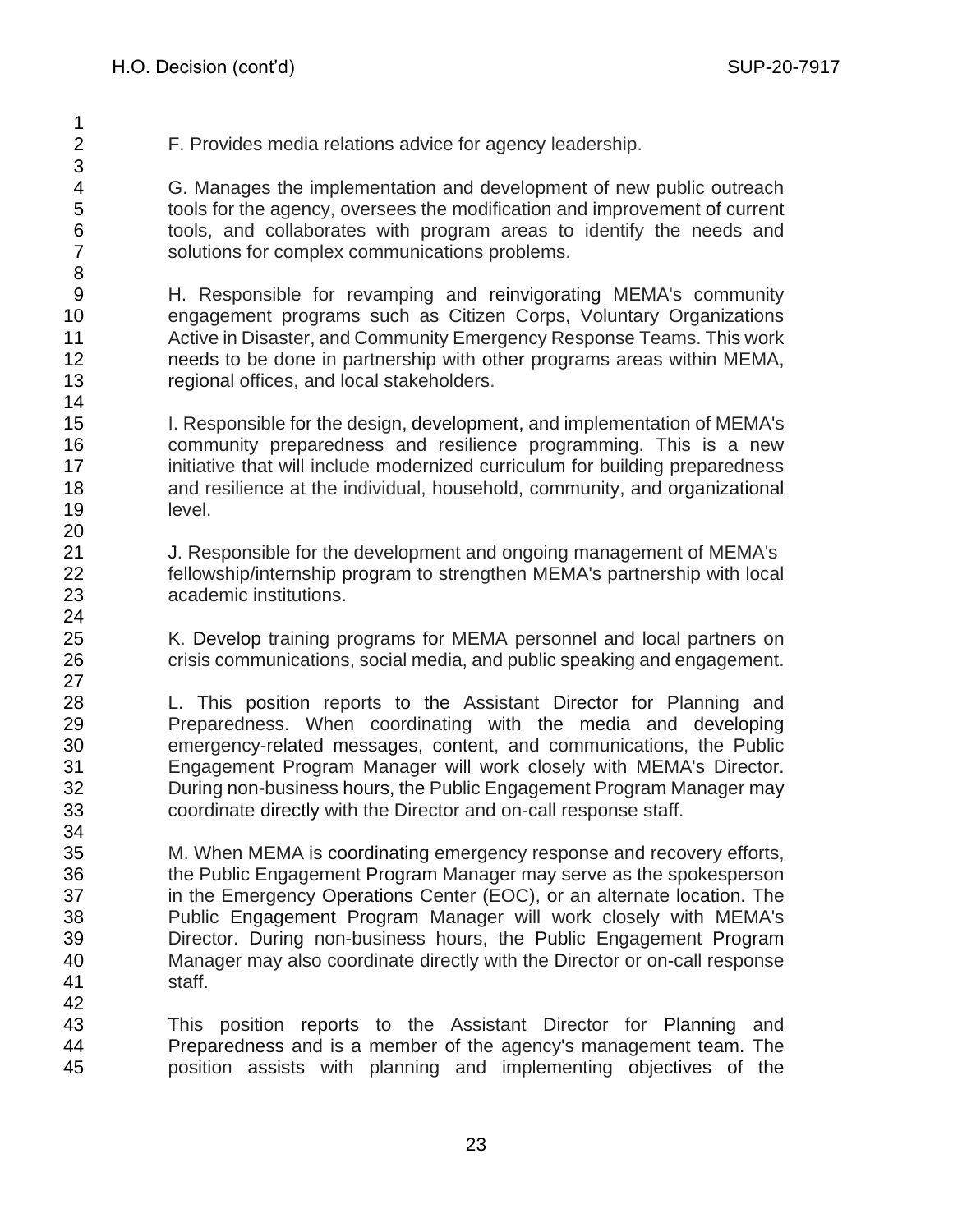F. Provides media relations advice for agency leadership. G. Manages the implementation and development of new public outreach tools for the agency, oversees the modification and improvement of current tools, and collaborates with program areas to identify the needs and solutions for complex communications problems.

 H. Responsible for revamping and reinvigorating MEMA's community engagement programs such as Citizen Corps, Voluntary Organizations Active in Disaster, and Community Emergency Response Teams. This work needs to be done in partnership with other programs areas within MEMA, regional offices, and local stakeholders.

 I. Responsible for the design, development, and implementation of MEMA's community preparedness and resilience programming. This is a new **initiative that will include modernized curriculum for building preparedness**  and resilience at the individual, household, community, and organizational level.

 J. Responsible for the development and ongoing management of MEMA's fellowship/internship program to strengthen MEMA's partnership with local academic institutions.

25 K. Develop training programs for MEMA personnel and local partners on crisis communications, social media, and public speaking and engagement.

 L. This position reports to the Assistant Director for Planning and Preparedness. When coordinating with the media and developing emergency-related messages, content, and communications, the Public Engagement Program Manager will work closely with MEMA's Director. During non-business hours, the Public Engagement Program Manager may coordinate directly with the Director and on-call response staff.

 M. When MEMA is coordinating emergency response and recovery efforts, the Public Engagement Program Manager may serve as the spokesperson in the Emergency Operations Center (EOC), or an alternate location. The Public Engagement Program Manager will work closely with MEMA's Director. During non-business hours, the Public Engagement Program Manager may also coordinate directly with the Director or on-call response staff.

 This position reports to the Assistant Director for Planning and Preparedness and is a member of the agency's management team. The position assists with planning and implementing objectives of the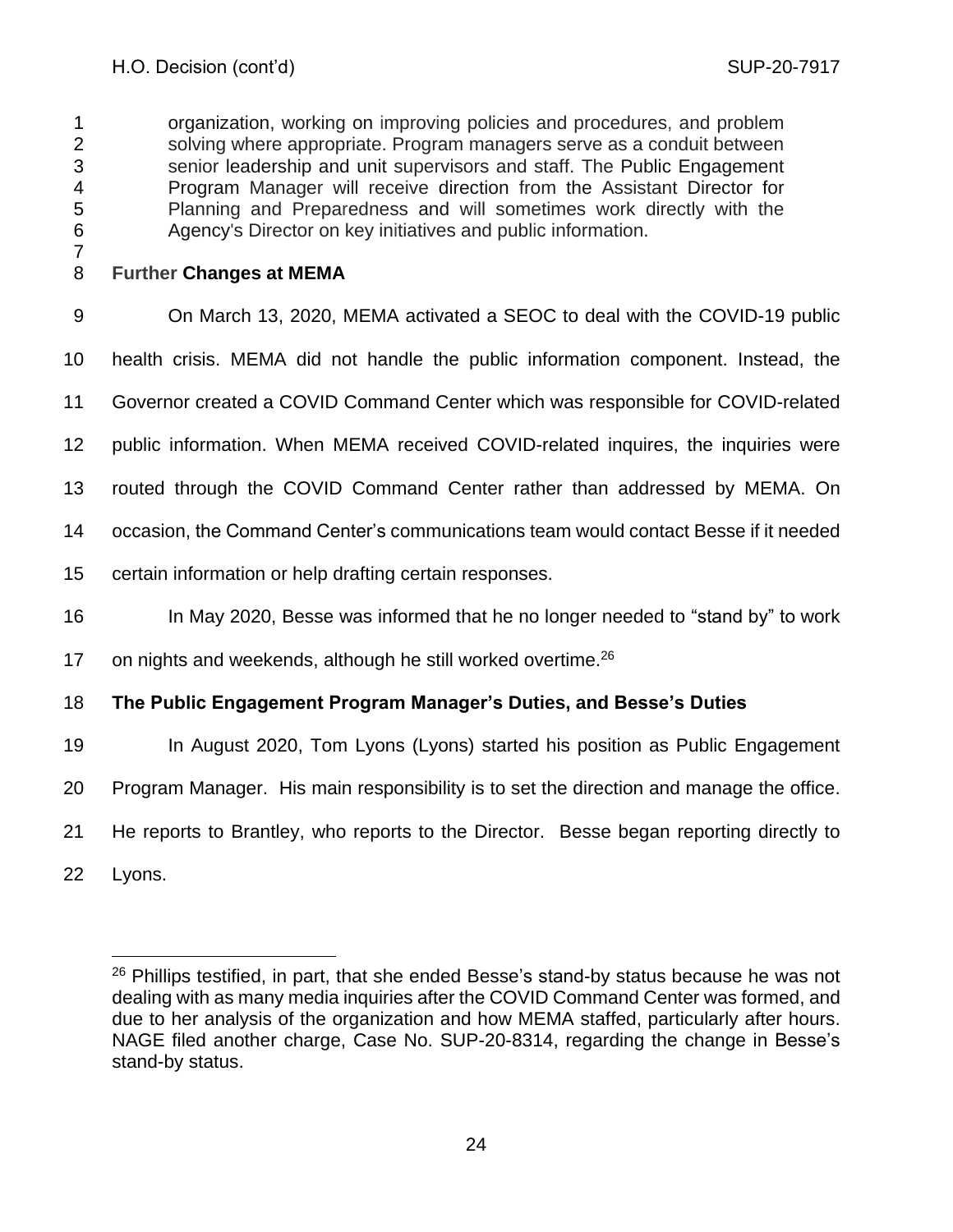organization, working on improving policies and procedures, and problem solving where appropriate. Program managers serve as a conduit between senior leadership and unit supervisors and staff. The Public Engagement Program Manager will receive direction from the Assistant Director for Planning and Preparedness and will sometimes work directly with the Agency's Director on key initiatives and public information.

# **Further Changes at MEMA**

On March 13, 2020, MEMA activated a SEOC to deal with the COVID-19 public

health crisis. MEMA did not handle the public information component. Instead, the

- Governor created a COVID Command Center which was responsible for COVID-related
- public information. When MEMA received COVID-related inquires, the inquiries were
- routed through the COVID Command Center rather than addressed by MEMA. On
- occasion, the Command Center's communications team would contact Besse if it needed
- certain information or help drafting certain responses.
- In May 2020, Besse was informed that he no longer needed to "stand by" to work
- 17 on nights and weekends, although he still worked overtime.

# **The Public Engagement Program Manager's Duties, and Besse's Duties**

- 19 In August 2020, Tom Lyons (Lyons) started his position as Public Engagement
- Program Manager. His main responsibility is to set the direction and manage the office.
- He reports to Brantley, who reports to the Director. Besse began reporting directly to
- Lyons.

<sup>&</sup>lt;sup>26</sup> Phillips testified, in part, that she ended Besse's stand-by status because he was not dealing with as many media inquiries after the COVID Command Center was formed, and due to her analysis of the organization and how MEMA staffed, particularly after hours. NAGE filed another charge, Case No. SUP-20-8314, regarding the change in Besse's stand-by status.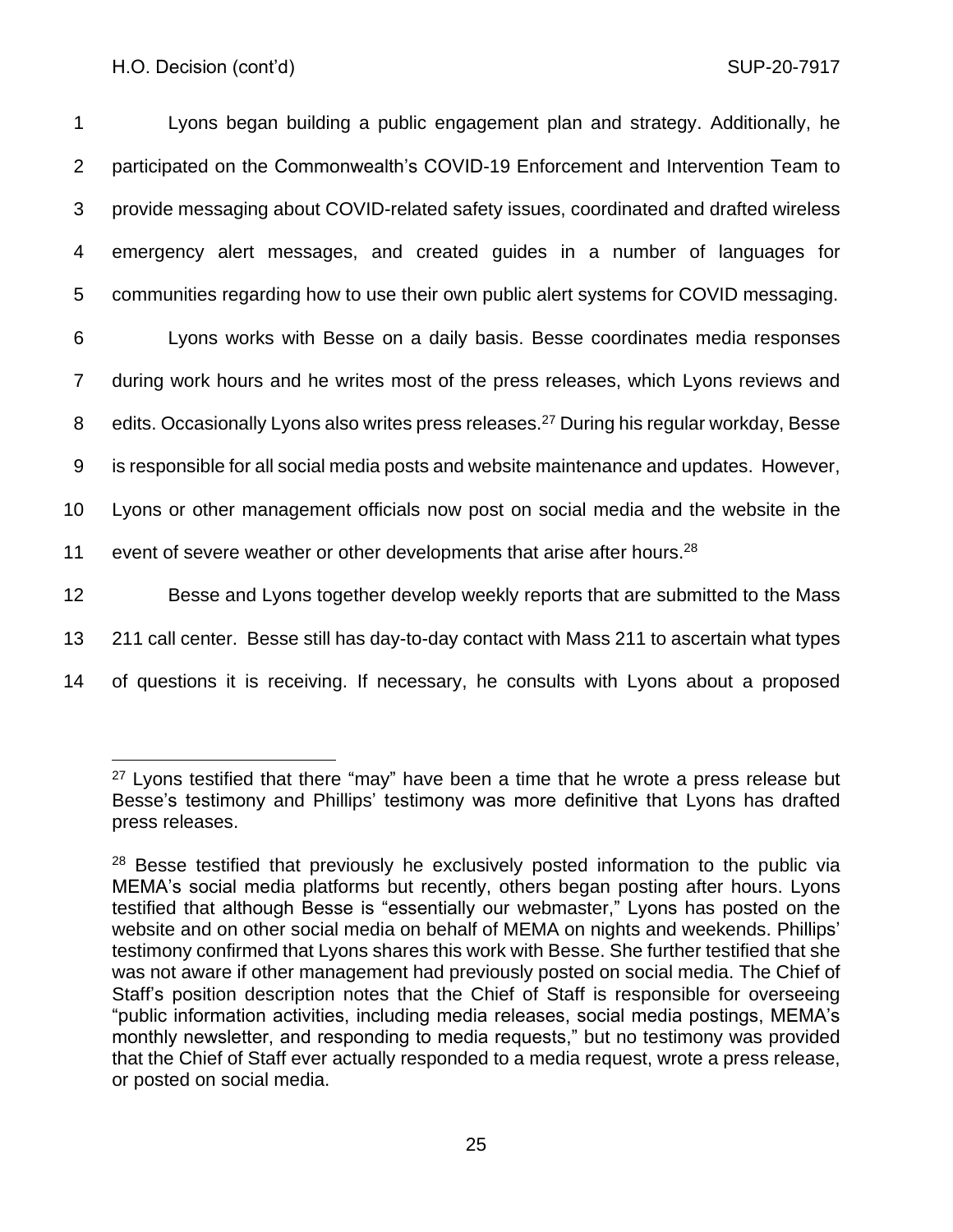| 1               | Lyons began building a public engagement plan and strategy. Additionally, he                          |
|-----------------|-------------------------------------------------------------------------------------------------------|
| 2               | participated on the Commonwealth's COVID-19 Enforcement and Intervention Team to                      |
| 3               | provide messaging about COVID-related safety issues, coordinated and drafted wireless                 |
| 4               | emergency alert messages, and created guides in a number of languages for                             |
| 5               | communities regarding how to use their own public alert systems for COVID messaging.                  |
| 6               | Lyons works with Besse on a daily basis. Besse coordinates media responses                            |
| $\overline{7}$  | during work hours and he writes most of the press releases, which Lyons reviews and                   |
| 8               | edits. Occasionally Lyons also writes press releases. <sup>27</sup> During his regular workday, Besse |
| 9               | is responsible for all social media posts and website maintenance and updates. However,               |
| 10 <sub>1</sub> | Lyons or other management officials now post on social media and the website in the                   |
| 11              | event of severe weather or other developments that arise after hours. <sup>28</sup>                   |
| 12              | Besse and Lyons together develop weekly reports that are submitted to the Mass                        |
| 13              | 211 call center. Besse still has day-to-day contact with Mass 211 to ascertain what types             |
| 14              | of questions it is receiving. If necessary, he consults with Lyons about a proposed                   |

 $27$  Lyons testified that there "may" have been a time that he wrote a press release but Besse's testimony and Phillips' testimony was more definitive that Lyons has drafted press releases.

<sup>&</sup>lt;sup>28</sup> Besse testified that previously he exclusively posted information to the public via MEMA's social media platforms but recently, others began posting after hours. Lyons testified that although Besse is "essentially our webmaster," Lyons has posted on the website and on other social media on behalf of MEMA on nights and weekends. Phillips' testimony confirmed that Lyons shares this work with Besse. She further testified that she was not aware if other management had previously posted on social media. The Chief of Staff's position description notes that the Chief of Staff is responsible for overseeing "public information activities, including media releases, social media postings, MEMA's monthly newsletter, and responding to media requests," but no testimony was provided that the Chief of Staff ever actually responded to a media request, wrote a press release, or posted on social media.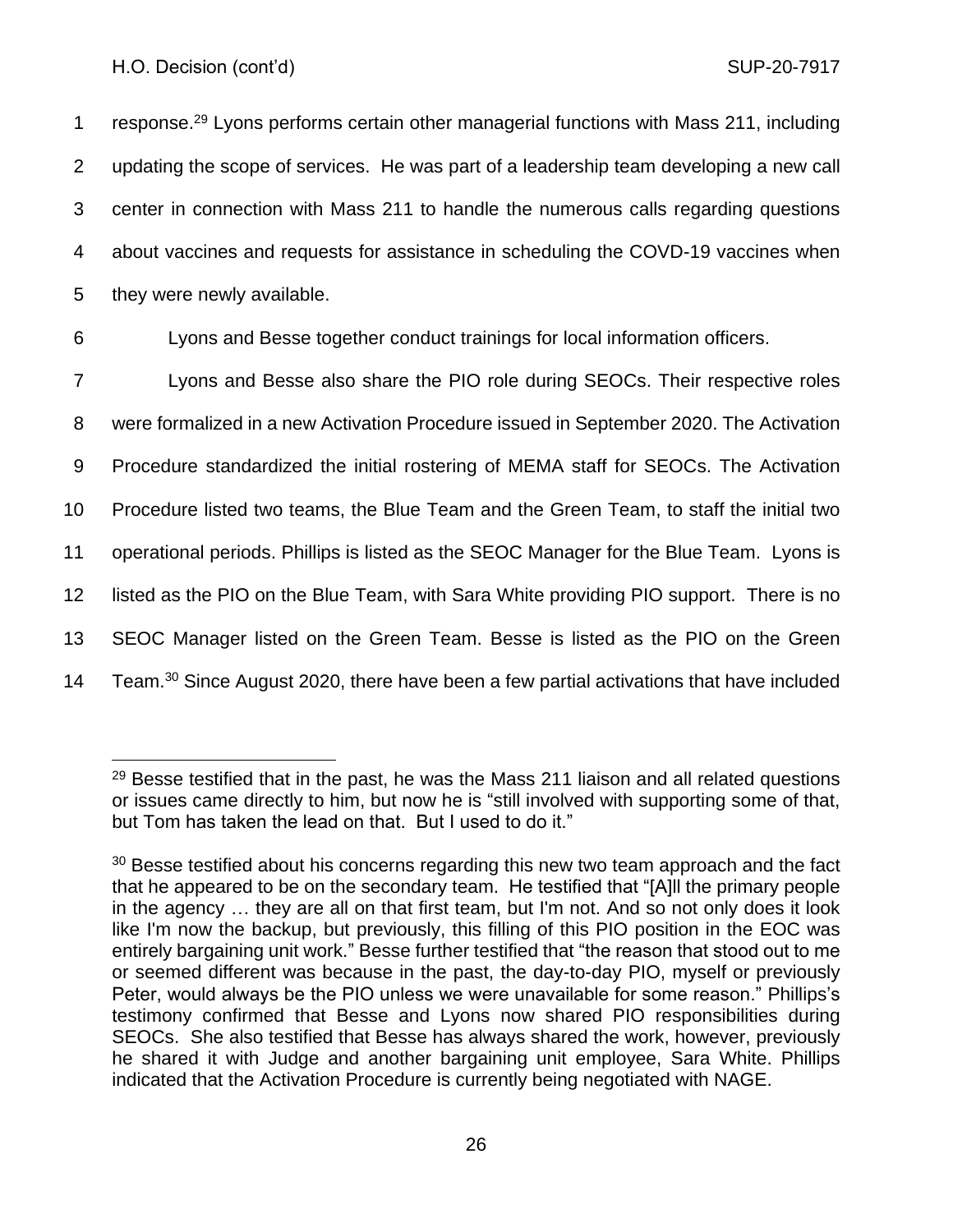1 response.<sup>29</sup> Lyons performs certain other managerial functions with Mass 211, including updating the scope of services. He was part of a leadership team developing a new call center in connection with Mass 211 to handle the numerous calls regarding questions about vaccines and requests for assistance in scheduling the COVD-19 vaccines when they were newly available.

6 Lyons and Besse together conduct trainings for local information officers.

 Lyons and Besse also share the PIO role during SEOCs. Their respective roles were formalized in a new Activation Procedure issued in September 2020. The Activation Procedure standardized the initial rostering of MEMA staff for SEOCs. The Activation Procedure listed two teams, the Blue Team and the Green Team, to staff the initial two operational periods. Phillips is listed as the SEOC Manager for the Blue Team. Lyons is listed as the PIO on the Blue Team, with Sara White providing PIO support. There is no SEOC Manager listed on the Green Team. Besse is listed as the PIO on the Green 14 Team.<sup>30</sup> Since August 2020, there have been a few partial activations that have included

 $29$  Besse testified that in the past, he was the Mass 211 liaison and all related questions or issues came directly to him, but now he is "still involved with supporting some of that, but Tom has taken the lead on that. But I used to do it."

 $30$  Besse testified about his concerns regarding this new two team approach and the fact that he appeared to be on the secondary team. He testified that "[A]ll the primary people in the agency … they are all on that first team, but I'm not. And so not only does it look like I'm now the backup, but previously, this filling of this PIO position in the EOC was entirely bargaining unit work." Besse further testified that "the reason that stood out to me or seemed different was because in the past, the day-to-day PIO, myself or previously Peter, would always be the PIO unless we were unavailable for some reason." Phillips's testimony confirmed that Besse and Lyons now shared PIO responsibilities during SEOCs. She also testified that Besse has always shared the work, however, previously he shared it with Judge and another bargaining unit employee, Sara White. Phillips indicated that the Activation Procedure is currently being negotiated with NAGE.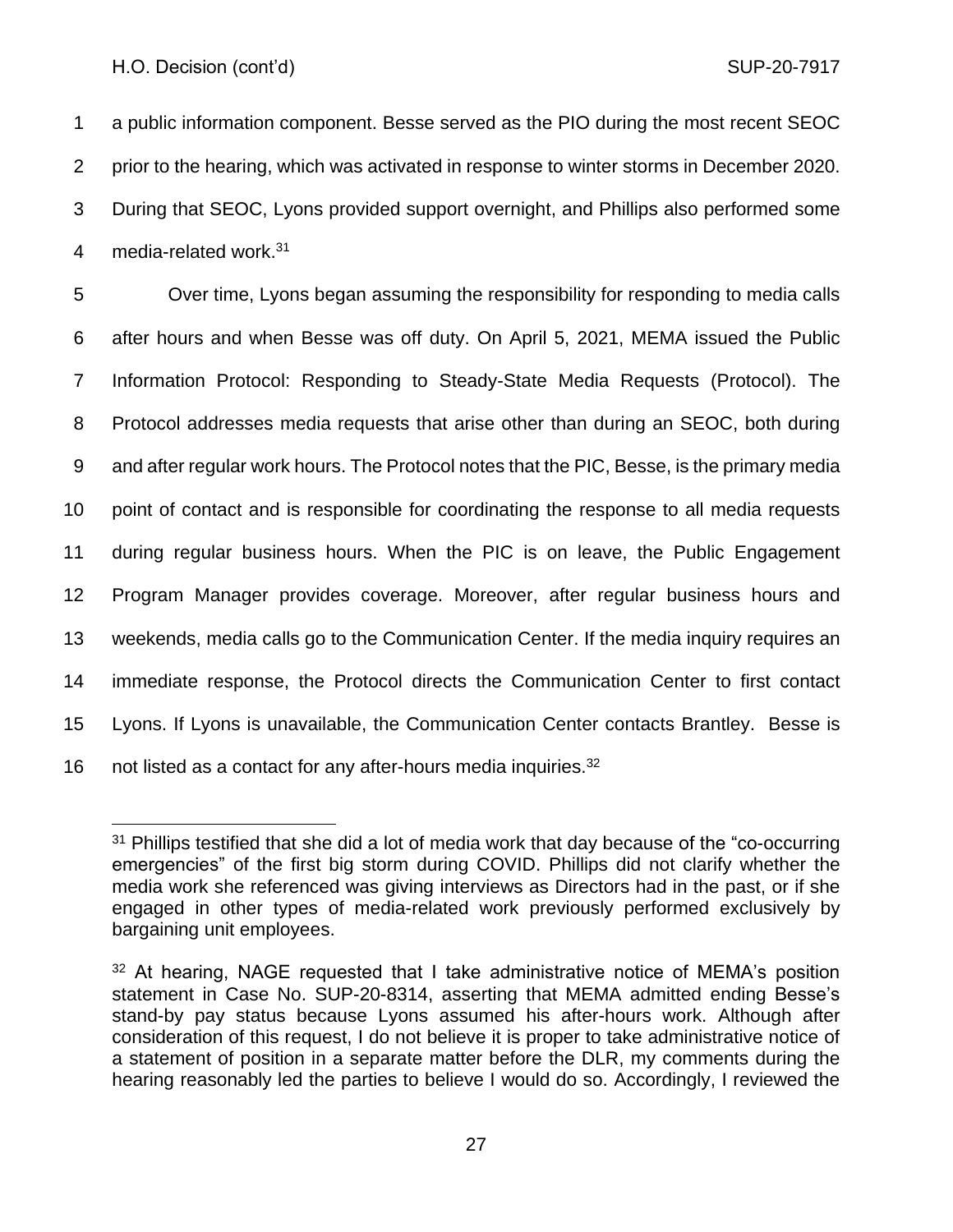a public information component. Besse served as the PIO during the most recent SEOC prior to the hearing, which was activated in response to winter storms in December 2020. During that SEOC, Lyons provided support overnight, and Phillips also performed some 4 media-related work.<sup>31</sup>

 Over time, Lyons began assuming the responsibility for responding to media calls after hours and when Besse was off duty. On April 5, 2021, MEMA issued the Public Information Protocol: Responding to Steady-State Media Requests (Protocol). The Protocol addresses media requests that arise other than during an SEOC, both during and after regular work hours. The Protocol notes that the PIC, Besse, is the primary media point of contact and is responsible for coordinating the response to all media requests during regular business hours. When the PIC is on leave, the Public Engagement Program Manager provides coverage. Moreover, after regular business hours and weekends, media calls go to the Communication Center. If the media inquiry requires an immediate response, the Protocol directs the Communication Center to first contact Lyons. If Lyons is unavailable, the Communication Center contacts Brantley. Besse is 16 not listed as a contact for any after-hours media inquiries.

 Phillips testified that she did a lot of media work that day because of the "co-occurring" emergencies" of the first big storm during COVID. Phillips did not clarify whether the media work she referenced was giving interviews as Directors had in the past, or if she engaged in other types of media-related work previously performed exclusively by bargaining unit employees.

 At hearing, NAGE requested that I take administrative notice of MEMA's position statement in Case No. SUP-20-8314, asserting that MEMA admitted ending Besse's stand-by pay status because Lyons assumed his after-hours work. Although after consideration of this request, I do not believe it is proper to take administrative notice of a statement of position in a separate matter before the DLR, my comments during the hearing reasonably led the parties to believe I would do so. Accordingly, I reviewed the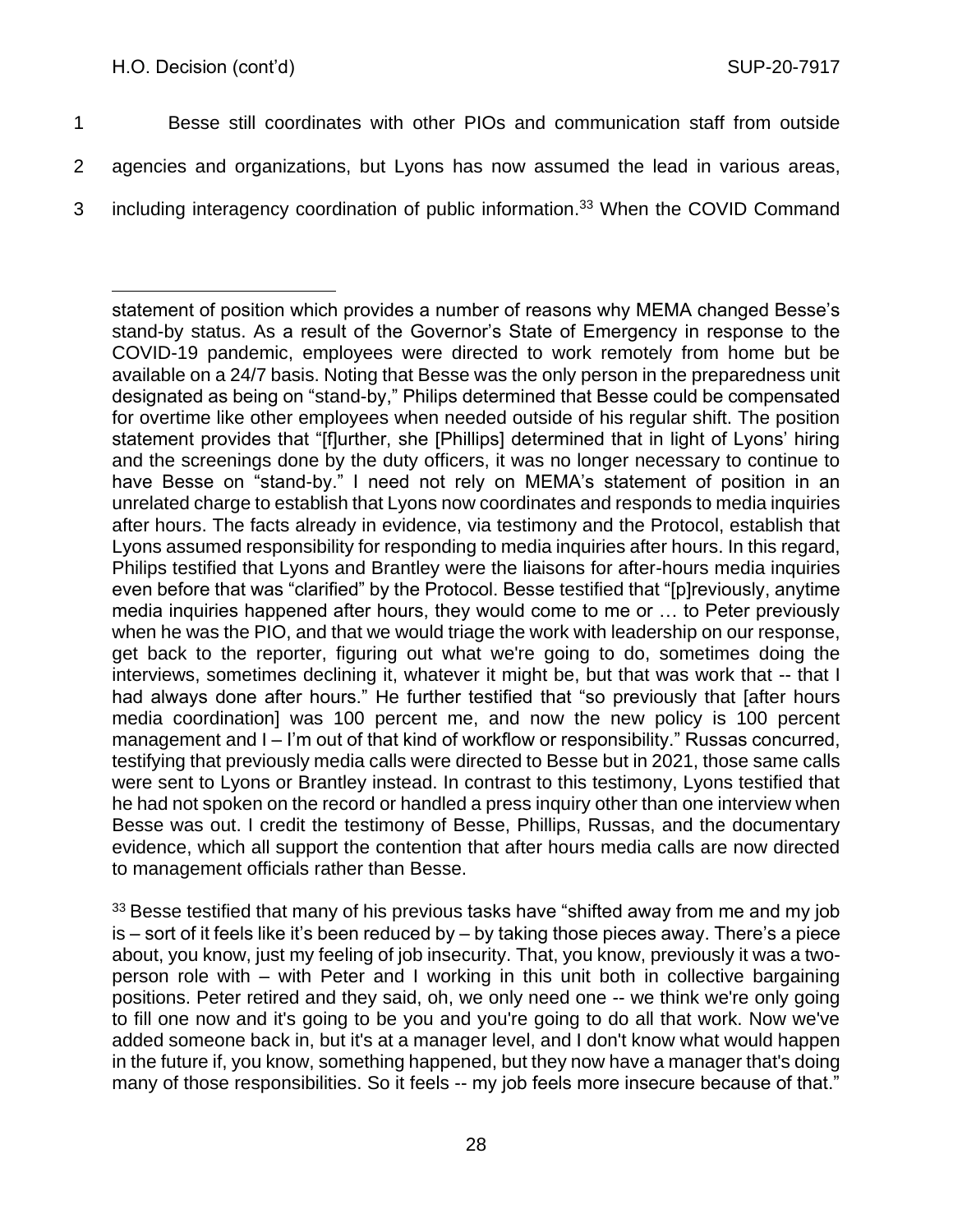1 Besse still coordinates with other PIOs and communication staff from outside

- 2 agencies and organizations, but Lyons has now assumed the lead in various areas,
- 3 including interagency coordination of public information.<sup>33</sup> When the COVID Command

 $33$  Besse testified that many of his previous tasks have "shifted away from me and my job is – sort of it feels like it's been reduced by – by taking those pieces away. There's a piece about, you know, just my feeling of job insecurity. That, you know, previously it was a twoperson role with – with Peter and I working in this unit both in collective bargaining positions. Peter retired and they said, oh, we only need one -- we think we're only going to fill one now and it's going to be you and you're going to do all that work. Now we've added someone back in, but it's at a manager level, and I don't know what would happen in the future if, you know, something happened, but they now have a manager that's doing many of those responsibilities. So it feels -- my job feels more insecure because of that."

statement of position which provides a number of reasons why MEMA changed Besse's stand-by status. As a result of the Governor's State of Emergency in response to the COVID-19 pandemic, employees were directed to work remotely from home but be available on a 24/7 basis. Noting that Besse was the only person in the preparedness unit designated as being on "stand-by," Philips determined that Besse could be compensated for overtime like other employees when needed outside of his regular shift. The position statement provides that "[f]urther, she [Phillips] determined that in light of Lyons' hiring and the screenings done by the duty officers, it was no longer necessary to continue to have Besse on "stand-by." I need not rely on MEMA's statement of position in an unrelated charge to establish that Lyons now coordinates and responds to media inquiries after hours. The facts already in evidence, via testimony and the Protocol, establish that Lyons assumed responsibility for responding to media inquiries after hours. In this regard, Philips testified that Lyons and Brantley were the liaisons for after-hours media inquiries even before that was "clarified" by the Protocol. Besse testified that "[p]reviously, anytime media inquiries happened after hours, they would come to me or … to Peter previously when he was the PIO, and that we would triage the work with leadership on our response, get back to the reporter, figuring out what we're going to do, sometimes doing the interviews, sometimes declining it, whatever it might be, but that was work that -- that I had always done after hours." He further testified that "so previously that [after hours media coordination] was 100 percent me, and now the new policy is 100 percent management and I – I'm out of that kind of workflow or responsibility." Russas concurred, testifying that previously media calls were directed to Besse but in 2021, those same calls were sent to Lyons or Brantley instead. In contrast to this testimony, Lyons testified that he had not spoken on the record or handled a press inquiry other than one interview when Besse was out. I credit the testimony of Besse, Phillips, Russas, and the documentary evidence, which all support the contention that after hours media calls are now directed to management officials rather than Besse.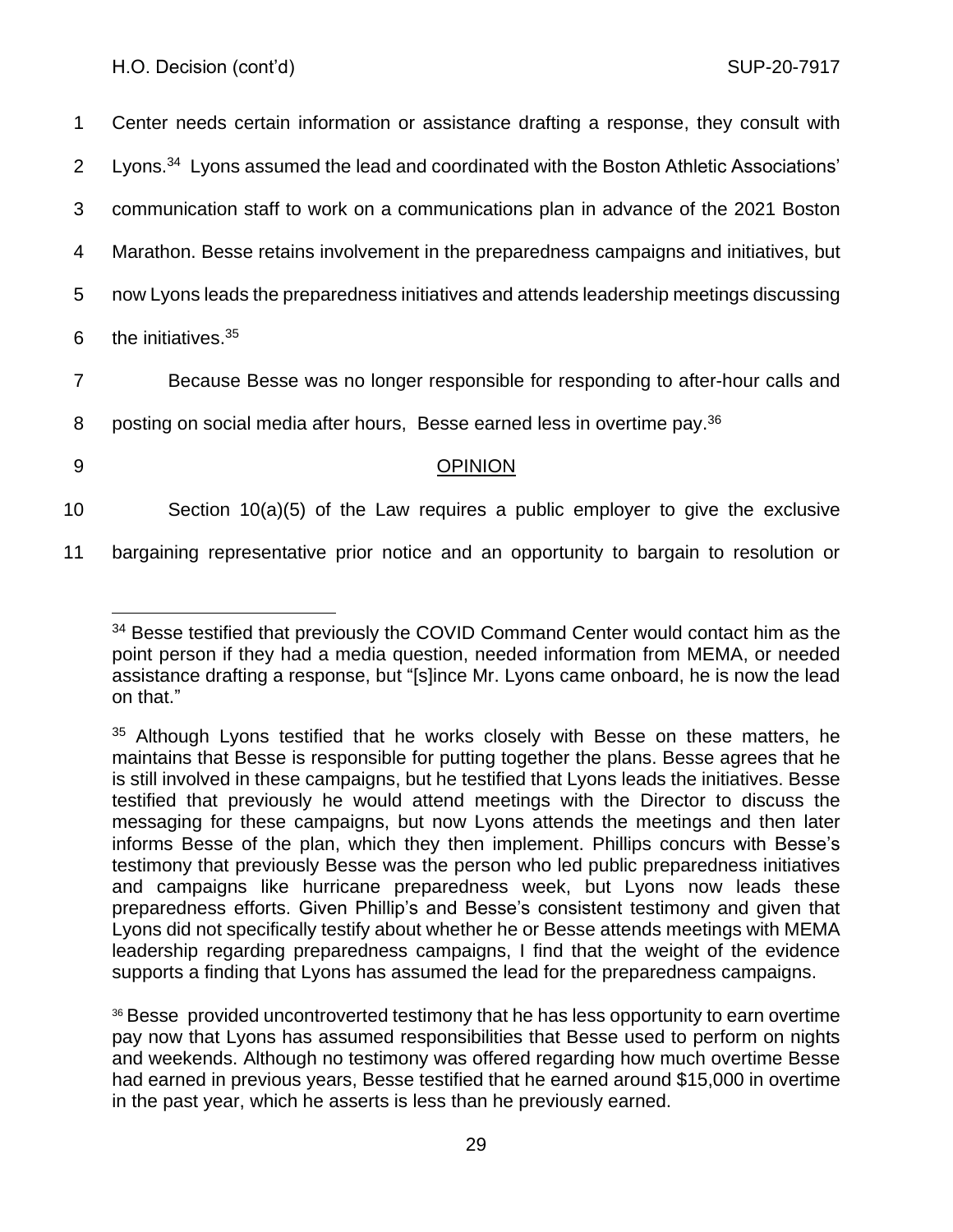1 Center needs certain information or assistance drafting a response, they consult with 2 Lyons.<sup>34</sup> Lyons assumed the lead and coordinated with the Boston Athletic Associations'

3 communication staff to work on a communications plan in advance of the 2021 Boston

4 Marathon. Besse retains involvement in the preparedness campaigns and initiatives, but

5 now Lyons leads the preparedness initiatives and attends leadership meetings discussing

6 the initiatives. $35$ 

7 Because Besse was no longer responsible for responding to after-hour calls and

8 posting on social media after hours, Besse earned less in overtime pay.<sup>36</sup>

# 9 OPINION

10 Section 10(a)(5) of the Law requires a public employer to give the exclusive

11 bargaining representative prior notice and an opportunity to bargain to resolution or

<sup>36</sup> Besse provided uncontroverted testimony that he has less opportunity to earn overtime pay now that Lyons has assumed responsibilities that Besse used to perform on nights and weekends. Although no testimony was offered regarding how much overtime Besse had earned in previous years, Besse testified that he earned around \$15,000 in overtime in the past year, which he asserts is less than he previously earned.

<sup>&</sup>lt;sup>34</sup> Besse testified that previously the COVID Command Center would contact him as the point person if they had a media question, needed information from MEMA, or needed assistance drafting a response, but "[s]ince Mr. Lyons came onboard, he is now the lead on that."

<sup>&</sup>lt;sup>35</sup> Although Lyons testified that he works closely with Besse on these matters, he maintains that Besse is responsible for putting together the plans. Besse agrees that he is still involved in these campaigns, but he testified that Lyons leads the initiatives. Besse testified that previously he would attend meetings with the Director to discuss the messaging for these campaigns, but now Lyons attends the meetings and then later informs Besse of the plan, which they then implement. Phillips concurs with Besse's testimony that previously Besse was the person who led public preparedness initiatives and campaigns like hurricane preparedness week, but Lyons now leads these preparedness efforts. Given Phillip's and Besse's consistent testimony and given that Lyons did not specifically testify about whether he or Besse attends meetings with MEMA leadership regarding preparedness campaigns, I find that the weight of the evidence supports a finding that Lyons has assumed the lead for the preparedness campaigns.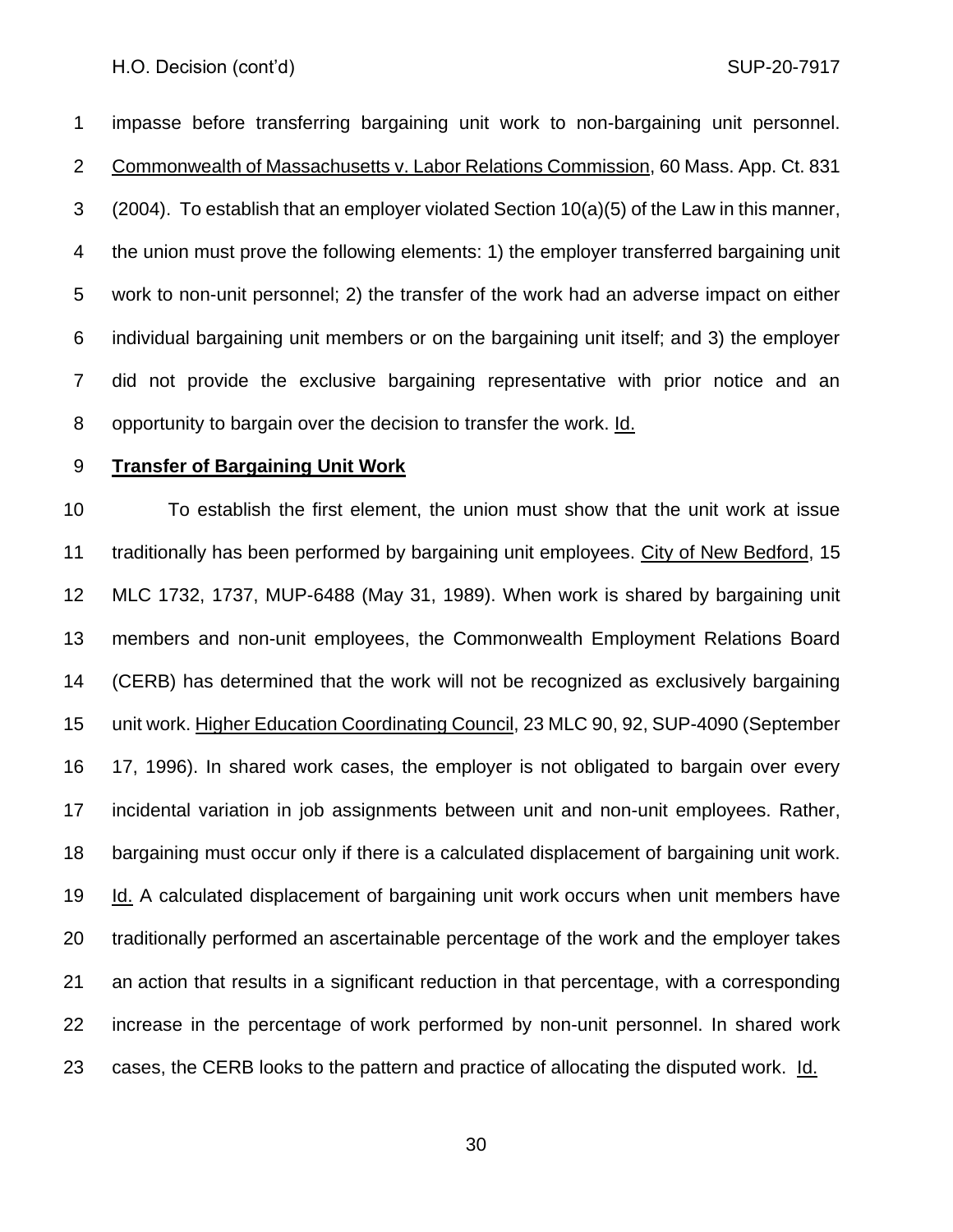impasse before transferring bargaining unit work to non-bargaining unit personnel. Commonwealth of Massachusetts v. Labor Relations Commission, 60 Mass. App. Ct. 831 (2004). To establish that an employer violated Section 10(a)(5) of the Law in this manner, the union must prove the following elements: 1) the employer transferred bargaining unit work to non-unit personnel; 2) the transfer of the work had an adverse impact on either individual bargaining unit members or on the bargaining unit itself; and 3) the employer did not provide the exclusive bargaining representative with prior notice and an opportunity to bargain over the decision to transfer the work. Id.

## **Transfer of Bargaining Unit Work**

 To establish the first element, the union must show that the unit work at issue traditionally has been performed by bargaining unit employees. City of New Bedford, 15 MLC 1732, 1737, MUP-6488 (May 31, 1989). When work is shared by bargaining unit members and non-unit employees, the Commonwealth Employment Relations Board (CERB) has determined that the work will not be recognized as exclusively bargaining unit work. Higher Education Coordinating Council, 23 MLC 90, 92, SUP-4090 (September 17, 1996). In shared work cases, the employer is not obligated to bargain over every incidental variation in job assignments between unit and non-unit employees. Rather, bargaining must occur only if there is a calculated displacement of bargaining unit work. Id. A calculated displacement of bargaining unit work occurs when unit members have traditionally performed an ascertainable percentage of the work and the employer takes an action that results in a significant reduction in that percentage, with a corresponding increase in the percentage of work performed by non-unit personnel. In shared work 23 cases, the CERB looks to the pattern and practice of allocating the disputed work. Id.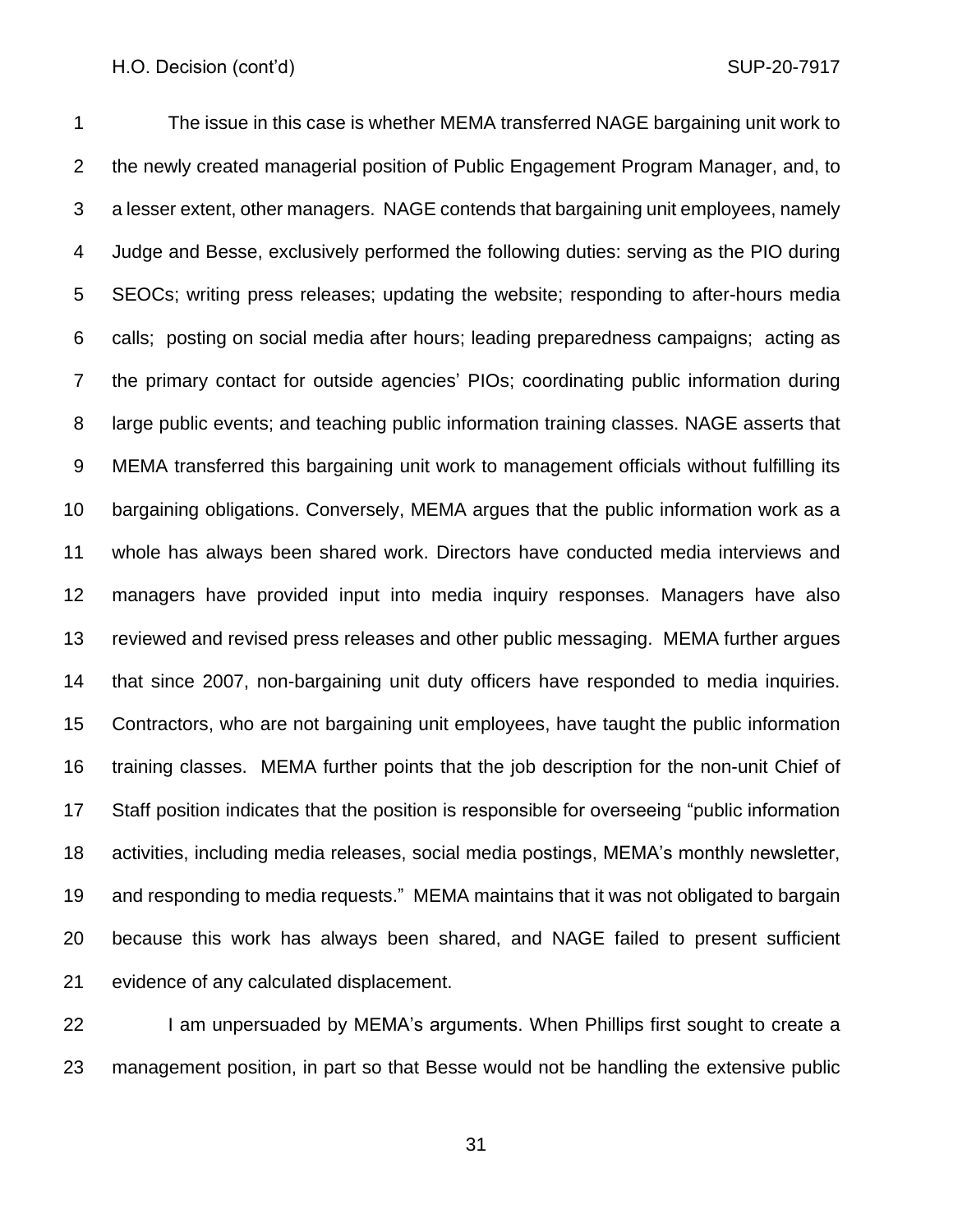The issue in this case is whether MEMA transferred NAGE bargaining unit work to the newly created managerial position of Public Engagement Program Manager, and, to a lesser extent, other managers. NAGE contends that bargaining unit employees, namely Judge and Besse, exclusively performed the following duties: serving as the PIO during SEOCs; writing press releases; updating the website; responding to after-hours media calls; posting on social media after hours; leading preparedness campaigns; acting as the primary contact for outside agencies' PIOs; coordinating public information during large public events; and teaching public information training classes. NAGE asserts that MEMA transferred this bargaining unit work to management officials without fulfilling its bargaining obligations. Conversely, MEMA argues that the public information work as a whole has always been shared work. Directors have conducted media interviews and managers have provided input into media inquiry responses. Managers have also reviewed and revised press releases and other public messaging. MEMA further argues that since 2007, non-bargaining unit duty officers have responded to media inquiries. Contractors, who are not bargaining unit employees, have taught the public information training classes. MEMA further points that the job description for the non-unit Chief of Staff position indicates that the position is responsible for overseeing "public information activities, including media releases, social media postings, MEMA's monthly newsletter, and responding to media requests." MEMA maintains that it was not obligated to bargain because this work has always been shared, and NAGE failed to present sufficient evidence of any calculated displacement.

22 I am unpersuaded by MEMA's arguments. When Phillips first sought to create a management position, in part so that Besse would not be handling the extensive public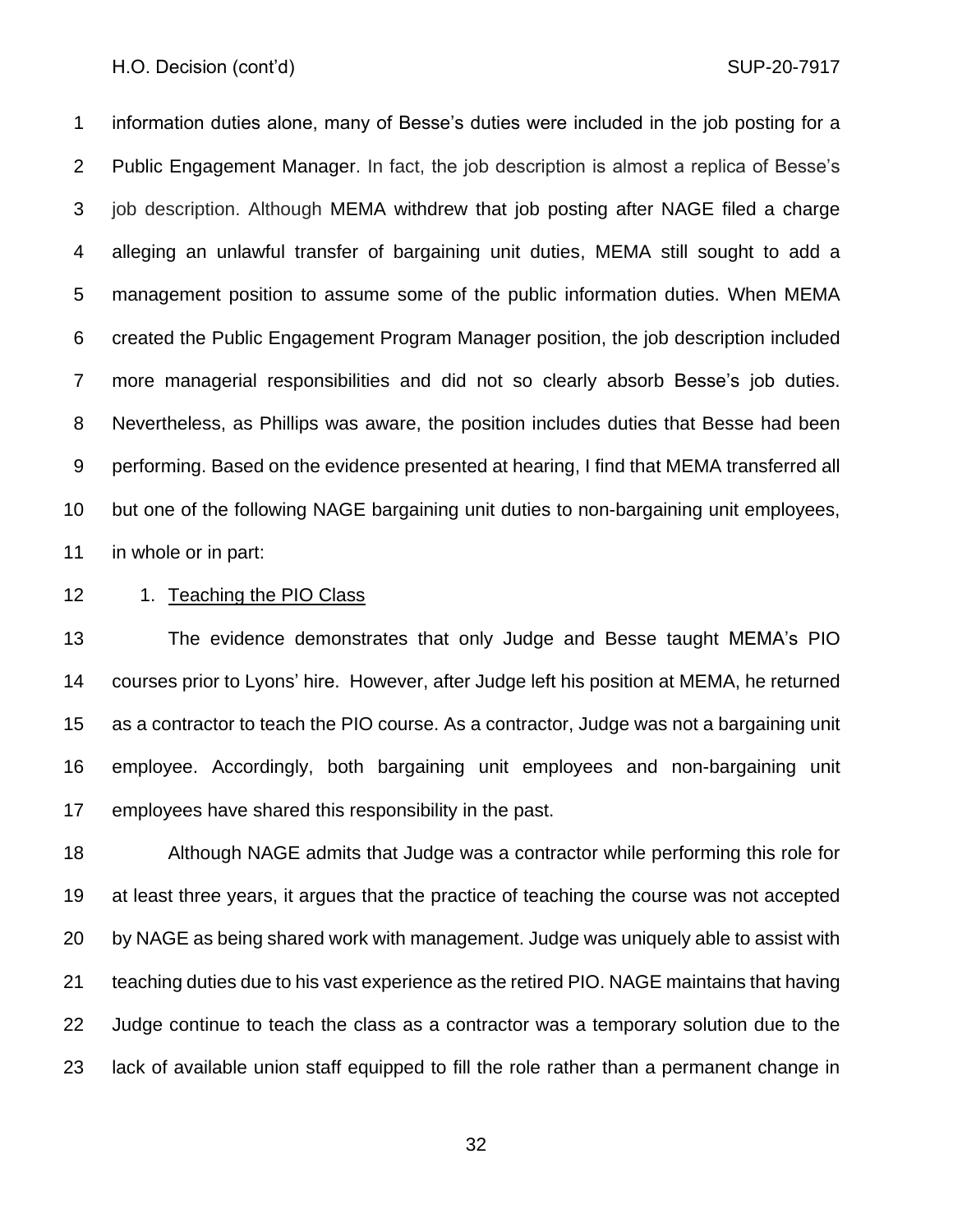information duties alone, many of Besse's duties were included in the job posting for a Public Engagement Manager. In fact, the job description is almost a replica of Besse's job description. Although MEMA withdrew that job posting after NAGE filed a charge alleging an unlawful transfer of bargaining unit duties, MEMA still sought to add a management position to assume some of the public information duties. When MEMA created the Public Engagement Program Manager position, the job description included more managerial responsibilities and did not so clearly absorb Besse's job duties. Nevertheless, as Phillips was aware, the position includes duties that Besse had been performing. Based on the evidence presented at hearing, I find that MEMA transferred all but one of the following NAGE bargaining unit duties to non-bargaining unit employees, in whole or in part:

12 1. Teaching the PIO Class

 The evidence demonstrates that only Judge and Besse taught MEMA's PIO courses prior to Lyons' hire. However, after Judge left his position at MEMA, he returned as a contractor to teach the PIO course. As a contractor, Judge was not a bargaining unit employee. Accordingly, both bargaining unit employees and non-bargaining unit employees have shared this responsibility in the past.

 Although NAGE admits that Judge was a contractor while performing this role for at least three years, it argues that the practice of teaching the course was not accepted by NAGE as being shared work with management. Judge was uniquely able to assist with teaching duties due to his vast experience as the retired PIO. NAGE maintains that having Judge continue to teach the class as a contractor was a temporary solution due to the lack of available union staff equipped to fill the role rather than a permanent change in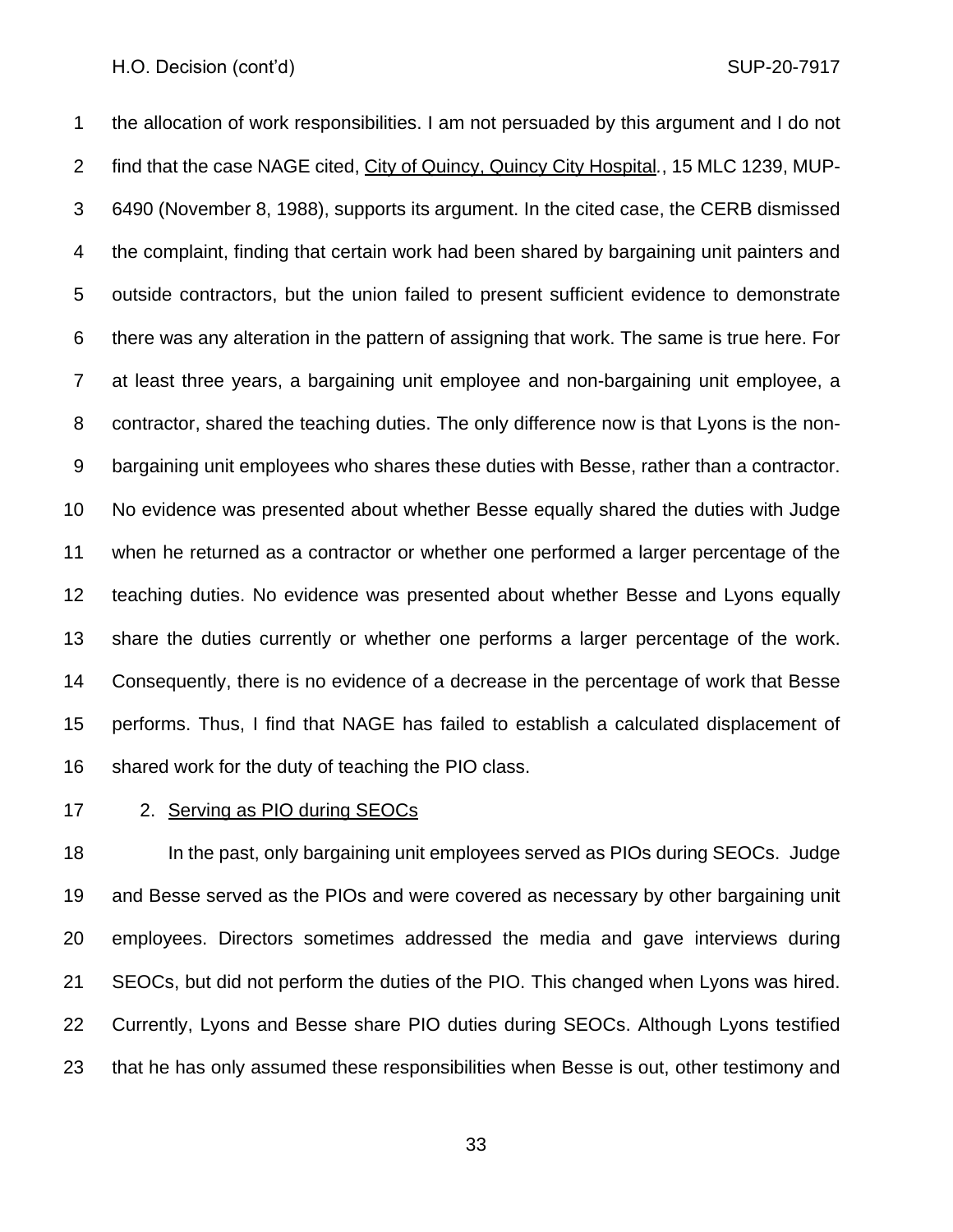the allocation of work responsibilities. I am not persuaded by this argument and I do not find that the case NAGE cited, City of Quincy, Quincy City Hospital*.*, 15 MLC 1239, MUP- 6490 (November 8, 1988), supports its argument. In the cited case, the CERB dismissed the complaint, finding that certain work had been shared by bargaining unit painters and outside contractors, but the union failed to present sufficient evidence to demonstrate there was any alteration in the pattern of assigning that work. The same is true here. For at least three years, a bargaining unit employee and non-bargaining unit employee, a contractor, shared the teaching duties. The only difference now is that Lyons is the non- bargaining unit employees who shares these duties with Besse, rather than a contractor. No evidence was presented about whether Besse equally shared the duties with Judge when he returned as a contractor or whether one performed a larger percentage of the teaching duties. No evidence was presented about whether Besse and Lyons equally share the duties currently or whether one performs a larger percentage of the work. Consequently, there is no evidence of a decrease in the percentage of work that Besse performs. Thus, I find that NAGE has failed to establish a calculated displacement of shared work for the duty of teaching the PIO class.

#### 2. Serving as PIO during SEOCs

 In the past, only bargaining unit employees served as PIOs during SEOCs. Judge and Besse served as the PIOs and were covered as necessary by other bargaining unit employees. Directors sometimes addressed the media and gave interviews during SEOCs, but did not perform the duties of the PIO. This changed when Lyons was hired. Currently, Lyons and Besse share PIO duties during SEOCs. Although Lyons testified that he has only assumed these responsibilities when Besse is out, other testimony and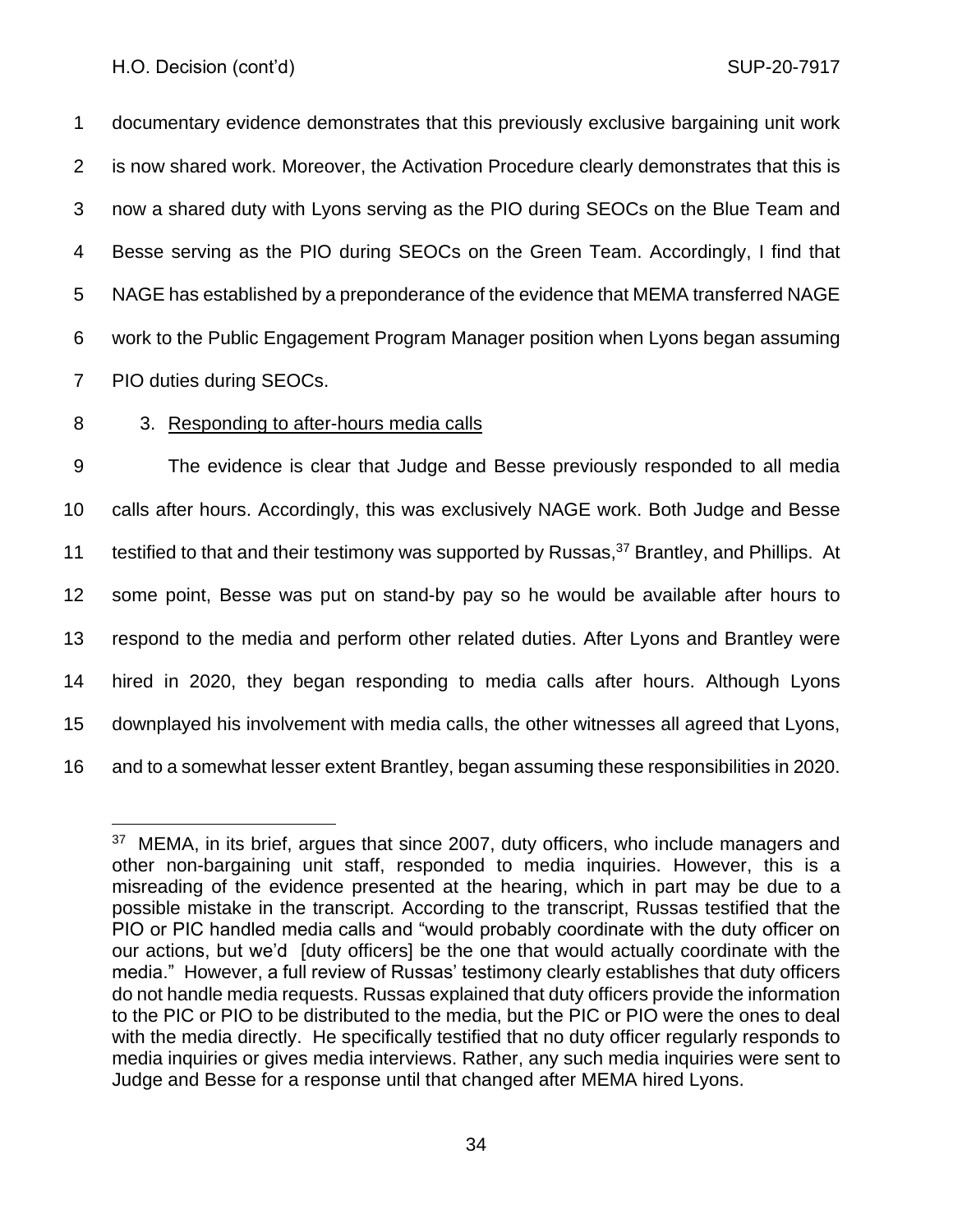documentary evidence demonstrates that this previously exclusive bargaining unit work is now shared work. Moreover, the Activation Procedure clearly demonstrates that this is now a shared duty with Lyons serving as the PIO during SEOCs on the Blue Team and Besse serving as the PIO during SEOCs on the Green Team. Accordingly, I find that NAGE has established by a preponderance of the evidence that MEMA transferred NAGE work to the Public Engagement Program Manager position when Lyons began assuming PIO duties during SEOCs.

## 8 3. Responding to after-hours media calls

 The evidence is clear that Judge and Besse previously responded to all media calls after hours. Accordingly, this was exclusively NAGE work. Both Judge and Besse 11 testified to that and their testimony was supported by Russas,  $37$  Brantley, and Phillips. At some point, Besse was put on stand-by pay so he would be available after hours to respond to the media and perform other related duties. After Lyons and Brantley were hired in 2020, they began responding to media calls after hours. Although Lyons downplayed his involvement with media calls, the other witnesses all agreed that Lyons, and to a somewhat lesser extent Brantley, began assuming these responsibilities in 2020.

<sup>&</sup>lt;sup>37</sup> MEMA, in its brief, argues that since 2007, duty officers, who include managers and other non-bargaining unit staff, responded to media inquiries. However, this is a misreading of the evidence presented at the hearing, which in part may be due to a possible mistake in the transcript. According to the transcript, Russas testified that the PIO or PIC handled media calls and "would probably coordinate with the duty officer on our actions, but we'd [duty officers] be the one that would actually coordinate with the media." However, a full review of Russas' testimony clearly establishes that duty officers do not handle media requests. Russas explained that duty officers provide the information to the PIC or PIO to be distributed to the media, but the PIC or PIO were the ones to deal with the media directly. He specifically testified that no duty officer regularly responds to media inquiries or gives media interviews. Rather, any such media inquiries were sent to Judge and Besse for a response until that changed after MEMA hired Lyons.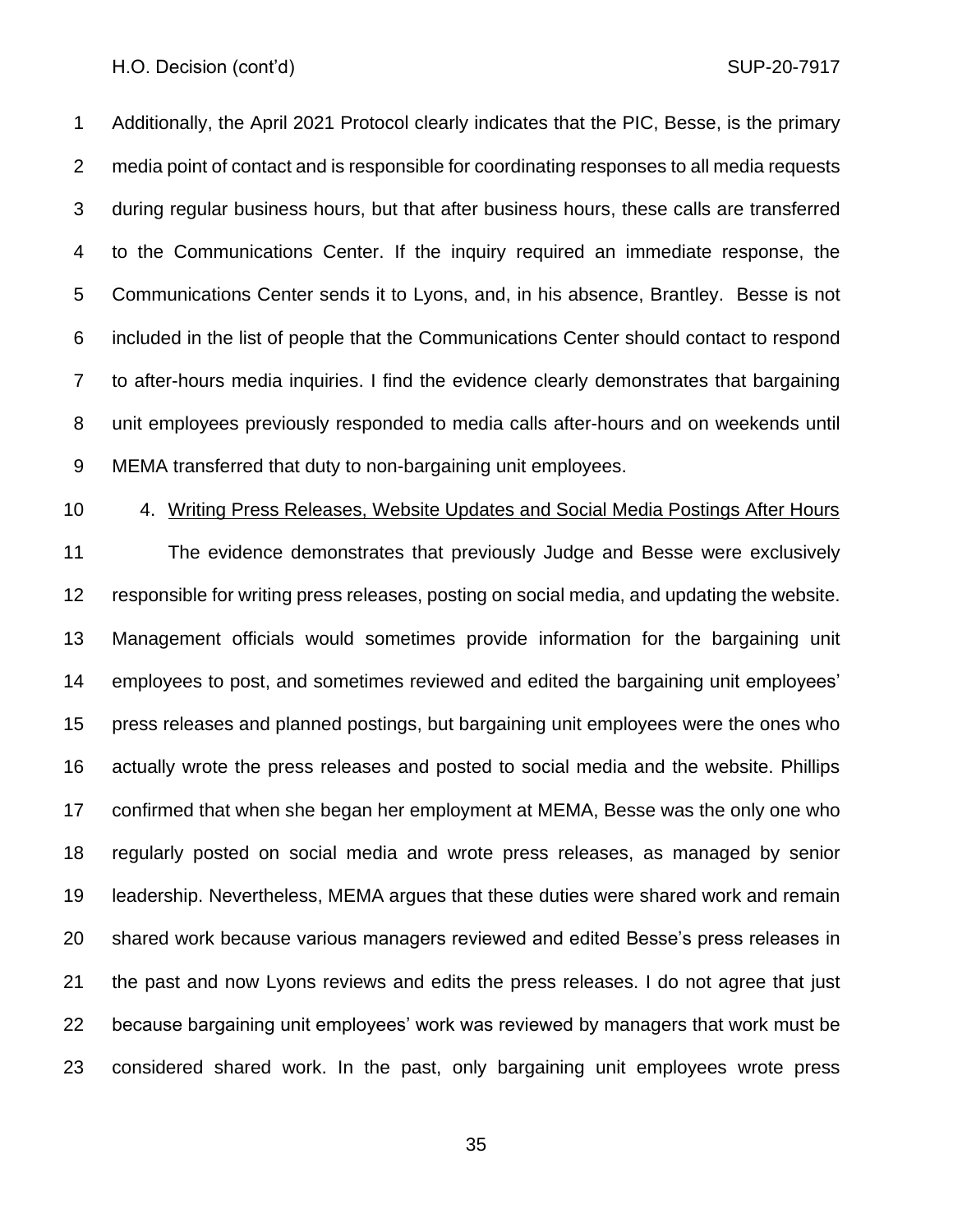Additionally, the April 2021 Protocol clearly indicates that the PIC, Besse, is the primary media point of contact and is responsible for coordinating responses to all media requests during regular business hours, but that after business hours, these calls are transferred to the Communications Center. If the inquiry required an immediate response, the Communications Center sends it to Lyons, and, in his absence, Brantley. Besse is not included in the list of people that the Communications Center should contact to respond to after-hours media inquiries. I find the evidence clearly demonstrates that bargaining unit employees previously responded to media calls after-hours and on weekends until MEMA transferred that duty to non-bargaining unit employees.

#### 4. Writing Press Releases, Website Updates and Social Media Postings After Hours

 The evidence demonstrates that previously Judge and Besse were exclusively responsible for writing press releases, posting on social media, and updating the website. Management officials would sometimes provide information for the bargaining unit employees to post, and sometimes reviewed and edited the bargaining unit employees' press releases and planned postings, but bargaining unit employees were the ones who actually wrote the press releases and posted to social media and the website. Phillips confirmed that when she began her employment at MEMA, Besse was the only one who regularly posted on social media and wrote press releases, as managed by senior leadership. Nevertheless, MEMA argues that these duties were shared work and remain shared work because various managers reviewed and edited Besse's press releases in the past and now Lyons reviews and edits the press releases. I do not agree that just because bargaining unit employees' work was reviewed by managers that work must be considered shared work. In the past, only bargaining unit employees wrote press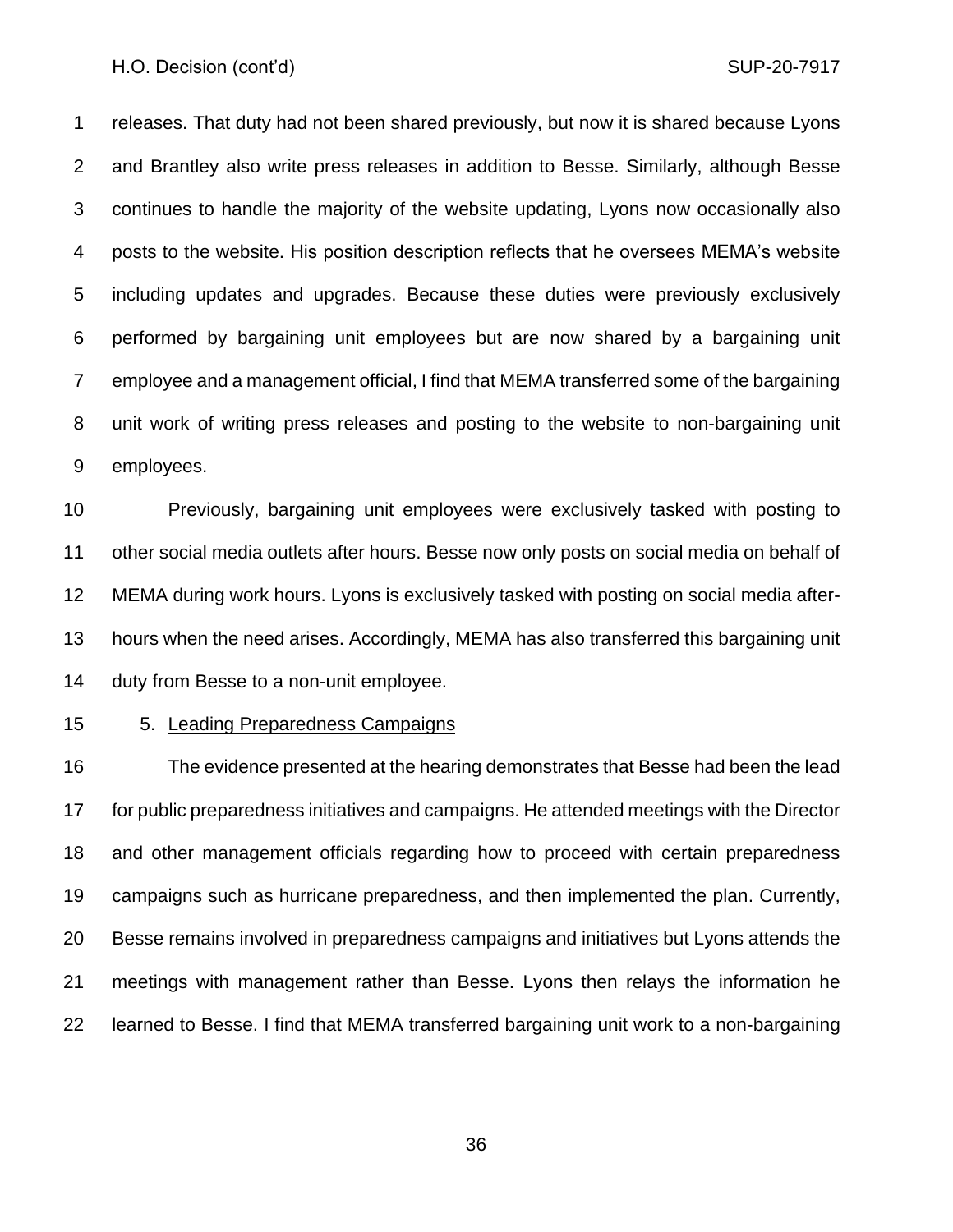releases. That duty had not been shared previously, but now it is shared because Lyons and Brantley also write press releases in addition to Besse. Similarly, although Besse continues to handle the majority of the website updating, Lyons now occasionally also posts to the website. His position description reflects that he oversees MEMA's website including updates and upgrades. Because these duties were previously exclusively performed by bargaining unit employees but are now shared by a bargaining unit employee and a management official, I find that MEMA transferred some of the bargaining unit work of writing press releases and posting to the website to non-bargaining unit employees.

 Previously, bargaining unit employees were exclusively tasked with posting to other social media outlets after hours. Besse now only posts on social media on behalf of MEMA during work hours. Lyons is exclusively tasked with posting on social media after- hours when the need arises. Accordingly, MEMA has also transferred this bargaining unit duty from Besse to a non-unit employee.

15 5. Leading Preparedness Campaigns

 The evidence presented at the hearing demonstrates that Besse had been the lead for public preparedness initiatives and campaigns. He attended meetings with the Director and other management officials regarding how to proceed with certain preparedness campaigns such as hurricane preparedness, and then implemented the plan. Currently, Besse remains involved in preparedness campaigns and initiatives but Lyons attends the meetings with management rather than Besse. Lyons then relays the information he learned to Besse. I find that MEMA transferred bargaining unit work to a non-bargaining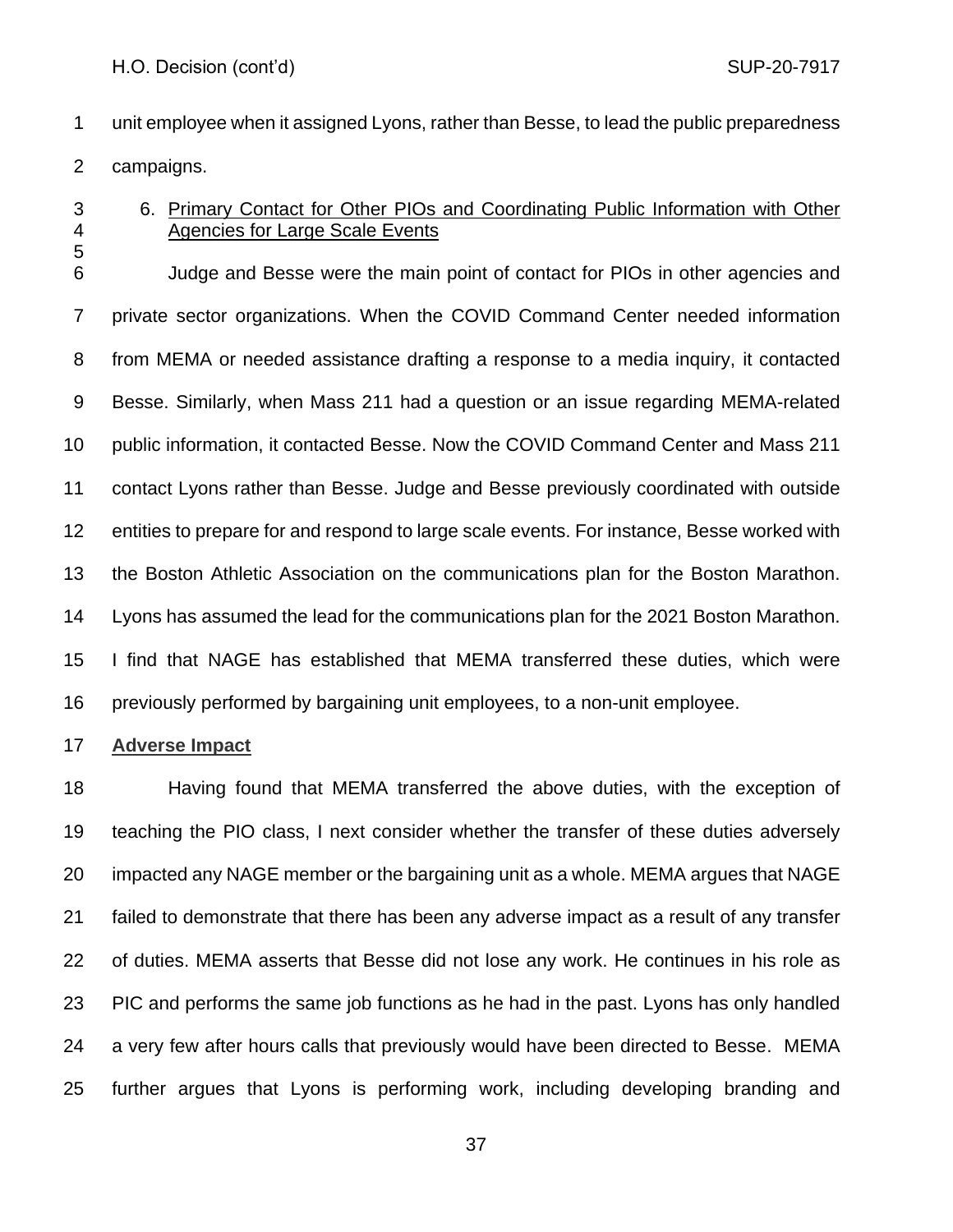- unit employee when it assigned Lyons, rather than Besse, to lead the public preparedness campaigns.
- 

# 6. Primary Contact for Other PIOs and Coordinating Public Information with Other Agencies for Large Scale Events

 Judge and Besse were the main point of contact for PIOs in other agencies and private sector organizations. When the COVID Command Center needed information from MEMA or needed assistance drafting a response to a media inquiry, it contacted Besse. Similarly, when Mass 211 had a question or an issue regarding MEMA-related public information, it contacted Besse. Now the COVID Command Center and Mass 211 contact Lyons rather than Besse. Judge and Besse previously coordinated with outside entities to prepare for and respond to large scale events. For instance, Besse worked with the Boston Athletic Association on the communications plan for the Boston Marathon. Lyons has assumed the lead for the communications plan for the 2021 Boston Marathon. I find that NAGE has established that MEMA transferred these duties, which were previously performed by bargaining unit employees, to a non-unit employee.

## **Adverse Impact**

 Having found that MEMA transferred the above duties, with the exception of teaching the PIO class, I next consider whether the transfer of these duties adversely impacted any NAGE member or the bargaining unit as a whole. MEMA argues that NAGE failed to demonstrate that there has been any adverse impact as a result of any transfer of duties. MEMA asserts that Besse did not lose any work. He continues in his role as PIC and performs the same job functions as he had in the past. Lyons has only handled a very few after hours calls that previously would have been directed to Besse. MEMA further argues that Lyons is performing work, including developing branding and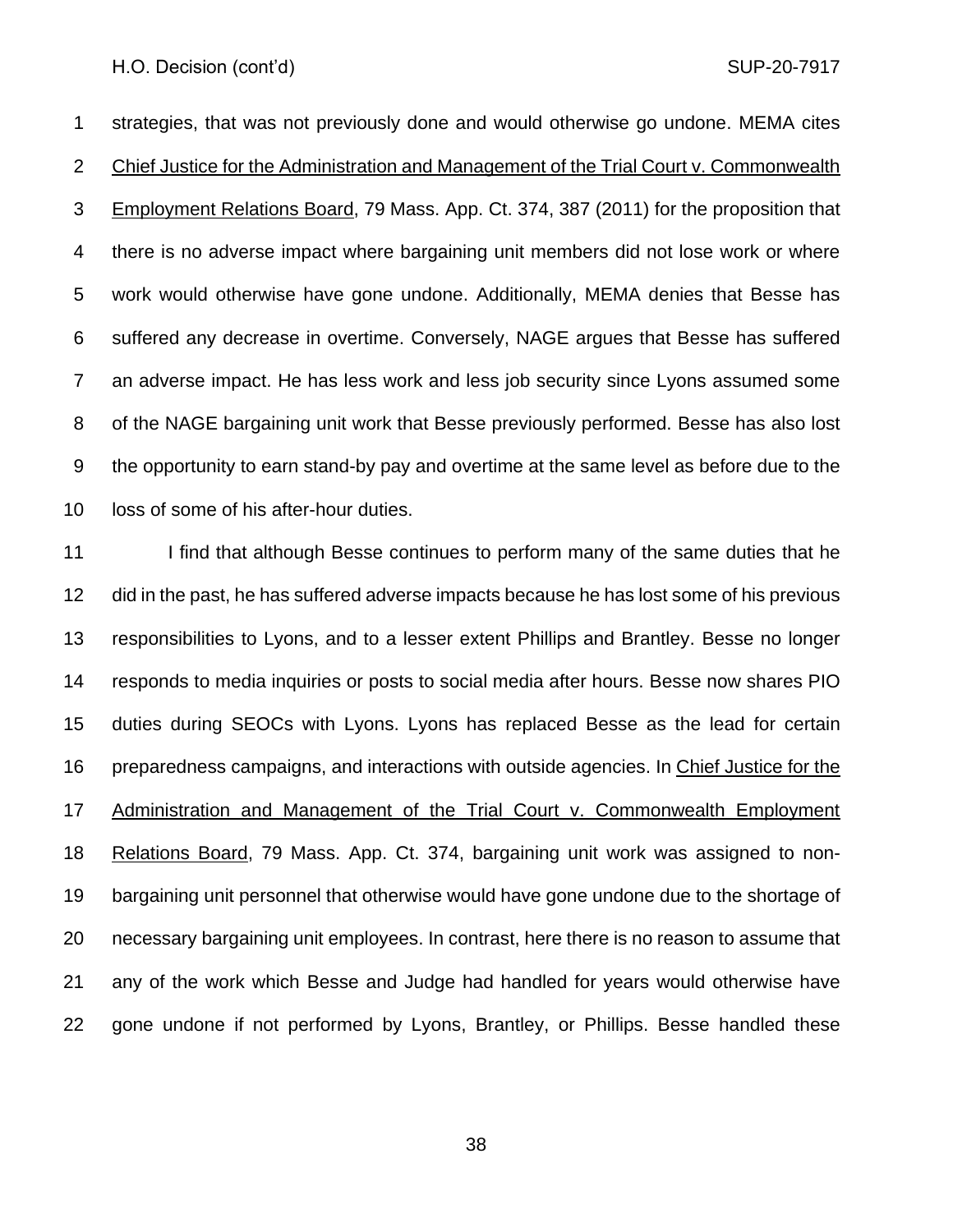strategies, that was not previously done and would otherwise go undone. MEMA cites Chief Justice for the Administration and Management of the Trial Court v. Commonwealth Employment Relations Board, 79 Mass. App. Ct. 374, 387 (2011) for the proposition that there is no adverse impact where bargaining unit members did not lose work or where work would otherwise have gone undone. Additionally, MEMA denies that Besse has suffered any decrease in overtime. Conversely, NAGE argues that Besse has suffered an adverse impact. He has less work and less job security since Lyons assumed some of the NAGE bargaining unit work that Besse previously performed. Besse has also lost the opportunity to earn stand-by pay and overtime at the same level as before due to the loss of some of his after-hour duties.

11 I find that although Besse continues to perform many of the same duties that he did in the past, he has suffered adverse impacts because he has lost some of his previous responsibilities to Lyons, and to a lesser extent Phillips and Brantley. Besse no longer responds to media inquiries or posts to social media after hours. Besse now shares PIO duties during SEOCs with Lyons. Lyons has replaced Besse as the lead for certain preparedness campaigns, and interactions with outside agencies. In Chief Justice for the Administration and Management of the Trial Court v. Commonwealth Employment Relations Board, 79 Mass. App. Ct. 374, bargaining unit work was assigned to non- bargaining unit personnel that otherwise would have gone undone due to the shortage of necessary bargaining unit employees. In contrast, here there is no reason to assume that any of the work which Besse and Judge had handled for years would otherwise have gone undone if not performed by Lyons, Brantley, or Phillips. Besse handled these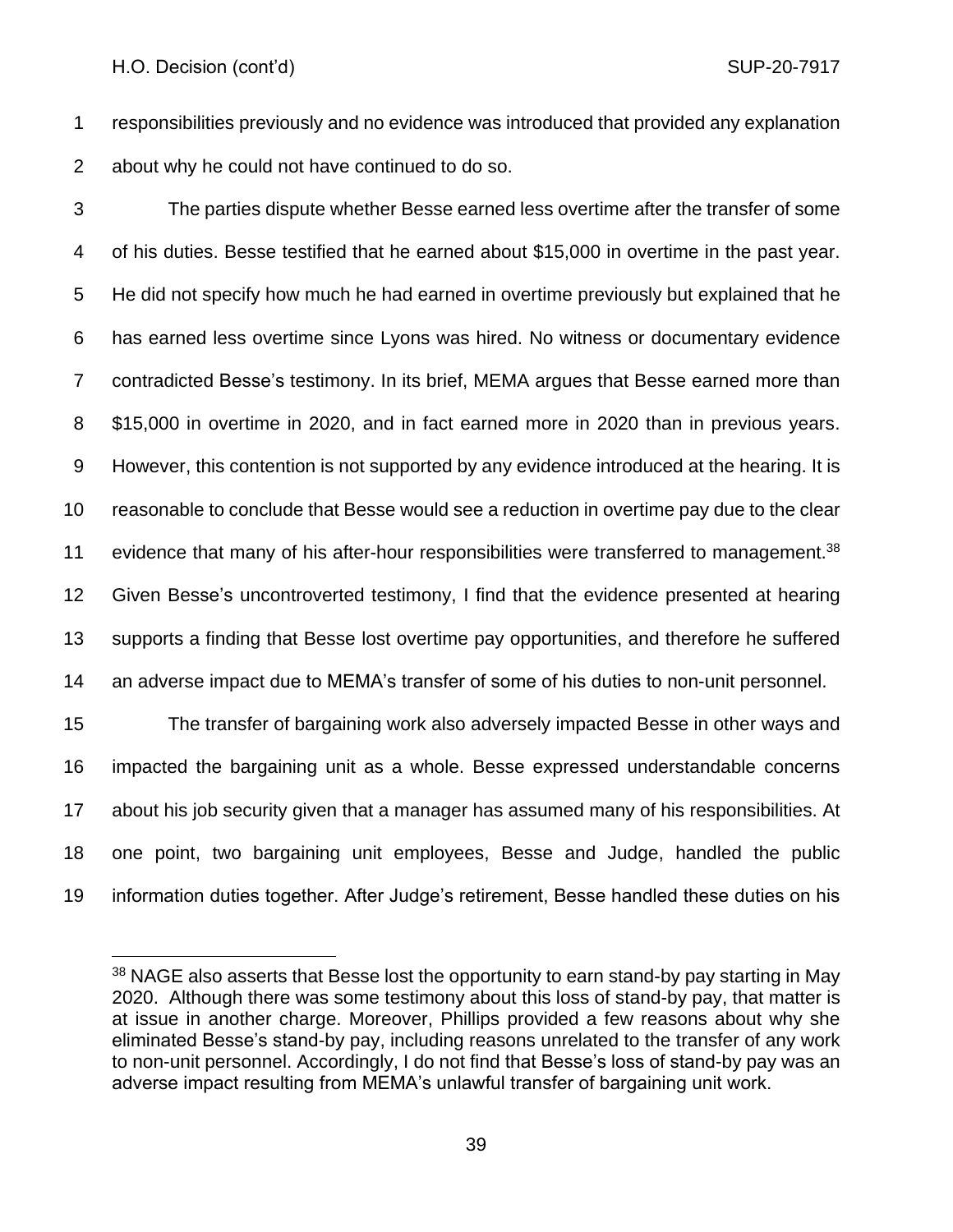responsibilities previously and no evidence was introduced that provided any explanation about why he could not have continued to do so.

 The parties dispute whether Besse earned less overtime after the transfer of some of his duties. Besse testified that he earned about \$15,000 in overtime in the past year. He did not specify how much he had earned in overtime previously but explained that he has earned less overtime since Lyons was hired. No witness or documentary evidence contradicted Besse's testimony. In its brief, MEMA argues that Besse earned more than \$15,000 in overtime in 2020, and in fact earned more in 2020 than in previous years. However, this contention is not supported by any evidence introduced at the hearing. It is reasonable to conclude that Besse would see a reduction in overtime pay due to the clear 11 evidence that many of his after-hour responsibilities were transferred to management.<sup>38</sup> Given Besse's uncontroverted testimony, I find that the evidence presented at hearing supports a finding that Besse lost overtime pay opportunities, and therefore he suffered an adverse impact due to MEMA's transfer of some of his duties to non-unit personnel. The transfer of bargaining work also adversely impacted Besse in other ways and

 impacted the bargaining unit as a whole. Besse expressed understandable concerns about his job security given that a manager has assumed many of his responsibilities. At one point, two bargaining unit employees, Besse and Judge, handled the public information duties together. After Judge's retirement, Besse handled these duties on his

<sup>&</sup>lt;sup>38</sup> NAGE also asserts that Besse lost the opportunity to earn stand-by pay starting in May 2020. Although there was some testimony about this loss of stand-by pay, that matter is at issue in another charge. Moreover, Phillips provided a few reasons about why she eliminated Besse's stand-by pay, including reasons unrelated to the transfer of any work to non-unit personnel. Accordingly, I do not find that Besse's loss of stand-by pay was an adverse impact resulting from MEMA's unlawful transfer of bargaining unit work.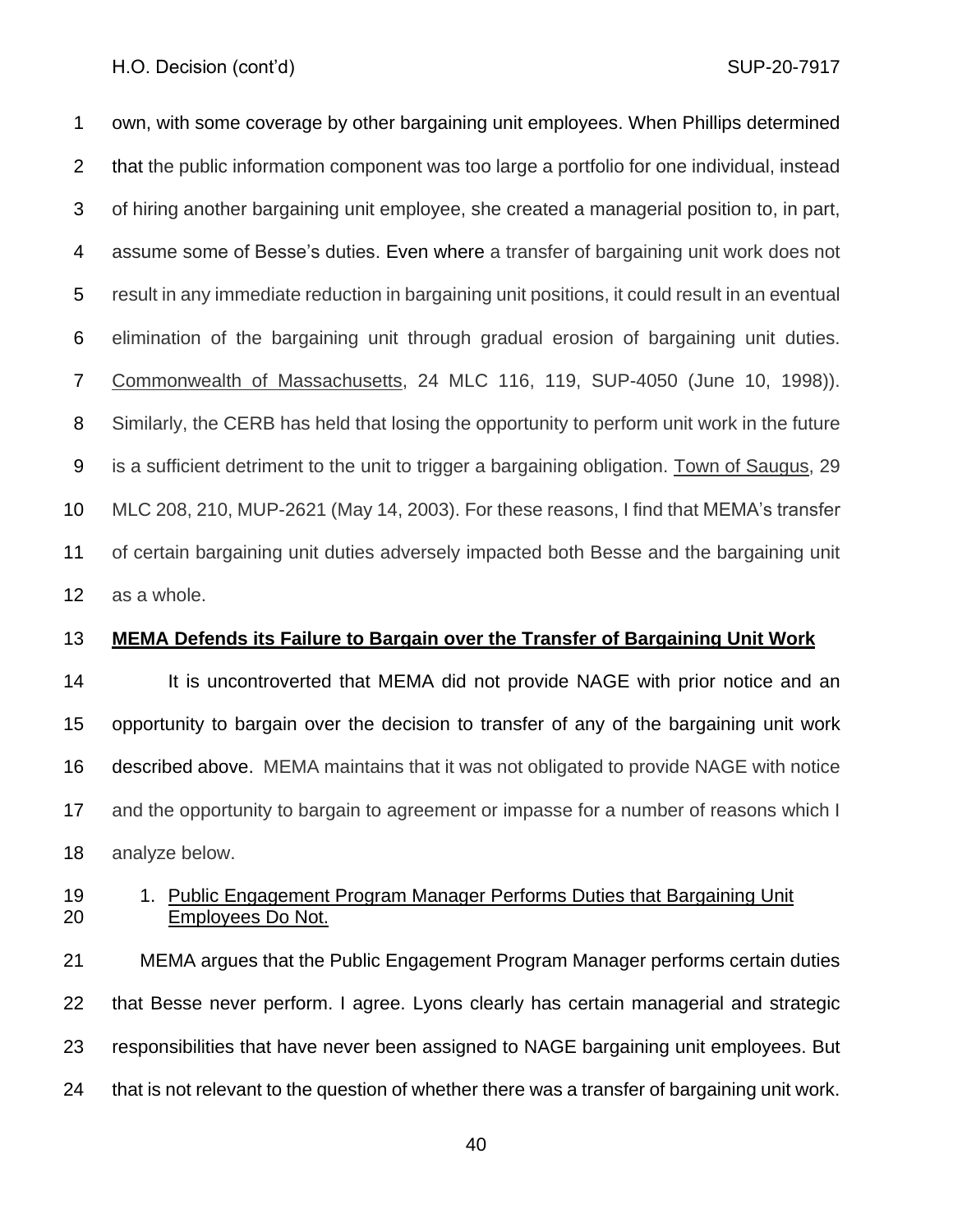own, with some coverage by other bargaining unit employees. When Phillips determined that the public information component was too large a portfolio for one individual, instead of hiring another bargaining unit employee, she created a managerial position to, in part, assume some of Besse's duties. Even where a transfer of bargaining unit work does not result in any immediate reduction in bargaining unit positions, it could result in an eventual elimination of the bargaining unit through gradual erosion of bargaining unit duties. Commonwealth of Massachusetts, 24 MLC 116, 119, SUP-4050 (June 10, 1998)). Similarly, the CERB has held that losing the opportunity to perform unit work in the future is a sufficient detriment to the unit to trigger a bargaining obligation. Town of Saugus, 29 MLC 208, 210, MUP-2621 (May 14, 2003). For these reasons, I find that MEMA's transfer of certain bargaining unit duties adversely impacted both Besse and the bargaining unit as a whole.

## **MEMA Defends its Failure to Bargain over the Transfer of Bargaining Unit Work**

14 It is uncontroverted that MEMA did not provide NAGE with prior notice and an opportunity to bargain over the decision to transfer of any of the bargaining unit work described above. MEMA maintains that it was not obligated to provide NAGE with notice and the opportunity to bargain to agreement or impasse for a number of reasons which I analyze below.

# 19 1. Public Engagement Program Manager Performs Duties that Bargaining Unit Employees Do Not.

 MEMA argues that the Public Engagement Program Manager performs certain duties that Besse never perform. I agree. Lyons clearly has certain managerial and strategic responsibilities that have never been assigned to NAGE bargaining unit employees. But that is not relevant to the question of whether there was a transfer of bargaining unit work.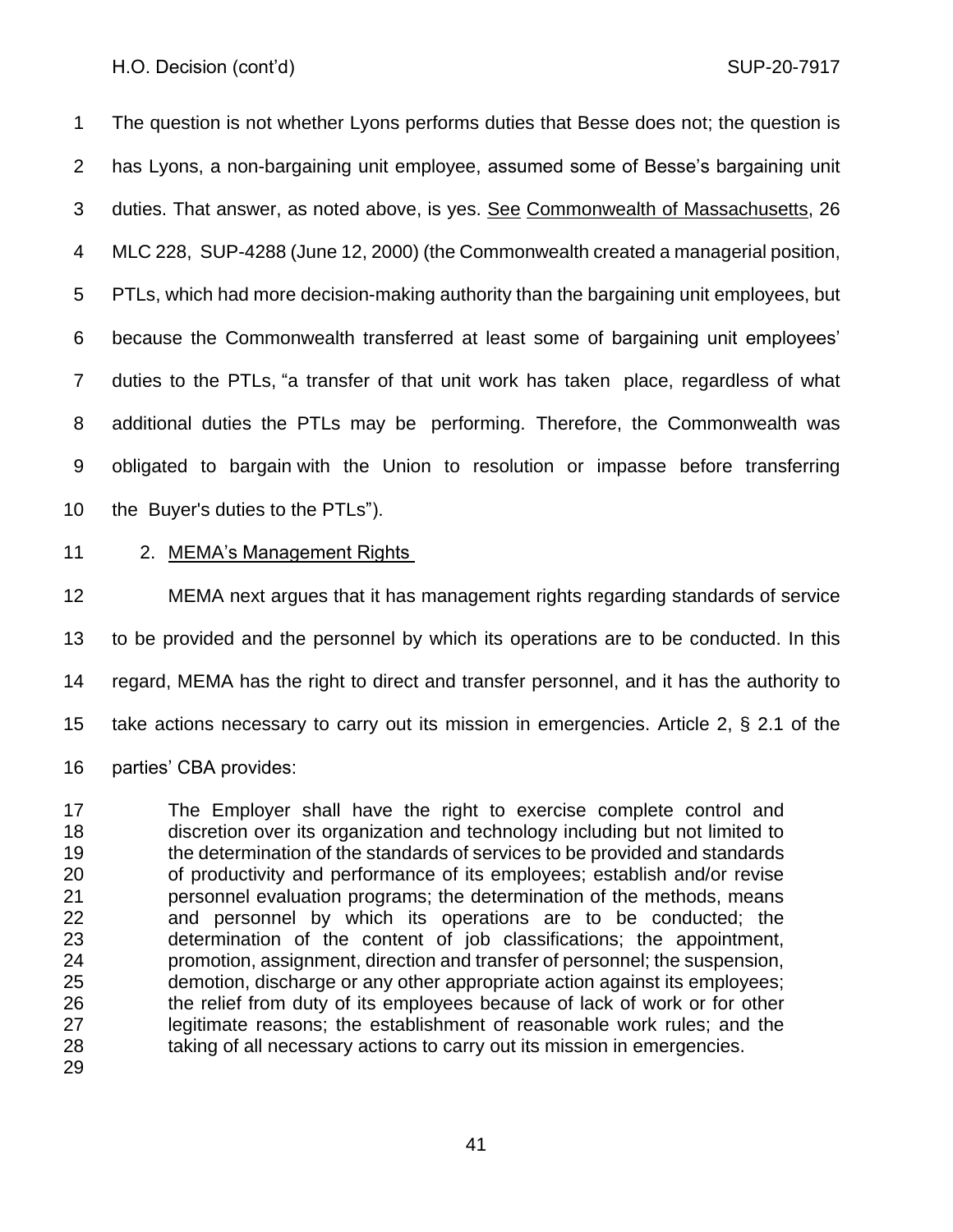The question is not whether Lyons performs duties that Besse does not; the question is has Lyons, a non-bargaining unit employee, assumed some of Besse's bargaining unit duties. That answer, as noted above, is yes. See Commonwealth of Massachusetts, 26 MLC 228, SUP-4288 (June 12, 2000) (the Commonwealth created a managerial position, PTLs, which had more decision-making authority than the bargaining unit employees, but because the Commonwealth transferred at least some of bargaining unit employees' duties to the PTLs, "a transfer of that unit work has taken place, regardless of what additional duties the PTLs may be performing. Therefore, the Commonwealth was obligated to bargain with the Union to resolution or impasse before transferring the Buyer's duties to the PTLs").

2. MEMA's Management Rights

 MEMA next argues that it has management rights regarding standards of service to be provided and the personnel by which its operations are to be conducted. In this regard, MEMA has the right to direct and transfer personnel, and it has the authority to take actions necessary to carry out its mission in emergencies. Article 2, § 2.1 of the parties' CBA provides:

 The Employer shall have the right to exercise complete control and discretion over its organization and technology including but not limited to the determination of the standards of services to be provided and standards of productivity and performance of its employees; establish and/or revise personnel evaluation programs; the determination of the methods, means and personnel by which its operations are to be conducted; the determination of the content of job classifications; the appointment, promotion, assignment, direction and transfer of personnel; the suspension, demotion, discharge or any other appropriate action against its employees; the relief from duty of its employees because of lack of work or for other legitimate reasons; the establishment of reasonable work rules; and the taking of all necessary actions to carry out its mission in emergencies.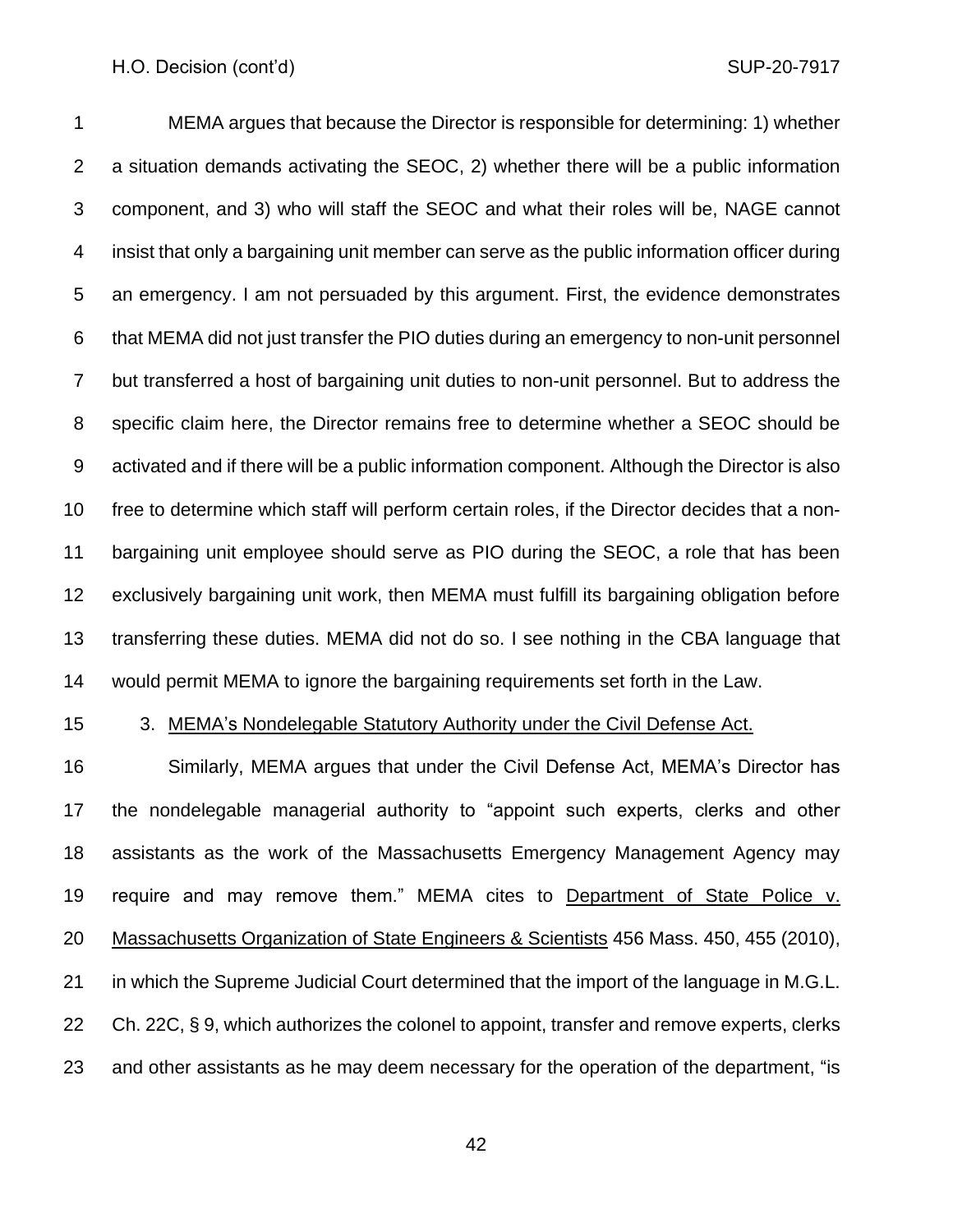MEMA argues that because the Director is responsible for determining: 1) whether a situation demands activating the SEOC, 2) whether there will be a public information component, and 3) who will staff the SEOC and what their roles will be, NAGE cannot insist that only a bargaining unit member can serve as the public information officer during an emergency. I am not persuaded by this argument. First, the evidence demonstrates that MEMA did not just transfer the PIO duties during an emergency to non-unit personnel but transferred a host of bargaining unit duties to non-unit personnel. But to address the specific claim here, the Director remains free to determine whether a SEOC should be activated and if there will be a public information component. Although the Director is also free to determine which staff will perform certain roles, if the Director decides that a non- bargaining unit employee should serve as PIO during the SEOC, a role that has been exclusively bargaining unit work, then MEMA must fulfill its bargaining obligation before transferring these duties. MEMA did not do so. I see nothing in the CBA language that would permit MEMA to ignore the bargaining requirements set forth in the Law.

15 3. MEMA's Nondelegable Statutory Authority under the Civil Defense Act.

 Similarly, MEMA argues that under the Civil Defense Act, MEMA's Director has the nondelegable managerial authority to "appoint such experts, clerks and other assistants as the work of the Massachusetts Emergency Management Agency may require and may remove them." MEMA cites to Department of State Police v. 20 Massachusetts Organization of State Engineers & Scientists 456 Mass. 450, 455 (2010), in which the Supreme Judicial Court determined that the import of the language in M.G.L. Ch. 22C, § 9, which authorizes the colonel to appoint, transfer and remove experts, clerks and other assistants as he may deem necessary for the operation of the department, "is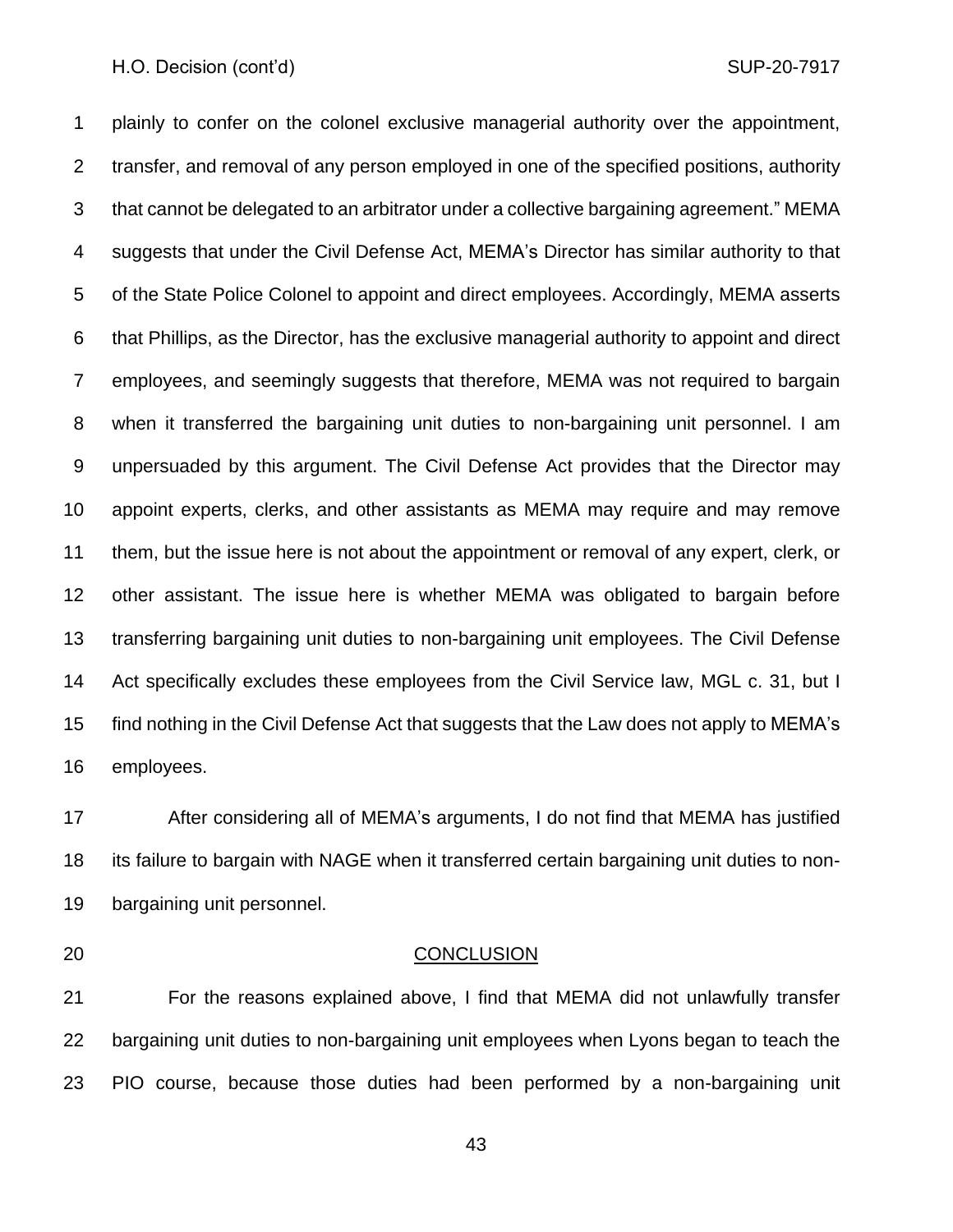plainly to confer on the colonel exclusive managerial authority over the appointment, transfer, and removal of any person employed in one of the specified positions, authority that cannot be delegated to an arbitrator under a collective bargaining agreement." MEMA suggests that under the Civil Defense Act, MEMA's Director has similar authority to that of the State Police Colonel to appoint and direct employees. Accordingly, MEMA asserts that Phillips, as the Director, has the exclusive managerial authority to appoint and direct employees, and seemingly suggests that therefore, MEMA was not required to bargain when it transferred the bargaining unit duties to non-bargaining unit personnel. I am unpersuaded by this argument. The Civil Defense Act provides that the Director may appoint experts, clerks, and other assistants as MEMA may require and may remove them, but the issue here is not about the appointment or removal of any expert, clerk, or other assistant. The issue here is whether MEMA was obligated to bargain before transferring bargaining unit duties to non-bargaining unit employees. The Civil Defense Act specifically excludes these employees from the Civil Service law, MGL c. 31, but I find nothing in the Civil Defense Act that suggests that the Law does not apply to MEMA's employees.

 After considering all of MEMA's arguments, I do not find that MEMA has justified its failure to bargain with NAGE when it transferred certain bargaining unit duties to non-bargaining unit personnel.

## CONCLUSION

 For the reasons explained above, I find that MEMA did not unlawfully transfer bargaining unit duties to non-bargaining unit employees when Lyons began to teach the PIO course, because those duties had been performed by a non-bargaining unit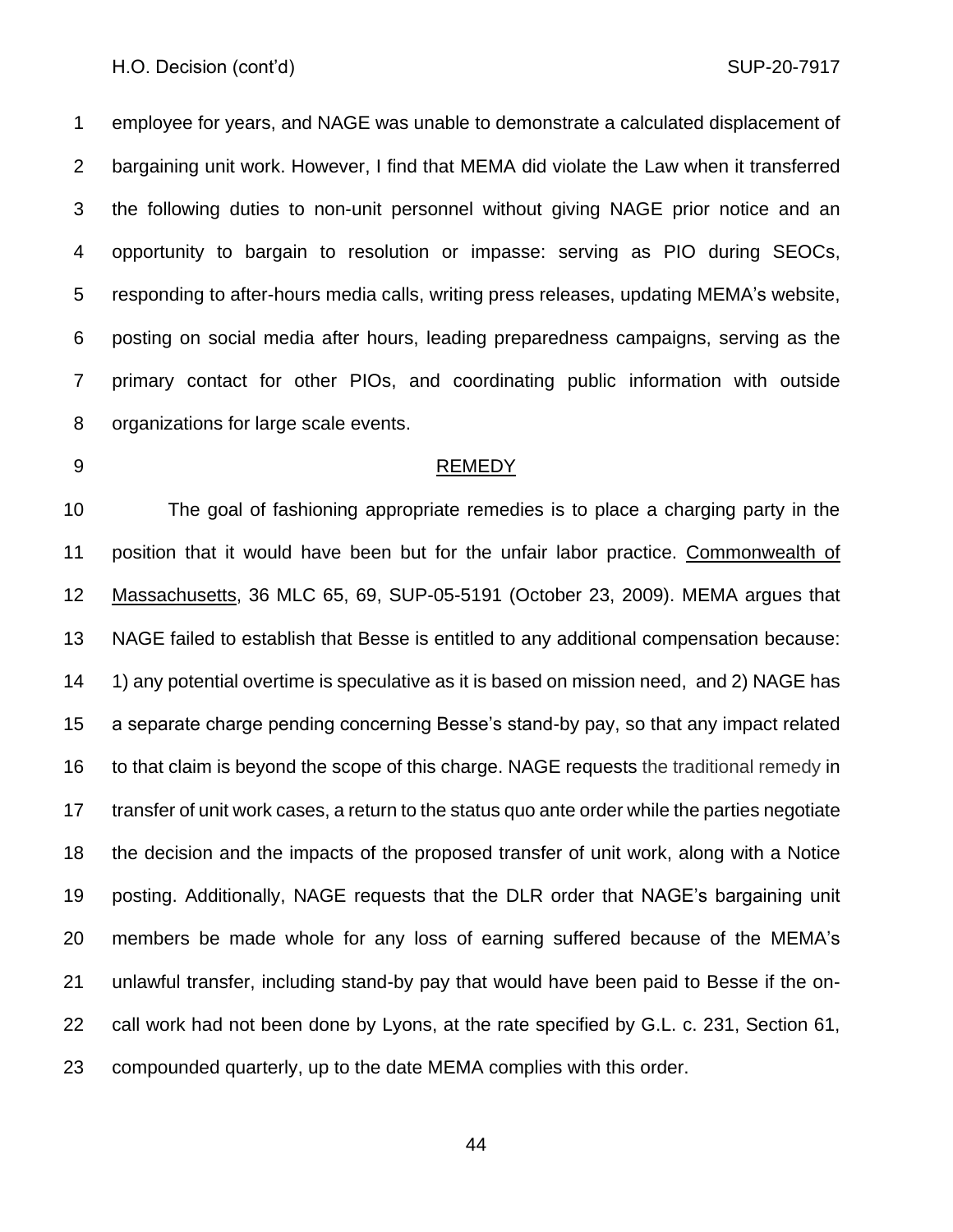employee for years, and NAGE was unable to demonstrate a calculated displacement of bargaining unit work. However, I find that MEMA did violate the Law when it transferred the following duties to non-unit personnel without giving NAGE prior notice and an opportunity to bargain to resolution or impasse: serving as PIO during SEOCs, responding to after-hours media calls, writing press releases, updating MEMA's website, posting on social media after hours, leading preparedness campaigns, serving as the primary contact for other PIOs, and coordinating public information with outside organizations for large scale events.

#### REMEDY

 The goal of fashioning appropriate remedies is to place a charging party in the position that it would have been but for the unfair labor practice. Commonwealth of Massachusetts, 36 MLC 65, 69, SUP-05-5191 (October 23, 2009). MEMA argues that NAGE failed to establish that Besse is entitled to any additional compensation because: 14 1) any potential overtime is speculative as it is based on mission need, and 2) NAGE has a separate charge pending concerning Besse's stand-by pay, so that any impact related to that claim is beyond the scope of this charge. NAGE requests the traditional remedy in transfer of unit work cases, a return to the status quo ante order while the parties negotiate the decision and the impacts of the proposed transfer of unit work, along with a Notice posting. Additionally, NAGE requests that the DLR order that NAGE's bargaining unit members be made whole for any loss of earning suffered because of the MEMA's unlawful transfer, including stand-by pay that would have been paid to Besse if the on- call work had not been done by Lyons, at the rate specified by G.L. c. 231, Section 61, compounded quarterly, up to the date MEMA complies with this order.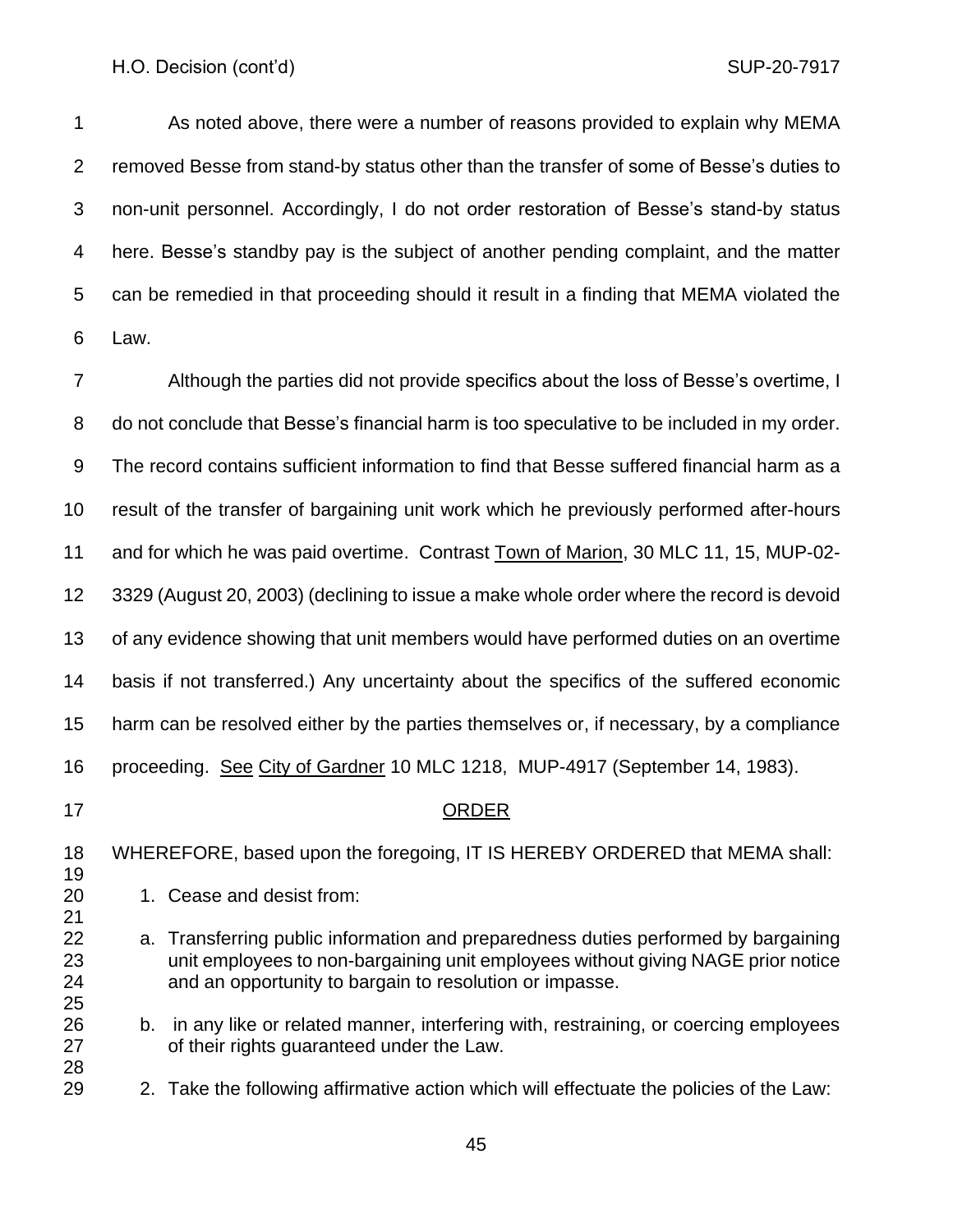As noted above, there were a number of reasons provided to explain why MEMA removed Besse from stand-by status other than the transfer of some of Besse's duties to non-unit personnel. Accordingly, I do not order restoration of Besse's stand-by status here. Besse's standby pay is the subject of another pending complaint, and the matter can be remedied in that proceeding should it result in a finding that MEMA violated the Law.

 Although the parties did not provide specifics about the loss of Besse's overtime, I do not conclude that Besse's financial harm is too speculative to be included in my order. The record contains sufficient information to find that Besse suffered financial harm as a result of the transfer of bargaining unit work which he previously performed after-hours and for which he was paid overtime. Contrast Town of Marion, 30 MLC 11, 15, MUP-02- 3329 (August 20, 2003) (declining to issue a make whole order where the record is devoid of any evidence showing that unit members would have performed duties on an overtime basis if not transferred.) Any uncertainty about the specifics of the suffered economic harm can be resolved either by the parties themselves or, if necessary, by a compliance proceeding. See City of Gardner 10 MLC 1218, MUP-4917 (September 14, 1983). ORDER WHEREFORE, based upon the foregoing, IT IS HEREBY ORDERED that MEMA shall: 1. Cease and desist from: a. Transferring public information and preparedness duties performed by bargaining unit employees to non-bargaining unit employees without giving NAGE prior notice and an opportunity to bargain to resolution or impasse. b. in any like or related manner, interfering with, restraining, or coercing employees of their rights guaranteed under the Law. 2. Take the following affirmative action which will effectuate the policies of the Law: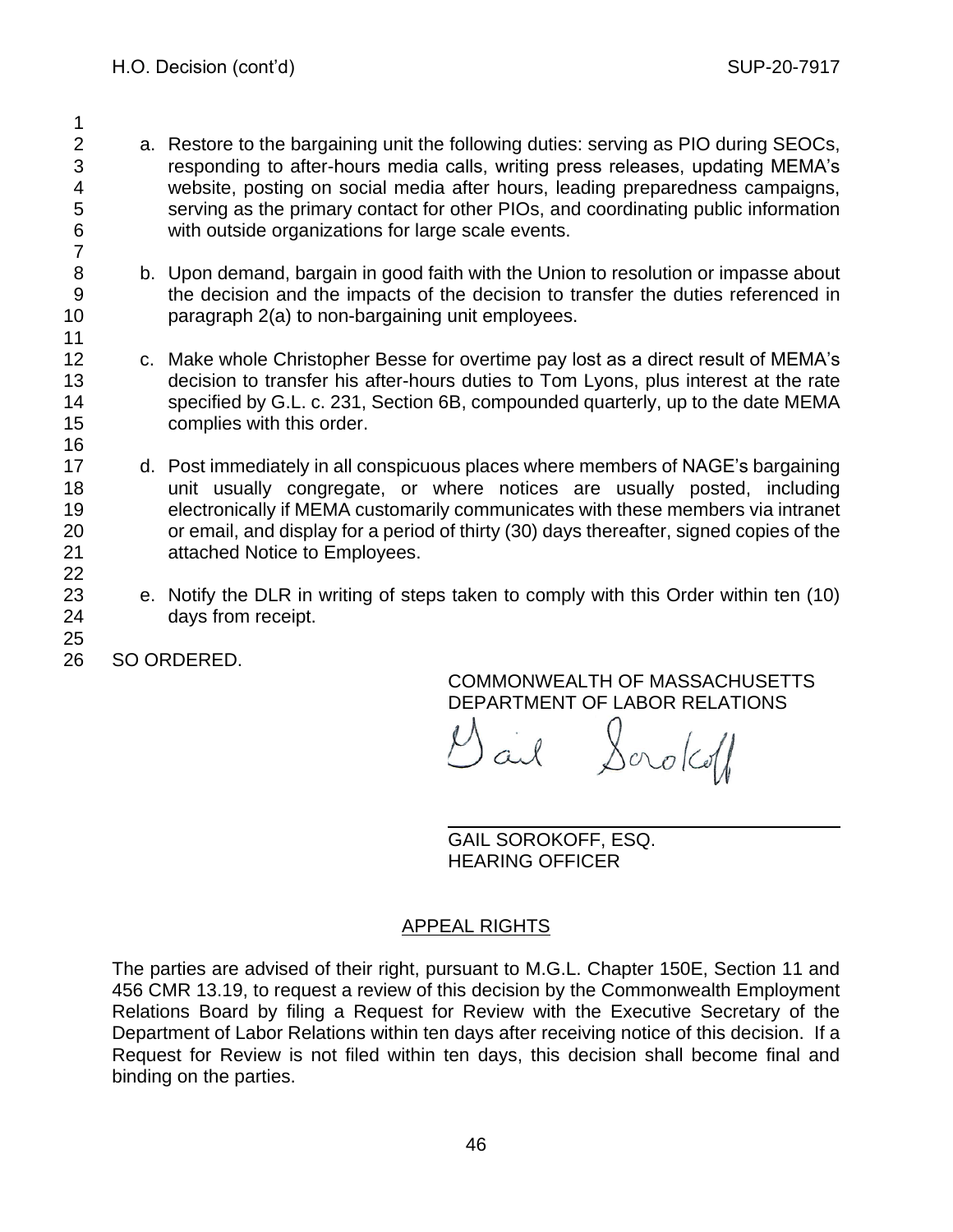- a. Restore to the bargaining unit the following duties: serving as PIO during SEOCs, responding to after-hours media calls, writing press releases, updating MEMA's website, posting on social media after hours, leading preparedness campaigns, serving as the primary contact for other PIOs, and coordinating public information with outside organizations for large scale events.
- b. Upon demand, bargain in good faith with the Union to resolution or impasse about the decision and the impacts of the decision to transfer the duties referenced in paragraph 2(a) to non-bargaining unit employees.
- c. Make whole Christopher Besse for overtime pay lost as a direct result of MEMA's decision to transfer his after-hours duties to Tom Lyons, plus interest at the rate specified by G.L. c. 231, Section 6B, compounded quarterly, up to the date MEMA complies with this order.
- d. Post immediately in all conspicuous places where members of NAGE's bargaining unit usually congregate, or where notices are usually posted, including electronically if MEMA customarily communicates with these members via intranet or email, and display for a period of thirty (30) days thereafter, signed copies of the attached Notice to Employees.
- e. Notify the DLR in writing of steps taken to comply with this Order within ten (10) days from receipt.
- SO ORDERED.

COMMONWEALTH OF MASSACHUSETTS DEPARTMENT OF LABOR RELATIONS

Dail Scrokoff

GAIL SOROKOFF, ESQ. HEARING OFFICER

# APPEAL RIGHTS

The parties are advised of their right, pursuant to M.G.L. Chapter 150E, Section 11 and 456 CMR 13.19, to request a review of this decision by the Commonwealth Employment Relations Board by filing a Request for Review with the Executive Secretary of the Department of Labor Relations within ten days after receiving notice of this decision. If a Request for Review is not filed within ten days, this decision shall become final and binding on the parties.